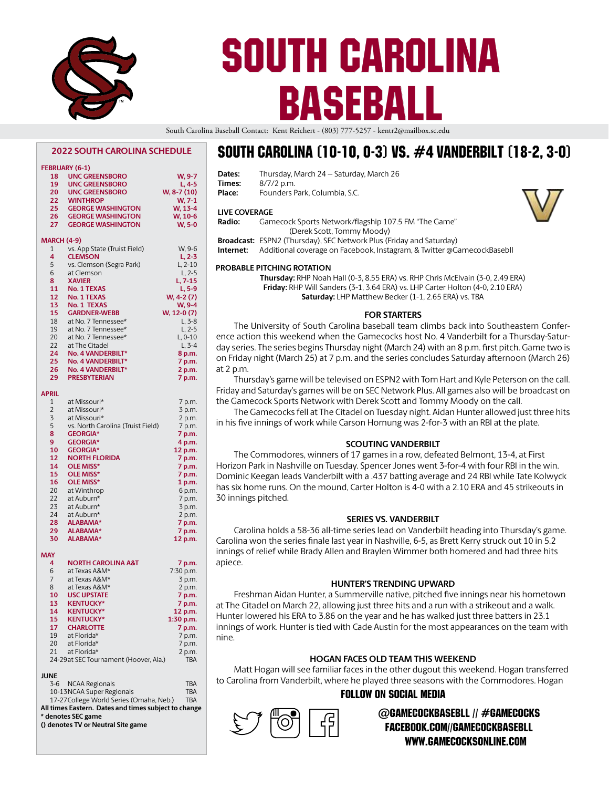

# SOUTH CAROLINA BASEBALL

South Carolina Baseball Contact: Kent Reichert - (803) 777-5257 - kentr2@mailbox.sc.edu

**Dates:** Thursday, March 24 -- Saturday, March 26

#### **2022 SOUTH CAROLINA SCHEDULE FEBRUARY (6-1) 18 UNC GREENSBORO W, 9-7 19 UNC GREENSBORO L, 4-5 20 UNC GREENSBORO W, 8-7 (10) WINTHROP 25 GEORGE WASHINGTON W, 13-4 26 CEORGE WASHINGTON W**, 10-6<br>**26 CEORGE WASHINGTON 27 GEORGE WASHINGTON MARCH (4-9)** 1 vs. App State (Truist Field) W, 9-6<br>**4 CLEMSON** L 2-3 **4 CLEMSON L, 2-3** 5 vs. Clemson (Segra Park) L, 2-10<br>6 at Clemson L, 2-5 at Clemson **8 XAVIER L, 7-15 11 No. 1 TEXAS**<br>**12 No. 1 TEXAS 12 No. 1 TEXAS W, 4-2 (7) 13 13 13 No. 1 TEXAS W**, 9-4<br> **13 CARDNER-WEBB W, 12-0 (7) 15 GARDNER-WEBB**<br>**18 at No. 7 Tennessee** at No. 7 Tennessee\* L, 3-8 19 at No. 7 Tennessee\* L, 2-5<br>20 at No. 7 Tennessee\* L, 0-10 at No. 7 Tennessee\* L, 0-10<br>at The Citadel 1 3-4 22 at The Citadel L, 3-4<br> **24 No. 4 VANDERBILT**\* 8 p.m. **24 No. 4 VANDERBILT\***<br>25 No. 4 VANDERBILT\* **25 No. 4 VANDERBILT\* 7 p.m. 26 No. 4 VANDERBILT\* 2 p.m. 29 PRESBYTERIAN 7 p.m. APRIL** 1 at Missouri\* 7 p.m.<br>2 at Missouri\* 3 p.m. 2 at Missouri\* 3 p.m.<br>3 at Missouri\* 2 p.m. 3 at Missouri\* 2 p.m.<br>5 vs. North Carolina (Truist Field) 7 p.m. 5 vs. North Carolina (Truist Field) 7 p.m.<br>8 **GEORGIA**\* 7 p.m. 8 **GEORGIA\***<br>9 **GEORGIA\* 9 GEORGIA\* 4 p.m. 10 GEORGIA\* 12 p.m. 12 NORTH FLORIDA 7 p.m. 14 OLE MISS\* 7 p.m. 15 OLE MISS\* 7 p.m. 16 OLE MISS\* 1 p.m.** 20 at Winthrop<br>
22 at Auburn\* 22 at Auburn\* 7 p.m.<br>23 at Auburn\* 3 p.m. 23 at Auburn\* 3 p.m.<br>24 at Auburn\* 2 p.m. at Auburn\* **28 ALABAMA\* 7 p.m. 29 ALABAMA\* 7 p.m. 30 ALABAMA\* 12 p.m. MAY 4 NORTH CAROLINA A&T 7 p.m.** 6 at Texas A&M\* 7:30 p.m.<br>7 at Texas A&M\* 3 p.m. at Texas A&M\* 3 p.m. 8 at Texas A&M\* 2 p.m.<br> **10 USC UPSTATE 7 p.m. 10 USC UPSTATE 7 p.m. 13 KENTUCKY\* 7 p.m.** 14 **KENTUCKY\***<br>15 **KENTUCKY\* 15 KENTUCKY\* 1:30 p.m. 17 CHARLOTTE 7 p.m.** at Florida\* 20 at Florida\* 7 p.m. 21 at Florida\* 2 p.m.<br>24-29at SEC Tournament (Hoover, Ala.) TBA 24-29at SEC Tournament (Hoover, Ala.) **JUNE** 3-6 NCAA Regionals TBA

| <b>J-0</b> INCAR RESIGNATION                         | IDAM       |
|------------------------------------------------------|------------|
| 10-13NCAA Super Regionals                            | <b>TBA</b> |
| 17-27 College World Series (Omaha, Neb.)             | <b>TBA</b> |
| All times Eastern. Dates and times subject to change |            |
| * denotes SEC game                                   |            |

**() denotes TV or Neutral Site game**

## South Carolina (10-10, 0-3) VS. #4 Vanderbilt (18-2, 3-0)

| valcs.               | 11101308y, ividi CTT 24 -- 38tul 08y, ividi CTT 20                                              |  |
|----------------------|-------------------------------------------------------------------------------------------------|--|
| Times:               | 8/7/2 p.m.                                                                                      |  |
| Place:               | Founders Park, Columbia, S.C.                                                                   |  |
| <b>LIVE COVERAGE</b> |                                                                                                 |  |
| Radio:               | Gamecock Sports Network/flagship 107.5 FM "The Game"<br>(Derek Scott, Tommy Moody)              |  |
|                      | Broadcast: ESPN2 (Thursday), SEC Network Plus (Friday and Saturday)                             |  |
| Internet:            | Additional coverage on Facebook, Instagram, & Twitter @GamecockBasebll                          |  |
|                      | <b>PROBABLE PITCHING ROTATION</b>                                                               |  |
|                      | Thursday: RHP Noah Hall (0-3, 8.55 ERA) vs. RHP Chris McElvain (3-0, 2.49 ERA)                  |  |
|                      | Friday: RHP Will Sanders (3-1, 3.64 ERA) vs. LHP Carter Holton (4-0, 2.10 ERA)                  |  |
|                      | Saturday: LHP Matthew Becker (1-1, 2.65 ERA) vs. TBA                                            |  |
|                      |                                                                                                 |  |
|                      | <b>FOR STARTERS</b>                                                                             |  |
|                      | The University of South Carolina baseball team climbs back into Southeastern Confer-            |  |
|                      | ence action this weekend when the Gamecocks host No. 4 Vanderbilt for a Thursday-Satur-         |  |
|                      | day series. The series begins Thursday night (March 24) with an 8 p.m. first pitch. Game two is |  |
|                      |                                                                                                 |  |
|                      | on Friday night (March 25) at 7 p.m. and the series concludes Saturday afternoon (March 26)     |  |
| at 2 p.m.            |                                                                                                 |  |
|                      | Thursday's game will be televised on ESPN2 with Tom Hart and Kyle Peterson on the call.         |  |
|                      | Friday and Saturday's games will be on SEC Network Plus. All games also will be broadcast on    |  |
|                      | the Gamecock Sports Network with Derek Scott and Tommy Moody on the call.                       |  |
|                      | The Gamecocks fell at The Citadel on Tuesday night. Aidan Hunter allowed just three hits        |  |
|                      | in his five innings of work while Carson Hornung was 2-for-3 with an RBI at the plate.          |  |
|                      |                                                                                                 |  |

## **SCOUTING VANDERBILT**

The Commodores, winners of 17 games in a row, defeated Belmont, 13-4, at First Horizon Park in Nashville on Tuesday. Spencer Jones went 3-for-4 with four RBI in the win. Dominic Keegan leads Vanderbilt with a .437 batting average and 24 RBI while Tate Kolwyck has six home runs. On the mound, Carter Holton is 4-0 with a 2.10 ERA and 45 strikeouts in 30 innings pitched.

## **SERIES VS. VANDERBILT**

Carolina holds a 58-36 all-time series lead on Vanderbilt heading into Thursday's game. Carolina won the series finale last year in Nashville, 6-5, as Brett Kerry struck out 10 in 5.2 innings of relief while Brady Allen and Braylen Wimmer both homered and had three hits apiece.

## **HUNTER'S TRENDING UPWARD**

Freshman Aidan Hunter, a Summerville native, pitched five innings near his hometown at The Citadel on March 22, allowing just three hits and a run with a strikeout and a walk. Hunter lowered his ERA to 3.86 on the year and he has walked just three batters in 23.1 innings of work. Hunter is tied with Cade Austin for the most appearances on the team with nine.

## **HOGAN FACES OLD TEAM THIS WEEKEND**

Matt Hogan will see familiar faces in the other dugout this weekend. Hogan transferred to Carolina from Vanderbilt, where he played three seasons with the Commodores. Hogan

## FOLLOW ON SOCIAL MEDIA



## @GamecockBasebll // #Gamecocks Facebook.com//GamecockBasebll www.GamecocksOnline.com

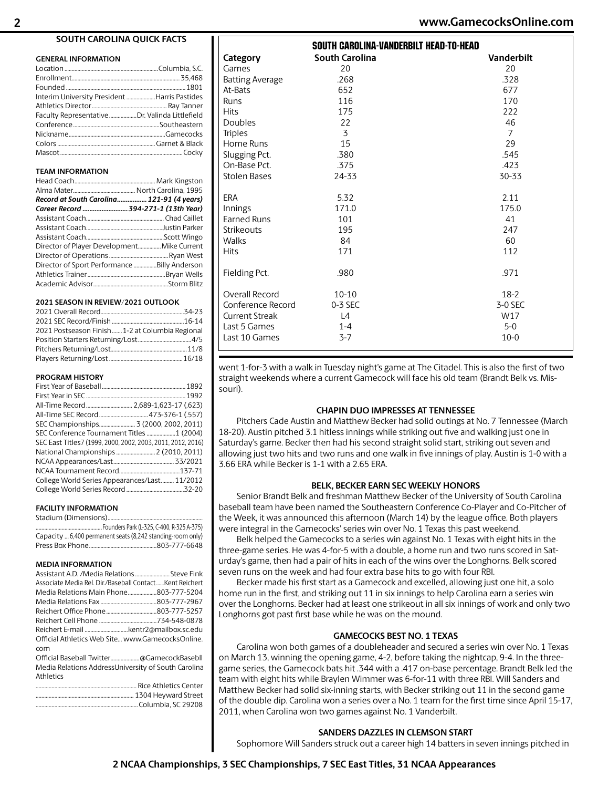#### **SOUTH CAROLINA QUICK FACTS**

#### **GENERAL INFORMATION**

| Interim University President Harris Pastides   |  |
|------------------------------------------------|--|
|                                                |  |
| Faculty Representative Dr. Valinda Littlefield |  |
|                                                |  |
|                                                |  |
|                                                |  |
|                                                |  |

#### **TEAM INFORMATION**

| Record at South Carolina 121-91 (4 years)    |  |
|----------------------------------------------|--|
| Career Record  394-271-1 (13th Year)         |  |
|                                              |  |
|                                              |  |
|                                              |  |
| Director of Player Development Mike Current  |  |
|                                              |  |
| Director of Sport Performance Billy Anderson |  |
|                                              |  |
|                                              |  |

#### **2021 SEASON IN REVIEW/2021 OUTLOOK**

| 2021 Postseason Finish 1-2 at Columbia Regional |  |
|-------------------------------------------------|--|
|                                                 |  |
|                                                 |  |
|                                                 |  |

#### **PROGRAM HISTORY**

| SEC Championships 3 (2000, 2002, 2011)                      |  |
|-------------------------------------------------------------|--|
|                                                             |  |
| SEC East Titles7 (1999, 2000, 2002, 2003, 2011, 2012, 2016) |  |
| National Championships  2 (2010, 2011)                      |  |
|                                                             |  |
|                                                             |  |
| College World Series Appearances/Last 11/2012               |  |
|                                                             |  |

#### **FACILITY INFORMATION**

Stadium (Dimensions).. ..Founders Park (L-325, C-400, R-325,A-375) Capacity ...6,400 permanent seats (8,242 standing-room only) Press Box Phone...............................................803-777-6648

#### **MEDIA INFORMATION**

| Assistant A.D. / Media Relations Steve Fink             |
|---------------------------------------------------------|
| Associate Media Rel. Dir./Baseball ContactKent Reichert |
| Media Relations Main Phone803-777-5204                  |
|                                                         |
|                                                         |
|                                                         |
| Reichert E-mail kentr2@mailbox.sc.edu                   |
| Official Athletics Web Site www.GamecocksOnline.        |
| com                                                     |
|                                                         |
| Media Relations AddressUniversity of South Carolina     |
| Athletics                                               |
|                                                         |
|                                                         |

.......................................................................Columbia, SC 29208

| Games                  | 20        | 20             |
|------------------------|-----------|----------------|
| <b>Batting Average</b> | .268      | .328           |
| At-Bats                | 652       | 677            |
| Runs                   | 116       | 170            |
| <b>Hits</b>            | 175       | 222            |
| <b>Doubles</b>         | 22        | 46             |
| <b>Triples</b>         | 3         | $\overline{7}$ |
| Home Runs              | 15        | 29             |
| Slugging Pct.          | .380      | .545           |
| On-Base Pct.           | .375      | .423           |
| <b>Stolen Bases</b>    | 24-33     | 30-33          |
|                        |           |                |
| ERA                    | 5.32      | 2.11           |
| Innings                | 171.0     | 175.0          |
| <b>Earned Runs</b>     | 101       | 41             |
| <b>Strikeouts</b>      | 195       | 247            |
| Walks                  | 84        | 60             |
| <b>Hits</b>            | 171       | 112            |
|                        |           |                |
| Fielding Pct.          | .980      | .971           |
|                        |           |                |
| Overall Record         | $10 - 10$ | $18-2$         |
| Conference Record      | 0-3 SEC   | 3-0 SEC        |
| <b>Current Streak</b>  | L4        | W17            |
| Last 5 Games           | $1 - 4$   | $5 - 0$        |
| Last 10 Games          | $3 - 7$   | $10-0$         |

SOUTH CAROLINA-VANDERBILT HEAD-TO-HEAD

**Category South Carolina Vanderbilt** 

went 1-for-3 with a walk in Tuesday night's game at The Citadel. This is also the first of two straight weekends where a current Gamecock will face his old team (Brandt Belk vs. Missouri).

#### **CHAPIN DUO IMPRESSES AT TENNESSEE**

Pitchers Cade Austin and Matthew Becker had solid outings at No. 7 Tennessee (March 18-20). Austin pitched 3.1 hitless innings while striking out five and walking just one in Saturday's game. Becker then had his second straight solid start, striking out seven and allowing just two hits and two runs and one walk in five innings of play. Austin is 1-0 with a 3.66 ERA while Becker is 1-1 with a 2.65 ERA.

#### **BELK, BECKER EARN SEC WEEKLY HONORS**

Senior Brandt Belk and freshman Matthew Becker of the University of South Carolina baseball team have been named the Southeastern Conference Co-Player and Co-Pitcher of the Week, it was announced this afternoon (March 14) by the league office. Both players were integral in the Gamecocks' series win over No. 1 Texas this past weekend.

Belk helped the Gamecocks to a series win against No. 1 Texas with eight hits in the three-game series. He was 4-for-5 with a double, a home run and two runs scored in Saturday's game, then had a pair of hits in each of the wins over the Longhorns. Belk scored seven runs on the week and had four extra base hits to go with four RBI.

Becker made his first start as a Gamecock and excelled, allowing just one hit, a solo home run in the first, and striking out 11 in six innings to help Carolina earn a series win over the Longhorns. Becker had at least one strikeout in all six innings of work and only two Longhorns got past first base while he was on the mound.

#### **GAMECOCKS BEST NO. 1 TEXAS**

Carolina won both games of a doubleheader and secured a series win over No. 1 Texas on March 13, winning the opening game, 4-2, before taking the nightcap, 9-4. In the threegame series, the Gamecock bats hit .344 with a .417 on-base percentage. Brandt Belk led the team with eight hits while Braylen Wimmer was 6-for-11 with three RBI. Will Sanders and Matthew Becker had solid six-inning starts, with Becker striking out 11 in the second game of the double dip. Carolina won a series over a No. 1 team for the first time since April 15-17, 2011, when Carolina won two games against No. 1 Vanderbilt.

#### **SANDERS DAZZLES IN CLEMSON START**

Sophomore Will Sanders struck out a career high 14 batters in seven innings pitched in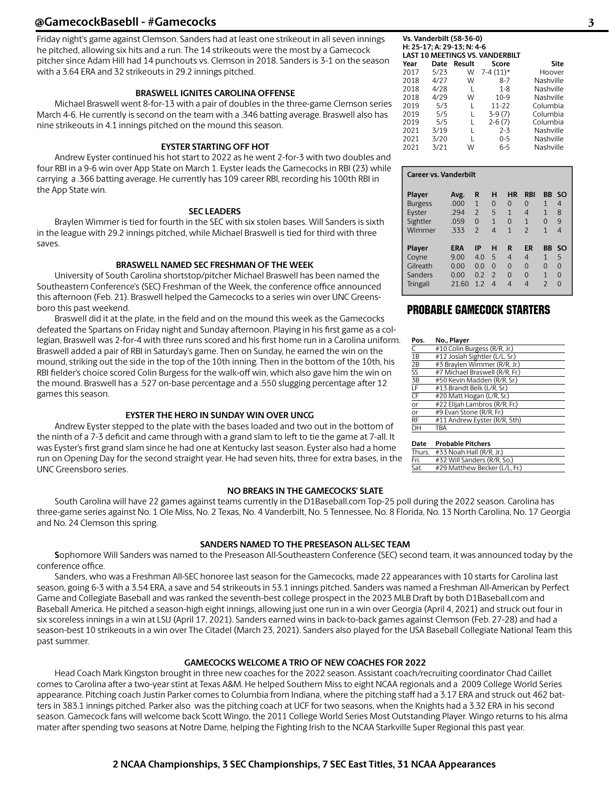## **@GamecockBasebll - #Gamecocks 3**

Friday night's game against Clemson. Sanders had at least one strikeout in all seven innings he pitched, allowing six hits and a run. The 14 strikeouts were the most by a Gamecock pitcher since Adam Hill had 14 punchouts vs. Clemson in 2018. Sanders is 3-1 on the season with a 3.64 ERA and 32 strikeouts in 29.2 innings pitched.

## **BRASWELL IGNITES CAROLINA OFFENSE**

Michael Braswell went 8-for-13 with a pair of doubles in the three-game Clemson series March 4-6. He currently is second on the team with a .346 batting average. Braswell also has nine strikeouts in 4.1 innings pitched on the mound this season.

#### **EYSTER STARTING OFF HOT**

Andrew Eyster continued his hot start to 2022 as he went 2-for-3 with two doubles and four RBI in a 9-6 win over App State on March 1. Eyster leads the Gamecocks in RBI (23) while carrying a .366 batting average. He currently has 109 career RBI, recording his 100th RBI in the App State win.

#### **SEC LEADERS**

Braylen Wimmer is tied for fourth in the SEC with six stolen bases. Will Sanders is sixth in the league with 29.2 innings pitched, while Michael Braswell is tied for third with three saves.

#### **BRASWELL NAMED SEC FRESHMAN OF THE WEEK**

University of South Carolina shortstop/pitcher Michael Braswell has been named the Southeastern Conference's (SEC) Freshman of the Week, the conference office announced this afternoon (Feb. 21). Braswell helped the Gamecocks to a series win over UNC Greensboro this past weekend.

Braswell did it at the plate, in the field and on the mound this week as the Gamecocks defeated the Spartans on Friday night and Sunday afternoon. Playing in his first game as a collegian, Braswell was 2-for-4 with three runs scored and his first home run in a Carolina uniform. Braswell added a pair of RBI in Saturday's game. Then on Sunday, he earned the win on the mound, striking out the side in the top of the 10th inning. Then in the bottom of the 10th, his RBI fielder's choice scored Colin Burgess for the walk-off win, which also gave him the win on the mound. Braswell has a .527 on-base percentage and a .550 slugging percentage after 12 games this season.

## **EYSTER THE HERO IN SUNDAY WIN OVER UNCG**

Andrew Eyster stepped to the plate with the bases loaded and two out in the bottom of the ninth of a 7-3 deficit and came through with a grand slam to left to tie the game at 7-all. It was Eyster's first grand slam since he had one at Kentucky last season. Eyster also had a home run on Opening Day for the second straight year. He had seven hits, three for extra bases, in the UNC Greensboro series.

## **NO BREAKS IN THE GAMECOCKS' SLATE**

South Carolina will have 22 games against teams currently in the D1Baseball.com Top-25 poll during the 2022 season. Carolina has three-game series against No. 1 Ole Miss, No. 2 Texas, No. 4 Vanderbilt, No. 5 Tennessee, No. 8 Florida, No. 13 North Carolina, No. 17 Georgia and No. 24 Clemson this spring.

## **SANDERS NAMED TO THE PRESEASON ALL-SEC TEAM**

**S**ophomore Will Sanders was named to the Preseason All-Southeastern Conference (SEC) second team, it was announced today by the conference office.

Sanders, who was a Freshman All-SEC honoree last season for the Gamecocks, made 22 appearances with 10 starts for Carolina last season, going 6-3 with a 3.54 ERA, a save and 54 strikeouts in 53.1 innings pitched. Sanders was named a Freshman All-American by Perfect Game and Collegiate Baseball and was ranked the seventh-best college prospect in the 2023 MLB Draft by both D1Baseball.com and Baseball America. He pitched a season-high eight innings, allowing just one run in a win over Georgia (April 4, 2021) and struck out four in six scoreless innings in a win at LSU (April 17, 2021). Sanders earned wins in back-to-back games against Clemson (Feb. 27-28) and had a season-best 10 strikeouts in a win over The Citadel (March 23, 2021). Sanders also played for the USA Baseball Collegiate National Team this past summer.

## **GAMECOCKS WELCOME A TRIO OF NEW COACHES FOR 2022**

Head Coach Mark Kingston brought in three new coaches for the 2022 season. Assistant coach/recruiting coordinator Chad Caillet comes to Carolina after a two-year stint at Texas A&M. He helped Southern Miss to eight NCAA regionals and a 2009 College World Series appearance. Pitching coach Justin Parker comes to Columbia from Indiana, where the pitching staff had a 3.17 ERA and struck out 462 batters in 383.1 innings pitched. Parker also was the pitching coach at UCF for two seasons, when the Knights had a 3.32 ERA in his second season. Gamecock fans will welcome back Scott Wingo, the 2011 College World Series Most Outstanding Player. Wingo returns to his alma mater after spending two seasons at Notre Dame, helping the Fighting Irish to the NCAA Starkville Super Regional this past year.

## **Vs. Vanderbilt (58-36-0) H: 25-17; A: 29-13; N: 4-6 LAST 10 MEETINGS VS. VANDERBILT**

| Year | Date | Result | Score      | <b>Site</b> |
|------|------|--------|------------|-------------|
| 2017 | 5/23 | W      | $7-4(11)*$ | Hoover      |
| 2018 | 4/27 | W      | 8-7        | Nashville   |
| 2018 | 4/28 | L      | $1 - 8$    | Nashville   |
| 2018 | 4/29 | W      | $10-9$     | Nashville   |
| 2019 | 5/3  | L      | 11-22      | Columbia    |
| 2019 | 5/5  | L      | $3-9(7)$   | Columbia    |
| 2019 | 5/5  | L      | $2-6(7)$   | Columbia    |
| 2021 | 3/19 | L      | $2 - 3$    | Nashville   |
| 2021 | 3/20 | L      | $0 - 5$    | Nashville   |
| 2021 | 3/21 | W      | $6 - 5$    | Nashville   |
|      |      |        |            |             |

#### **Career vs. Vanderbilt**

| <b>Player</b>   | Avg.  | R              | н             | HR       | <b>RBI</b>     | ВB             | <b>SO</b> |
|-----------------|-------|----------------|---------------|----------|----------------|----------------|-----------|
| <b>Burgess</b>  | .000  | 1              | $\Omega$      | 0        | $\Omega$       | 1              | 4         |
| Eyster          | .294  | $\mathfrak{p}$ | 5             | 1        | $\overline{4}$ | 1              | 8         |
| Sightler        | .059  | $\Omega$       | 1             | $\Omega$ | 1              | $\Omega$       | 9         |
| Wimmer          | .333  | $\overline{2}$ | 4             | 1        | $\overline{2}$ | 1              | 4         |
| Player          | ERA   | ΙP             | н             | R        | ER             | BB             | <b>SO</b> |
| Coyne           | 9.00  | 4.0            | 5             | 4        | $\overline{4}$ | 1              | 5         |
| Gilreath        | 0.00  | 0.0            | $\Omega$      | $\Omega$ | $\Omega$       | $\Omega$       | $\Omega$  |
| Sanders         | 0.00  | 0.2            | $\mathcal{P}$ | $\Omega$ | $\Omega$       | 1              | $\Omega$  |
| <b>Tringali</b> | 21.60 | 12             | 4             | 4        | 4              | $\mathfrak{p}$ | $\Omega$  |

## PROBABLE GAMECOCK STARTERS

| Pos.                   | No., Player                    |
|------------------------|--------------------------------|
|                        | #10 Colin Burgess (R/R, Jr.)   |
| 1B                     | #12 Josiah Sightler (L/L, Sr.) |
| 2B                     | #3 Braylen Wimmer (R/R, Jr.)   |
| $\overline{\text{SS}}$ | #7 Michael Braswell (R/R, Fr.) |
| $\overline{3B}$        | #50 Kevin Madden (R/R, Sr.)    |
| LF                     | #13 Brandt Belk (L/R, Sr.)     |
| CF                     | #20 Matt Hogan (L/R, Sr.)      |
| or                     | #22 Elijah Lambros (R/R, Fr.)  |
| or                     | #9 Evan Stone (R/R, Fr.)       |
| <b>RF</b>              | #11 Andrew Eyster (R/R, 5th)   |
| DН                     | TBA                            |
|                        |                                |

| Date  | <b>Probable Pitchers</b>           |
|-------|------------------------------------|
|       | Thurs. #33 Noah Hall (R/R, Jr.)    |
| Fui i | $\text{H721M}$ ll Canders (D/D Ce) |

| Fri. | #32 Will Sanders (R/R, So.)   |  |
|------|-------------------------------|--|
| Sat. | #29 Matthew Becker (L/L, Fr.) |  |
|      |                               |  |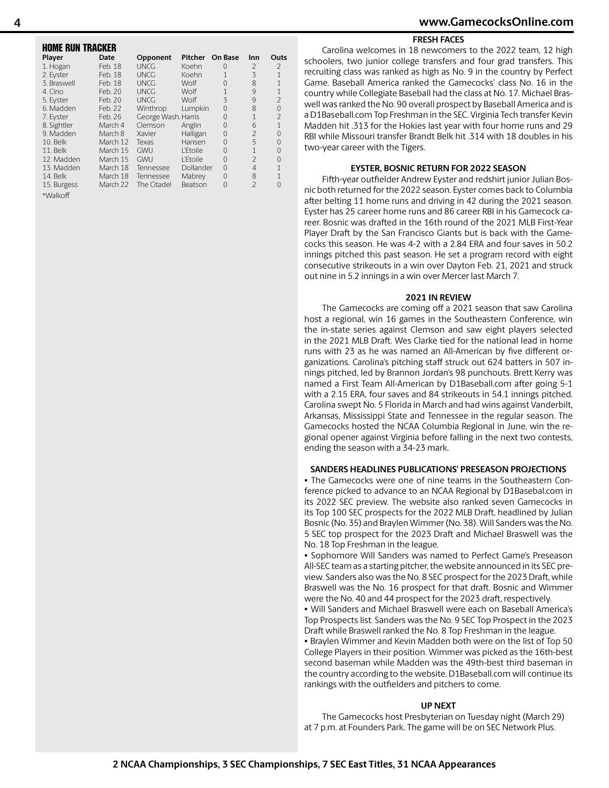## **4 www.GamecocksOnline.com**

#### **FRESH FACES**

| HOME RUN TRACKER |          |                     |                 |                |                |                |
|------------------|----------|---------------------|-----------------|----------------|----------------|----------------|
| Player           | Date     | Opponent            | Pitcher         | <b>On Base</b> | Inn            | Outs           |
| 1. Hogan         | Feb. 18  | UNCG                | Koehn           | 0              | $\mathcal{P}$  | $\overline{2}$ |
| 2. Eyster        | Feb. 18  | <b>UNCG</b>         | Koehn           | 1              | 3              | $\overline{1}$ |
| 3. Braswell      | Feb. 18  | <b>UNCG</b>         | Wolf            | $\Omega$       | 8              | $\overline{1}$ |
| 4. Cino          | Feb. 20  | <b>UNCG</b>         | Wolf            | 1              | 9              | $\overline{1}$ |
| 5. Eyster        | Feb. 20  | <b>UNCG</b>         | Wolf            | 3              | 9              | $\overline{2}$ |
| 6. Madden        | Feb. 22  | Winthrop            | Lumpkin         | 0              | 8              | 0              |
| 7. Eyster        | Feb. 26  | George Wash. Harris |                 | $\Omega$       | $\mathbf{1}$   | $\mathfrak{D}$ |
| 8. Sightler      | March 4  | Clemson             | Anglin          | 0              | 6              | $\overline{1}$ |
| 9. Madden        | March 8  | Xavier              | Halligan        | 0              | $\overline{2}$ | 0              |
| 10. Belk         | March 12 | Texas               | Hansen          | 0              | 5              | 0              |
| 11. Belk         | March 15 | GWU                 | <b>L'Etoile</b> | 0              | $\mathbf{1}$   | 0              |
| 12. Madden       | March 15 | GWU                 | <b>L'Etoile</b> | 0              | $\mathcal{P}$  | 0              |
| 13. Madden       | March 18 | Tennessee           | Dollander       | $\mathbf{0}$   | $\overline{4}$ | 1              |
| 14. Belk         | March 18 | Tennessee           | Mabrey          | $\mathbf{0}$   | 8              | 1              |
| 15. Burgess      | March 22 | The Citadel         | Beatson         | $\Omega$       | $\mathcal{P}$  | $\Omega$       |
| *Walkoff         |          |                     |                 |                |                |                |

Carolina welcomes in 18 newcomers to the 2022 team, 12 high schoolers, two junior college transfers and four grad transfers. This recruiting class was ranked as high as No. 9 in the country by Perfect Game. Baseball America ranked the Gamecocks' class No. 16 in the country while Collegiate Baseball had the class at No. 17. Michael Braswell was ranked the No. 90 overall prospect by Baseball America and is a D1Baseball.com Top Freshman in the SEC. Virginia Tech transfer Kevin Madden hit .313 for the Hokies last year with four home runs and 29 RBI while Missouri transfer Brandt Belk hit .314 with 18 doubles in his two-year career with the Tigers.

#### **EYSTER, BOSNIC RETURN FOR 2022 SEASON**

Fifth-year outfielder Andrew Eyster and redshirt junior Julian Bosnic both returned for the 2022 season. Eyster comes back to Columbia after belting 11 home runs and driving in 42 during the 2021 season. Eyster has 25 career home runs and 86 career RBI in his Gamecock career. Bosnic was drafted in the 16th round of the 2021 MLB First-Year Player Draft by the San Francisco Giants but is back with the Gamecocks this season. He was 4-2 with a 2.84 ERA and four saves in 50.2 innings pitched this past season. He set a program record with eight consecutive strikeouts in a win over Dayton Feb. 21, 2021 and struck out nine in 5.2 innings in a win over Mercer last March 7.

#### **2021 IN REVIEW**

The Gamecocks are coming off a 2021 season that saw Carolina host a regional, win 16 games in the Southeastern Conference, win the in-state series against Clemson and saw eight players selected in the 2021 MLB Draft. Wes Clarke tied for the national lead in home runs with 23 as he was named an All-American by five different organizations. Carolina's pitching staff struck out 624 batters in 507 innings pitched, led by Brannon Jordan's 98 punchouts. Brett Kerry was named a First Team All-American by D1Baseball.com after going 5-1 with a 2.15 ERA, four saves and 84 strikeouts in 54.1 innings pitched. Carolina swept No. 5 Florida in March and had wins against Vanderbilt, Arkansas, Mississippi State and Tennessee in the regular season. The Gamecocks hosted the NCAA Columbia Regional in June, win the regional opener against Virginia before falling in the next two contests, ending the season with a 34-23 mark.

#### **SANDERS HEADLINES PUBLICATIONS' PRESEASON PROJECTIONS**

• The Gamecocks were one of nine teams in the Southeastern Conference picked to advance to an NCAA Regional by D1Basebal.com in its 2022 SEC preview. The website also ranked seven Gamecocks in its Top 100 SEC prospects for the 2022 MLB Draft, headlined by Julian Bosnic (No. 35) and Braylen Wimmer (No. 38). Will Sanders was the No. 5 SEC top prospect for the 2023 Draft and Michael Braswell was the No. 18 Top Freshman in the league.

• Sophomore Will Sanders was named to Perfect Game's Preseason All-SEC team as a starting pitcher, the website announced in its SEC preview. Sanders also was the No. 8 SEC prospect for the 2023 Draft, while Braswell was the No. 16 prospect for that draft. Bosnic and Wimmer were the No. 40 and 44 prospect for the 2023 draft, respectively.

• Will Sanders and Michael Braswell were each on Baseball America's Top Prospects list. Sanders was the No. 9 SEC Top Prospect in the 2023 Draft while Braswell ranked the No. 8 Top Freshman in the league.

• Braylen Wimmer and Kevin Madden both were on the list of Top 50 College Players in their position. Wimmer was picked as the 16th-best second baseman while Madden was the 49th-best third baseman in the country according to the website. D1Baseball.com will continue its rankings with the outfielders and pitchers to come.

#### **UP NEXT**

The Gamecocks host Presbyterian on Tuesday night (March 29) at 7 p.m. at Founders Park. The game will be on SEC Network Plus.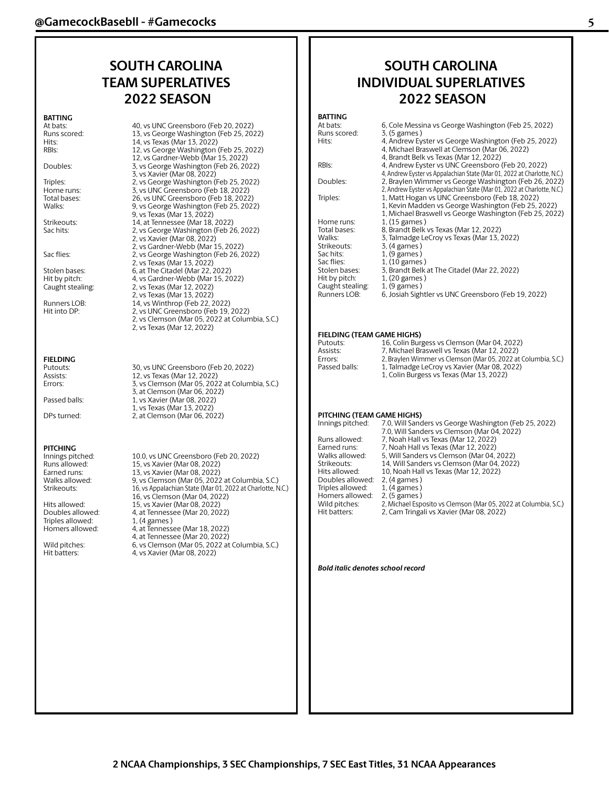## **SOUTH CAROLINA TEAM SUPERLATIVES 2022 SEASON**

#### **BATTING**

At bats: Runs scored:<br>Hits:

#### Doubles:

Sac flies:

## **FIELDING**

**PITCHING**<br>Innings pitched:

Triples allowed:<br>Homers allowed:

| At bats:         | 40, vs UNC Greensboro (Feb 20, 2022)           |
|------------------|------------------------------------------------|
| Runs scored:     | 13, vs George Washington (Feb 25, 2022)        |
| Hits:            | 14, vs Texas (Mar 13, 2022)                    |
| RBIs:            | 12, vs George Washington (Feb 25, 2022)        |
|                  | 12, vs Gardner-Webb (Mar 15, 2022)             |
| Doubles:         | 3, vs George Washington (Feb 26, 2022)         |
|                  | 3, vs Xavier (Mar 08, 2022)                    |
| Triples:         | 2, vs George Washington (Feb 25, 2022)         |
| Home runs:       | 3, vs UNC Greensboro (Feb 18, 2022)            |
| Total bases:     | 26, vs UNC Greensboro (Feb 18, 2022)           |
| Walks:           | 9, vs George Washington (Feb 25, 2022)         |
|                  | 9, vs Texas (Mar 13, 2022)                     |
| Strikeouts:      | 14, at Tennessee (Mar 18, 2022)                |
| Sac hits:        | 2, vs George Washington (Feb 26, 2022)         |
|                  | 2, vs Xavier (Mar 08, 2022)                    |
|                  | 2, vs Gardner-Webb (Mar 15, 2022)              |
| Sac flies:       | 2, vs George Washington (Feb 26, 2022)         |
|                  | 2, vs Texas (Mar 13, 2022)                     |
| Stolen bases:    | 6, at The Citadel (Mar 22, 2022)               |
| Hit by pitch:    | 4. vs Gardner-Webb (Mar 15, 2022)              |
| Caught stealing: | 2, vs Texas (Mar 12, 2022)                     |
|                  | 2, vs Texas (Mar 13, 2022)                     |
| Runners LOB:     | 14, vs Winthrop (Feb 22, 2022)                 |
| Hit into DP:     | 2, vs UNC Greensboro (Feb 19, 2022)            |
|                  | 2, vs Clemson (Mar 05, 2022 at Columbia, S.C.) |
|                  | 2, vs Texas (Mar 12, 2022)                     |
|                  |                                                |
|                  |                                                |

Putouts: 30, vs UNC Greensboro (Feb 20, 2022) Assists: 12, vs Texas (Mar 12, 2022)<br>Errors: 3, vs Clemson (Mar 05, 202 3, vs Clemson (Mar 05, 2022 at Columbia, S.C.) 3, at Clemson (Mar 06, 2022) Passed balls: 1, vs Xavier (Mar 08, 2022) 1, vs Texas (Mar 13, 2022) DPs turned: 2, at Clemson (Mar 06, 2022)

Innings pitched: 10.0, vs UNC Greensboro (Feb 20, 2022)<br>
Runs allowed: 15, vs Xavier (Mar 08, 2022) Runs allowed: 15, vs Xavier (Mar 08, 2022)<br>Earned runs: 13, vs Xavier (Mar 08, 2022) Earned runs: 13, vs Xavier (Mar 08, 2022)<br>Walks allowed: 9, vs Clemson (Mar 05, 2022 Walks allowed: 9, vs Clemson (Mar 05, 2022 at Columbia, S.C.)<br>Strikeouts: 16, vs Appalachian State (Mar 01, 2022 at Charlotte, N 16, vs Appalachian State (Mar 01, 2022 at Charlotte, N.C.) 16, vs Clemson (Mar 04, 2022) Hits allowed: 15, vs Xavier (Mar 08, 2022)<br>Doubles allowed: 4. at Tennessee (Mar 20, 207 4, at Tennessee (Mar 20, 2022)<br>1, (4 games) 4, at Tennessee (Mar 18, 2022) 4, at Tennessee (Mar 20, 2022) Wild pitches: 6, vs Clemson (Mar 05, 2022 at Columbia, S.C.) Hit batters: 4, vs Xavier (Mar 08, 2022)

## **SOUTH CAROLINA INDIVIDUAL SUPERLATIVES 2022 SEASON**

## **BATTING**<br>At bats:

| At bats:           | 6, Cole Messina vs George Washington (Feb 25, 2022)                                                                                                              |
|--------------------|------------------------------------------------------------------------------------------------------------------------------------------------------------------|
| Runs scored:       | 3, (5 games)                                                                                                                                                     |
| Hits:              | 4, Andrew Eyster vs George Washington (Feb 25, 2022)<br>4, Michael Braswell at Clemson (Mar 06, 2022)<br>4, Brandt Belk vs Texas (Mar 12, 2022)                  |
| RBI <sub>S</sub> : | 4, Andrew Eyster vs UNC Greensboro (Feb 20, 2022)<br>4, Andrew Eyster vs Appalachian State (Mar 01, 2022 at Charlotte, N.C.)                                     |
| Doubles:           | 2, Braylen Wimmer vs George Washington (Feb 26, 2022)<br>2, Andrew Eyster vs Appalachian State (Mar 01, 2022 at Charlotte, N.C.)                                 |
| Triples:           | 1, Matt Hogan vs UNC Greensboro (Feb 18, 2022)<br>1, Kevin Madden vs George Washington (Feb 25, 2022)<br>1, Michael Braswell vs George Washington (Feb 25, 2022) |
| Home runs:         | $1, (15$ games)                                                                                                                                                  |
| Total bases:       | 8. Brandt Belk vs Texas (Mar 12, 2022)                                                                                                                           |
| Walks:             | 3, Talmadge LeCroy vs Texas (Mar 13, 2022)                                                                                                                       |
| Strikeouts:        | 3, (4 games)                                                                                                                                                     |
| Sac hits:          | $1$ , (9 games)                                                                                                                                                  |
| Sac flies:         | $1, (10$ games)                                                                                                                                                  |
| Stolen bases:      | 3, Brandt Belk at The Citadel (Mar 22, 2022)                                                                                                                     |
| Hit by pitch:      | $1,(20)$ games)                                                                                                                                                  |
| Caught stealing:   | $1, (9$ games)                                                                                                                                                   |
| Runners LOB:       | 6, Josiah Sightler vs UNC Greensboro (Feb 19, 2022)                                                                                                              |
|                    |                                                                                                                                                                  |

## **FIELDING (TEAM GAME HIGHS)**<br>Putouts: 16. Colin Bur

| Putouts:      | 16, Colin Burgess vs Clemson (Mar 04, 2022)                   |
|---------------|---------------------------------------------------------------|
| Assists:      | 7. Michael Braswell vs Texas (Mar 12, 2022)                   |
| Errors:       | 2, Braylen Wimmer vs Clemson (Mar 05, 2022 at Columbia, S.C.) |
| Passed balls: | 1, Talmadge LeCroy vs Xavier (Mar 08, 2022)                   |
|               | 1, Colin Burgess vs Texas (Mar 13, 2022)                      |

#### **PITCHING (TEAM GAME HIGHS)**

| Innings pitched:                                                                                                                                            | 7.0, Will Sanders vs George Washington (Feb 25, 2022)<br>7.0, Will Sanders vs Clemson (Mar 04, 2022)                                                                                                                                                                                                                                  |
|-------------------------------------------------------------------------------------------------------------------------------------------------------------|---------------------------------------------------------------------------------------------------------------------------------------------------------------------------------------------------------------------------------------------------------------------------------------------------------------------------------------|
| Runs allowed:<br>Earned runs:<br>Walks allowed:<br>Strikeouts:<br>Hits allowed:<br>Doubles allowed:<br>Triples allowed:<br>Homers allowed:<br>Wild pitches: | 7, Noah Hall vs Texas (Mar 12, 2022)<br>7, Noah Hall vs Texas (Mar 12, 2022)<br>5, Will Sanders vs Clemson (Mar 04, 2022)<br>14, Will Sanders vs Clemson (Mar 04, 2022)<br>10, Noah Hall vs Texas (Mar 12, 2022)<br>2. (4 games)<br>$1, (4$ games)<br>2. (5 games)<br>2, Michael Esposito vs Clemson (Mar 05, 2022 at Columbia, S.C.) |
| Hit batters:                                                                                                                                                | 2, Cam Tringali vs Xavier (Mar 08, 2022)                                                                                                                                                                                                                                                                                              |

#### *Bold italic denotes school record*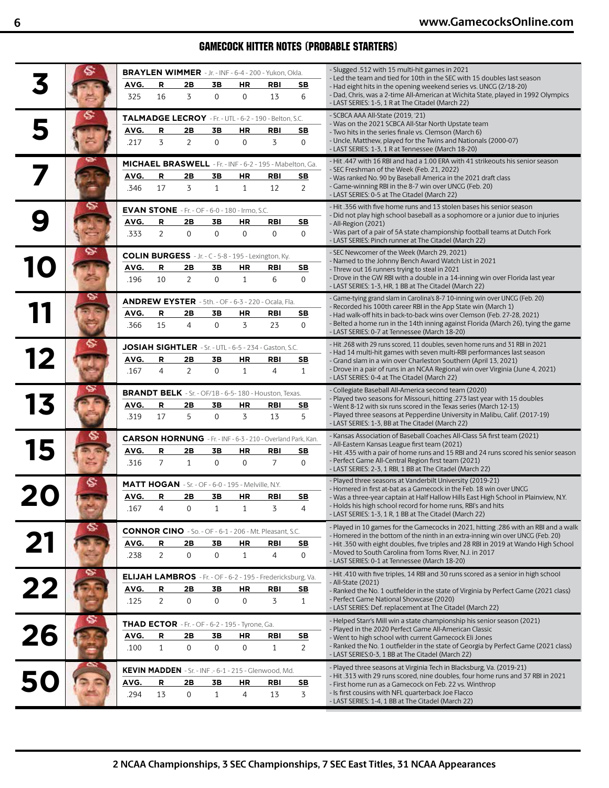## GAMECOCK HITTER NOTES (PROBABLE STARTERS)

|    |              |                     |                |                   |                                                           | BRAYLEN WIMMER - Jr. - INF - 6-4 - 200 - Yukon, Okla.                     |                     | - Slugged .512 with 15 multi-hit games in 2021                                                                                                              |
|----|--------------|---------------------|----------------|-------------------|-----------------------------------------------------------|---------------------------------------------------------------------------|---------------------|-------------------------------------------------------------------------------------------------------------------------------------------------------------|
|    | AVG.         | R                   | 2Β             | 3В                | ΗR                                                        | <b>RBI</b>                                                                | SB                  | - Led the team and tied for 10th in the SEC with 15 doubles last season<br>- Had eight hits in the opening weekend series vs. UNCG (2/18-20)                |
|    | 325          | 16                  | 3              | $\mathbf{0}$      | $\mathbf 0$                                               | 13                                                                        | 6                   | - Dad, Chris, was a 2-time All-American at Wichita State, played in 1992 Olympics<br>- LAST SERIES: 1-5, 1 R at The Citadel (March 22)                      |
|    |              |                     |                |                   |                                                           |                                                                           |                     | - SCBCA AAA All-State (2019, '21)                                                                                                                           |
|    | AVG.         | R                   | 2Β             | 3В                | ΗR                                                        | TALMADGE LECROY - Fr. - UTL - 6-2 - 190 - Belton, S.C.<br>RBI             | SB                  | - Was on the 2021 SCBCA All-Star North Upstate team                                                                                                         |
|    | .217         | 3                   | $\overline{2}$ | $\mathbf{0}$      | $\mathbf 0$                                               | 3                                                                         | $\overline{0}$      | - Two hits in the series finale vs. Clemson (March 6)<br>- Uncle, Matthew, played for the Twins and Nationals (2000-07)                                     |
|    |              |                     |                |                   |                                                           |                                                                           |                     | - LAST SERIES: 1-3, 1 R at Tennessee (March 18-20)                                                                                                          |
|    |              |                     |                |                   |                                                           | MICHAEL BRASWELL - Fr. - INF - 6-2 - 195 - Mabelton, Ga.                  |                     | - Hit .447 with 16 RBI and had a 1.00 ERA with 41 strikeouts his senior season<br>- SEC Freshman of the Week (Feb. 21, 2022)                                |
|    | AVG.         | R                   | 2В             | 3B                | HR                                                        | RBI                                                                       | <u>SB</u>           | - Was ranked No. 90 by Baseball America in the 2021 draft class                                                                                             |
|    | .346         | 17                  | 3              | $\mathbf{1}$      | $\mathbf{1}$                                              | 12                                                                        | 2                   | - Game-winning RBI in the 8-7 win over UNCG (Feb. 20)<br>- LAST SERIES: 0-5 at The Citadel (March 22)                                                       |
|    |              |                     |                |                   | <b>EVAN STONE</b> - Fr. - OF - 6-0 - 180 - Irmo, S.C.     |                                                                           |                     | - Hit .356 with five home runs and 13 stolen bases his senior season                                                                                        |
|    | AVG.         | R                   | 2Β             | 3В                | ΗR                                                        | <b>RBI</b>                                                                | S <sub>B</sub>      | - Did not play high school baseball as a sophomore or a junior due to injuries<br>- All-Region (2021)                                                       |
|    | .333         | $\overline{2}$      | $\mathbf 0$    | $\mathbf{0}$      | $\mathbf 0$                                               | $\boldsymbol{0}$                                                          | $\mathbf{0}$        | - Was part of a pair of 5A state championship football teams at Dutch Fork<br>- LAST SERIES: Pinch runner at The Citadel (March 22)                         |
|    |              |                     |                |                   |                                                           |                                                                           |                     | - SEC Newcomer of the Week (March 29, 2021)                                                                                                                 |
|    | AVG.         | R                   | 2Β             | 3Β                | ΗR                                                        | <b>COLIN BURGESS</b> - Jr. - C - 5-8 - 195 - Lexington, Ky.<br><b>RBI</b> | SE                  | - Named to the Johnny Bench Award Watch List in 2021                                                                                                        |
|    | .196         | 10                  | $\overline{2}$ | $\mathbf{0}$      | $\mathbf{1}$                                              | 6                                                                         | $\mathbf{0}$        | - Threw out 16 runners trying to steal in 2021<br>- Drove in the GW RBI with a double in a 14-inning win over Florida last year                             |
|    |              |                     |                |                   |                                                           |                                                                           |                     | - LAST SERIES: 1-3, HR, 1 BB at The Citadel (March 22)                                                                                                      |
|    |              |                     |                |                   |                                                           | ANDREW EYSTER - 5th. - OF - 6-3 - 220 - Ocala, Fla.                       |                     | - Game-tying grand slam in Carolina's 8-7 10-inning win over UNCG (Feb. 20)<br>- Recorded his 100th career RBI in the App State win (March 1)               |
|    | AVG.         | R                   | 2В             | 3В                | <b>HR</b>                                                 | <b>RBI</b>                                                                | SE                  | - Had walk-off hits in back-to-back wins over Clemson (Feb. 27-28, 2021)                                                                                    |
|    | .366         | 15                  | 4              | 0                 | 3                                                         | 23                                                                        | $\mathbf{0}$        | - Belted a home run in the 14th inning against Florida (March 26), tying the game<br>- LAST SERIES: 0-7 at Tennessee (March 18-20)                          |
|    |              |                     |                |                   |                                                           | JOSIAH SIGHTLER - Sr. - UTL - 6-5 - 234 - Gaston, S.C.                    |                     | - Hit .268 with 29 runs scored, 11 doubles, seven home runs and 31 RBI in 2021                                                                              |
| 12 | AVG.         | R                   | 2Β             | 3В                | ΗR                                                        | <b>RBI</b>                                                                | SB                  | - Had 14 multi-hit games with seven multi-RBI performances last season<br>- Grand slam in a win over Charleston Southern (April 13, 2021)                   |
|    | .167         | $\overline{4}$      | $\overline{2}$ | 0                 | $\mathbf{1}$                                              | 4                                                                         | $\mathbf{1}$        | - Drove in a pair of runs in an NCAA Regional win over Virginia (June 4, 2021)                                                                              |
|    |              |                     |                |                   |                                                           |                                                                           |                     | - LAST SERIES: 0-4 at The Citadel (March 22)<br>- Collegiate Baseball All-America second team (2020)                                                        |
|    | AVG.         | R                   | 2Β             | 3Β                |                                                           | BRANDT BELK - Sr. - OF/1B - 6-5-180 - Houston, Texas.                     |                     | - Played two seasons for Missouri, hitting .273 last year with 15 doubles                                                                                   |
|    | .319         | 17                  | 5              | $\mathbf{0}$      | ΗR<br>3                                                   | <b>RBI</b><br>13                                                          | S <sub>B</sub><br>5 | - Went 8-12 with six runs scored in the Texas series (March 12-13)<br>- Played three seasons at Pepperdine University in Malibu, Calif. (2017-19)           |
|    |              |                     |                |                   |                                                           |                                                                           |                     | - LAST SERIES: 1-3, BB at The Citadel (March 22)                                                                                                            |
|    |              |                     |                |                   |                                                           | CARSON HORNUNG - Fr. - INF - 6-3 - 210 - Overland Park, Kan.              |                     | - Kansas Association of Baseball Coaches All-Class 5A first team (2021)<br>- All-Eastern Kansas League first team (2021)                                    |
|    | AVG.         | R                   | 2В             | 3В                | <b>HR</b>                                                 | <b>RBI</b>                                                                | SE                  | - Hit .435 with a pair of home runs and 15 RBI and 24 runs scored his senior season                                                                         |
|    | .316         | $\overline{7}$      | $\mathbf{1}$   | $\mathbf 0$       | $\boldsymbol{0}$                                          | $\overline{7}$                                                            | $\mathbf{0}$        | - Perfect Game All-Central Region first team (2021)<br>- LAST SERIES: 2-3, 1 RBI, 1 BB at The Citadel (March 22)                                            |
|    |              |                     |                |                   | <b>MATT HOGAN</b> - Sr. - OF - 6-0 - 195 - Melville, N.Y. |                                                                           |                     | - Played three seasons at Vanderbilt University (2019-21)                                                                                                   |
|    | AVG.         | R                   | 2В             | 3В                | ΗR                                                        | <b>RBI</b>                                                                | SB                  | - Homered in first at-bat as a Gamecock in the Feb. 18 win over UNCG<br>- Was a three-year captain at Half Hallow Hills East High School in Plainview, N.Y. |
|    | .167         | $\overline{4}$      | $\overline{0}$ | 1                 | $\mathbf{1}$                                              | $\overline{z}$                                                            | 4                   | - Holds his high school record for home runs, RBI's and hits<br>- LAST SERIES: 1-3, 1 R, 1 BB at The Citadel (March 22)                                     |
|    |              |                     |                |                   |                                                           |                                                                           |                     | - Played in 10 games for the Gamecocks in 2021, hitting .286 with an RBI and a walk                                                                         |
|    |              |                     |                |                   |                                                           | <b>CONNOR CINO</b> - So. - OF - 6-1 - 206 - Mt. Pleasant, S.C.            |                     | - Homered in the bottom of the ninth in an extra-inning win over UNCG (Feb. 20)                                                                             |
| 21 | AVG.<br>.238 | R<br>$\overline{2}$ | 2Β<br>0        | 3В<br>$\mathbf 0$ | ΗR<br>$\mathbf{1}$                                        | RBI<br>$\overline{4}$                                                     | SB<br>$\mathbf 0$   | - Hit .350 with eight doubles, five triples and 28 RBI in 2019 at Wando High School<br>- Moved to South Carolina from Toms River, N.J. in 2017              |
|    |              |                     |                |                   |                                                           |                                                                           |                     | - LAST SERIES: 0-1 at Tennessee (March 18-20)                                                                                                               |
|    |              |                     |                |                   |                                                           | <b>ELIJAH LAMBROS</b> - Fr. - OF - 6-2 - 195 - Fredericksburg, Va.        |                     | - Hit .410 with five triples, 14 RBI and 30 runs scored as a senior in high school<br>- All-State (2021)                                                    |
| 22 | AVG.         | R                   | 2Β             | 3Β                | ΗR                                                        | <b>RBI</b>                                                                | <u>SB</u>           | - Ranked the No. 1 outfielder in the state of Virginia by Perfect Game (2021 class)                                                                         |
|    | .125         | $\overline{2}$      | 0              | $\mathbf 0$       | $\mathbf 0$                                               | 3                                                                         | $\mathbf{1}$        | - Perfect Game National Showcase (2020)<br>- LAST SERIES: Def. replacement at The Citadel (March 22)                                                        |
|    |              |                     |                |                   | <b>THAD ECTOR</b> - Fr. - OF - 6-2 - 195 - Tyrone, Ga.    |                                                                           |                     | - Helped Starr's Mill win a state championship his senior season (2021)                                                                                     |
| 26 | AVG.         | R                   | 2В             | 3В                | ΗR                                                        | RBI                                                                       | S <sub>B</sub>      | - Played in the 2020 Perfect Game All-American Classic<br>- Went to high school with current Gamecock Eli Jones                                             |
|    | .100         | $\mathbf{1}$        | 0              | $\mathbf 0$       | $\mathbf 0$                                               | $\mathbf{1}$                                                              | 2                   | - Ranked the No. 1 outfielder in the state of Georgia by Perfect Game (2021 class)                                                                          |
|    |              |                     |                |                   |                                                           |                                                                           |                     | - LAST SERIES:0-3, 1 BB at The Citadel (March 22)                                                                                                           |
|    |              |                     |                |                   |                                                           | KEVIN MADDEN - Sr. - INF .- 6-1 - 215 - Glenwood, Md.                     |                     | - Played three seasons at Virginia Tech in Blacksburg, Va. (2019-21)<br>- Hit .313 with 29 runs scored, nine doubles, four home runs and 37 RBI in 2021     |
| 50 | AVG.         | R                   | 2Β             | 3B                | <b>HR</b>                                                 | <b>RBI</b>                                                                | S <sub>B</sub>      | - First home run as a Gamecock on Feb. 22 vs. Winthrop<br>- Is first cousins with NFL quarterback Joe Flacco                                                |
|    | .294         | 13                  | $\mathbf 0$    | $\mathbf{1}$      | 4                                                         | 13                                                                        | 3                   | - LAST SERIES: 1-4, 1 BB at The Citadel (March 22)                                                                                                          |
|    |              |                     |                |                   |                                                           |                                                                           |                     |                                                                                                                                                             |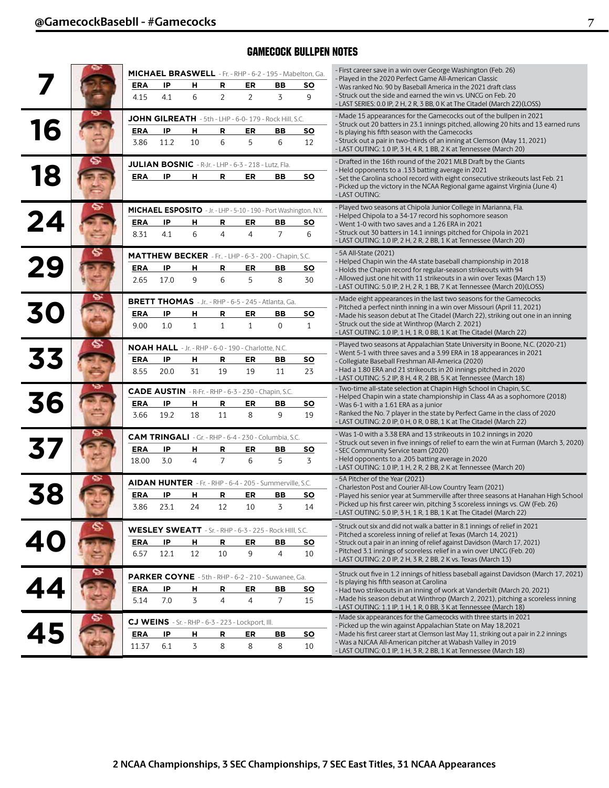## GAMECOCK BULLPEN NOTES

|           |            |      |                                                                    |                |                |                                                                   | MICHAEL BRASWELL - Fr. - RHP - 6-2 - 195 - Mabelton, Ga. | - First career save in a win over George Washington (Feb. 26)                                                                                                 |
|-----------|------------|------|--------------------------------------------------------------------|----------------|----------------|-------------------------------------------------------------------|----------------------------------------------------------|---------------------------------------------------------------------------------------------------------------------------------------------------------------|
|           | <b>ERA</b> | IP   | н                                                                  | R              | ER             | ВB                                                                | SO                                                       | - Played in the 2020 Perfect Game All-American Classic<br>- Was ranked No. 90 by Baseball America in the 2021 draft class                                     |
|           | 4.15       | 4.1  | 6                                                                  | $\overline{2}$ | $\overline{2}$ | 3                                                                 | 9                                                        | - Struck out the side and earned the win vs. UNCG on Feb. 20<br>- LAST SERIES: 0.0 IP, 2 H, 2 R, 3 BB, 0 K at The Citadel (March 22)(LOSS)                    |
|           |            |      |                                                                    |                |                | JOHN GILREATH - 5th - LHP - 6-0- 179 - Rock Hill, S.C.            |                                                          | - Made 15 appearances for the Gamecocks out of the bullpen in 2021<br>- Struck out 20 batters in 23.1 innings pitched, allowing 20 hits and 13 earned runs    |
| 16        | <b>ERA</b> | IP   | н                                                                  | R              | ER             | ВB                                                                | <u>so</u>                                                | - Is playing his fifth season with the Gamecocks                                                                                                              |
|           | 3.86       | 11.2 | 10                                                                 | 6              | 5              | 6                                                                 | 12                                                       | - Struck out a pair in two-thirds of an inning at Clemson (May 11, 2021)<br>- LAST OUTING: 1.0 IP, 3 H, 4 R, 1 BB, 2 K at Tennessee (March 20)                |
|           |            |      | JULIAN BOSNIC - R-Jr. - LHP - 6-3 - 218 - Lutz, Fla.               |                |                |                                                                   |                                                          | - Drafted in the 16th round of the 2021 MLB Draft by the Giants                                                                                               |
| <b>18</b> | <b>ERA</b> | IP   | н                                                                  | R              | ER             | BВ                                                                | <u>so</u>                                                | - Held opponents to a .133 batting average in 2021<br>- Set the Carolina school record with eight consecutive strikeouts last Feb. 21                         |
|           |            |      |                                                                    |                |                |                                                                   |                                                          | - Picked up the victory in the NCAA Regional game against Virginia (June 4)<br>- LAST OUTING:                                                                 |
|           |            |      |                                                                    |                |                | MICHAEL ESPOSITO - Jr. - LHP - 5-10 - 190 - Port Washington, N.Y. |                                                          | - Played two seasons at Chipola Junior College in Marianna, Fla.<br>- Helped Chipola to a 34-17 record his sophomore season                                   |
| 24        | <b>ERA</b> | IP   | н                                                                  | R              | ER             | BВ                                                                | <u>so</u>                                                | - Went 1-0 with two saves and a 1.26 ERA in 2021                                                                                                              |
|           | 8.31       | 4.1  | 6                                                                  | $\overline{4}$ | 4              | $\overline{7}$                                                    | 6                                                        | - Struck out 30 batters in 14.1 innings pitched for Chipola in 2021<br>- LAST OUTING: 1.0 IP, 2 H, 2 R, 2 BB, 1 K at Tennessee (March 20)                     |
|           |            |      |                                                                    |                |                | <b>MATTHEW BECKER</b> - Fr - LHP - 6-3 - 200 - Chapin, S.C.       |                                                          | - 5A All-State (2021)<br>- Helped Chapin win the 4A state baseball championship in 2018                                                                       |
|           | <b>ERA</b> | IP   | н                                                                  | R              | ER             | BВ                                                                | <u>so</u>                                                | - Holds the Chapin record for regular-season strikeouts with 94                                                                                               |
|           | 2.65       | 17.0 | 9                                                                  | 6              | 5              | 8                                                                 | 30                                                       | - Allowed just one hit with 11 strikeouts in a win over Texas (March 13)<br>- LAST OUTING: 5.0 IP, 2 H, 2 R, 1 BB, 7 K at Tennessee (March 20)(LOSS)          |
|           |            |      |                                                                    |                |                | BRETT THOMAS - Jr - RHP - 6-5 - 245 - Atlanta, Ga.                |                                                          | - Made eight appearances in the last two seasons for the Gamecocks                                                                                            |
|           | <b>ERA</b> | IP   | н                                                                  | R              | ER             | ВB                                                                | <u>so</u>                                                | - Pitched a perfect ninth inning in a win over Missouri (April 11, 2021)<br>- Made his season debut at The Citadel (March 22), striking out one in an inning  |
|           | 9.00       | 1.0  | $\mathbf{1}$                                                       | $\mathbf{1}$   | $\mathbf{1}$   | $\mathbf 0$                                                       | $\mathbf{1}$                                             | - Struck out the side at Winthrop (March 2. 2021)<br>- LAST OUTING: 1.0 IP, 1 H, 1 R, 0 BB, 1 K at The Citadel (March 22)                                     |
|           |            |      | NOAH HALL - Jr. - RHP - 6-0 - 190 - Charlotte, N.C.                |                |                |                                                                   |                                                          | - Played two seasons at Appalachian State University in Boone, N.C. (2020-21)<br>- Went 5-1 with three saves and a 3.99 ERA in 18 appearances in 2021         |
| <b>33</b> | <b>ERA</b> | IP   | н                                                                  | R              | ER             | BВ                                                                | <u>so</u>                                                | - Collegiate Baseball Freshman All-America (2020)                                                                                                             |
|           | 8.55       | 20.0 | 31                                                                 | 19             | 19             | 11                                                                | 23                                                       | - Had a 1.80 ERA and 21 strikeouts in 20 innings pitched in 2020<br>- LAST OUTING: 5.2 IP, 8 H, 4 R, 2 BB, 5 K at Tennessee (March 18)                        |
|           |            |      |                                                                    |                |                | CADE AUSTIN - R-Fr. - RHP - 6-3 - 230 - Chapin, S.C.              |                                                          | - Two-time all-state selection at Chapin High School in Chapin, S.C.<br>- Helped Chapin win a state championship in Class 4A as a sophomore (2018)            |
| 36        | <b>ERA</b> | IP   | н                                                                  | R              | ER             | BВ                                                                | <u>so</u>                                                | - Was 6-1 with a 1.61 ERA as a junior                                                                                                                         |
|           | 3.66       | 19.2 | 18                                                                 | 11             | 8              | 9                                                                 | 19                                                       | - Ranked the No. 7 player in the state by Perfect Game in the class of 2020<br>- LAST OUTING: 2.0 IP, 0 H, 0 R, 0 BB, 1 K at The Citadel (March 22)           |
|           |            |      |                                                                    |                |                | CAM TRINGALI - Gr. - RHP - 6-4 - 230 - Columbia, S.C.             |                                                          | - Was 1-0 with a 3.38 ERA and 13 strikeouts in 10.2 innings in 2020<br>- Struck out seven in five innings of relief to earn the win at Furman (March 3, 2020) |
|           | <b>ERA</b> | IP   | н                                                                  | R              | ER             | ВB                                                                | <u>so</u>                                                | - SEC Community Service team (2020)                                                                                                                           |
|           | 18.00      | 3.0  | $\overline{4}$                                                     | $\overline{7}$ | 6              | 5                                                                 | 3                                                        | - Held opponents to a .205 batting average in 2020<br>- LAST OUTING: 1.0 IP, 1 H, 2 R, 2 BB, 2 K at Tennessee (March 20)                                      |
|           |            |      |                                                                    |                |                | AIDAN HUNTER - Fr. - RHP - 6-4 - 205 - Summerville, S.C.          |                                                          | - 5A Pitcher of the Year (2021)<br>- Charleston Post and Courier All-Low Country Team (2021)                                                                  |
| 8         | <b>ERA</b> | IP   | н                                                                  | R              | ER             | BB                                                                | SO                                                       | - Played his senior year at Summerville after three seasons at Hanahan High School                                                                            |
|           | 3.86       | 23.1 | 24                                                                 | 12             | 10             | 3                                                                 | 14                                                       | - Picked up his first career win, pitching 3 scoreless innings vs. GW (Feb. 26)<br>- LAST OUTING: 5.0 IP, 3 H, 1 R, 1 BB, 1 K at The Citadel (March 22)       |
|           |            |      |                                                                    |                |                | WESLEY SWEATT - Sr. - RHP - 6-3 - 225 - Rock HIII, S.C.           |                                                          | - Struck out six and did not walk a batter in 8.1 innings of relief in 2021<br>- Pitched a scoreless inning of relief at Texas (March 14, 2021)               |
|           | <b>ERA</b> | IP   | н                                                                  | R              | ER             | BВ                                                                | <u>so</u>                                                | - Struck out a pair in an inning of relief against Davidson (March 17, 2021)                                                                                  |
|           | 6.57       | 12.1 | 12                                                                 | 10             | 9              | $\overline{4}$                                                    | 10                                                       | - Pitched 3.1 innings of scoreless relief in a win over UNCG (Feb. 20)<br>- LAST OUTING: 2.0 IP, 2 H, 3 R, 2 BB, 2 K vs. Texas (March 13)                     |
|           |            |      |                                                                    |                |                | PARKER COYNE - 5th - RHP - 6-2 - 210 - Suwanee, Ga.               |                                                          | - Struck out five in 1.2 innings of hitless baseball against Davidson (March 17, 2021)                                                                        |
|           | <b>ERA</b> | IP   | н,                                                                 | R              | ER             | ВB                                                                | <u>so</u>                                                | - Is playing his fifth season at Carolina<br>- Had two strikeouts in an inning of work at Vanderbilt (March 20, 2021)                                         |
|           | 5.14       | 7.0  | 3                                                                  | 4              | $\overline{4}$ | 7                                                                 | 15                                                       | - Made his season debut at Winthrop (March 2, 2021), pitching a scoreless inning<br>- LAST OUTING: 1.1 IP, 1 H, 1 R, 0 BB, 3 K at Tennessee (March 18)        |
|           |            |      | <b>CJ WEINS</b> $-$ Sr. $-$ RHP $-$ 6-3 $-$ 223 $-$ Lockport, III. |                |                |                                                                   |                                                          | - Made six appearances for the Gamecocks with three starts in 2021<br>- Picked up the win against Appalachian State on May 18,2021                            |
|           | <b>ERA</b> | IP   | н                                                                  | R              | ER             | BB                                                                | <b>SO</b>                                                | - Made his first career start at Clemson last May 11, striking out a pair in 2.2 innings                                                                      |
|           | 11.37      | 6.1  | 3                                                                  | 8              | 8              | 8                                                                 | 10                                                       | - Was a NJCAA All-American pitcher at Wabash Valley in 2019<br>- LAST OUTING: 0.1 IP, 1 H, 3 R, 2 BB, 1 K at Tennessee (March 18)                             |
|           |            |      |                                                                    |                |                |                                                                   |                                                          |                                                                                                                                                               |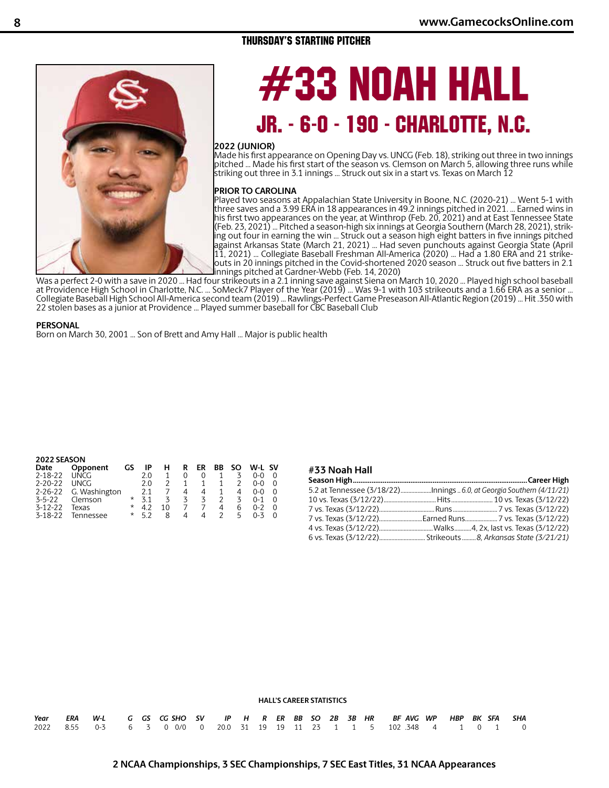## **8 www.GamecocksOnline.com**

## THURSDAY'S STARTING PITCHER



# 33 NOAH HALL JR. - 6-0 - 190 - CHARLOTTE, N.C.

#### **2022 (JUNIOR)**

Made his first appearance on Opening Day vs. UNCG (Feb. 18), striking out three in two innings pitched ... Made his first start of the season vs. Clemson on March 5, allowing three runs while striking out three in 3.1 innings ... Struck out six in a start vs. Texas on March 12

#### **PRIOR TO CAROLINA**

Played two seasons at Appalachian State University in Boone, N.C. (2020-21) ... Went 5-1 with three saves and a 3.99 ERA in 18 appearances in 49.2 innings pitched in 2021. ... Earned wins in his first two appearances on the year, at Winthrop (Feb. 20, 2021) and at East Tennessee State (Feb. 23, 2021) ... Pitched a season-high six innings at Georgia Southern (March 28, 2021), striking out four in earning the win ... Struck out a season high eight batters in five innings pitched against Arkansas State (March 21, 2021) ... Had seven punchouts against Georgia State (April 11, 2021) ... Collegiate Baseball Freshman All-America (2020) ... Had a 1.80 ERA and 21 strikeouts in 20 innings pitched in the Covid-shortened 2020 season ... Struck out five batters in 2.1 innings pitched at Gardner-Webb (Feb. 14, 2020)

Was a perfect 2-0 with a save in 2020 ... Had four strikeouts in a 2.1 inning save against Siena on March 10, 2020 ... Played high school baseball at Providence High School in Charlotte, N.C. ... SoMeck7 Player of the Year (2019) ... Was 9-1 with 103 strikeouts and a 1.66 ERA as a senior ... Collegiate Baseball High School All-America second team (2019) ... Rawlings-Perfect Game Preseason All-Atlantic Region (2019) ... Hit .350 with 22 stolen bases as a junior at Providence ... Played summer baseball for CBC Baseball Club

#### **PERSONAL**

Born on March 30, 2001 ... Son of Brett and Amy Hall ... Major is public health

|               | 2022 SEASON   |          |     |    |   |    |    |     |         |          |  |  |  |  |  |
|---------------|---------------|----------|-----|----|---|----|----|-----|---------|----------|--|--|--|--|--|
| Date          | Opponent      | GS       | IP  | н  | R | ER | ВB | SO. | W-L SV  |          |  |  |  |  |  |
| $2 - 18 - 22$ | UNCG          |          | 20  |    |   | 0  |    | 3   | 0-0     |          |  |  |  |  |  |
| $2 - 20 - 22$ | LINCG         |          | 20  |    |   |    |    |     | $0-0$   | $\Omega$ |  |  |  |  |  |
| $2 - 26 - 22$ | G. Washington |          | 21  |    | 4 | 4  |    |     | $0 - 0$ | $\Omega$ |  |  |  |  |  |
| $3 - 5 - 22$  | Clemson       | $^\star$ | 3 1 | 3  | 3 | 3  |    | 3   | $0 - 1$ | $\Omega$ |  |  |  |  |  |
| $3 - 12 - 22$ | Texas         | *        | 42  | 10 |   |    | 4  | 6   | $0 - 2$ | ∩        |  |  |  |  |  |
| $3 - 18 - 22$ | Tennessee     | *        | 52  | 8  | Δ | 4  |    | г,  | $0 - 3$ |          |  |  |  |  |  |

#### **#33 Noah Hall**

#### **HALL'S CAREER STATISTICS**

|  | Year ERA W-L G GS CG-SHO SV IP H R ER BB SO 2B 3B HR  BF-AVG-WP HBP BK SFA  SHA |  |  |  |  |  |  |  |  |  |  |
|--|---------------------------------------------------------------------------------|--|--|--|--|--|--|--|--|--|--|
|  | 2022 8.55 0-3 6 3 0 0/0 0 20.0 31 19 19 11 23 1 1 5 102 348 4 1 0 1 0           |  |  |  |  |  |  |  |  |  |  |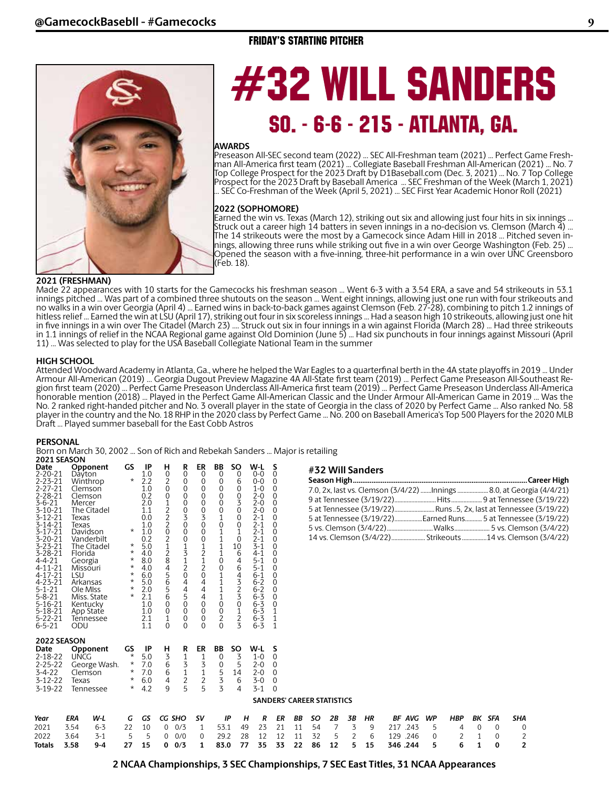## FRIDAY'S STARTING PITCHER



# #32 WILL SANDERS SO. - 6-6 - 215 - ATLANTA, GA.

#### **AWARDS**

Preseason All-SEC second team (2022) ... SEC All-Freshman team (2021) ... Perfect Game Freshman All-America first team (2021) ... Collegiate Baseball Freshman All-American (2021) ... No. 7 Top College Prospect for the 2023 Draft by D1Baseball.com (Dec. 3, 2021) ... No. 7 Top College Prospect for the 2023 Draft by Baseball America ... SEC Freshman of the Week (March 1, 2021) ... SEC Co-Freshman of the Week (April 5, 2021) ... SEC First Year Academic Honor Roll (2021)

#### **2022 (SOPHOMORE)**

Earned the win vs. Texas (March 12), striking out six and allowing just four hits in six innings ... Struck out a career high 14 batters in seven innings in a no-decision vs. Clemson (March 4) ... The 14 strikeouts were the most by a Gamecock since Adam Hill in 2018 ... Pitched seven innings, allowing three runs while striking out five in a win over George Washington (Feb. 25) ... Opened the season with a five-inning, three-hit performance in a win over UNC Greensboro (Feb. 18).

#### **2021 (FRESHMAN)**

Made 22 appearances with 10 starts for the Gamecocks his freshman season ... Went 6-3 with a 3.54 ERA, a save and 54 strikeouts in 53.1 innings pitched ... Was part of a combined three shutouts on the season ... Went eight innings, allowing just one run with four strikeouts and no walks in a win over Georgia (April 4) ... Earned wins in back-to-back games against Clemson (Feb. 27-28), combining to pitch 1.2 innings of hitless relief ... Earned the win at LSU (April 17), striking out four in six scoreless innings ... Had a season high 10 strikeouts, allowing just one hit in five innings in a win over The Citadel (March 23) .... Struck out six in four innings in a win against Florida (March 28) ... Had three strikeouts in 1.1 innings of relief in the NCAA Regional game against Old Dominion (June 5) ... Had six punchouts in four innings against Missouri (April 11) ... Was selected to play for the USA Baseball Collegiate National Team in the summer

#### **HIGH SCHOOL**

Attended Woodward Academy in Atlanta, Ga., where he helped the War Eagles to a quarterfinal berth in the 4A state playoffs in 2019 ... Under Armour All-American (2019) ... Georgia Dugout Preview Magazine 4A All-State first team (2019) ... Perfect Game Preseason All-Southeast Region first team (2020) ... Perfect Game Preseason Underclass All-America first team (2019) ... Perfect Game Preseason Underclass All-America honorable mention (2018) ... Played in the Perfect Game All-American Classic and the Under Armour All-American Game in 2019 ... Was the No. 2 ranked right-handed pitcher and No. 3 overall player in the state of Georgia in the class of 2020 by Perfect Game ... Also ranked No. 58 player in the country and the No. 18 RHP in the 2020 class by Perfect Game ... No. 200 on Baseball America's Top 500 Players for the 2020 MLB Draft ... Played summer baseball for the East Cobb Astros

#### **PERSONAL**

Born on March 30, 2002 ... Son of Rich and Rebekah Sanders ... Major is retailing

| 2021 SEASON                                                                                                                                                                                                                                                                                                                                                                     |                                                                                                                                                                                                                                                                       |                                      |                                                                                                                      |                                                                                                                                                               |                                                                                                                  |                                                                                                                                                                                                                                                           |                                                                                         |                                                                                                                                                                                                                          |                                                                                                                                                                                                                      |                                                                                                                                                                                                                                                    |                                                                                                                                                                                                                                                                     |                      |                      |                                 |                   |                    |                                             |             |                                                                                                                                                                                                                       |                                             |                              |                                              |
|---------------------------------------------------------------------------------------------------------------------------------------------------------------------------------------------------------------------------------------------------------------------------------------------------------------------------------------------------------------------------------|-----------------------------------------------------------------------------------------------------------------------------------------------------------------------------------------------------------------------------------------------------------------------|--------------------------------------|----------------------------------------------------------------------------------------------------------------------|---------------------------------------------------------------------------------------------------------------------------------------------------------------|------------------------------------------------------------------------------------------------------------------|-----------------------------------------------------------------------------------------------------------------------------------------------------------------------------------------------------------------------------------------------------------|-----------------------------------------------------------------------------------------|--------------------------------------------------------------------------------------------------------------------------------------------------------------------------------------------------------------------------|----------------------------------------------------------------------------------------------------------------------------------------------------------------------------------------------------------------------|----------------------------------------------------------------------------------------------------------------------------------------------------------------------------------------------------------------------------------------------------|---------------------------------------------------------------------------------------------------------------------------------------------------------------------------------------------------------------------------------------------------------------------|----------------------|----------------------|---------------------------------|-------------------|--------------------|---------------------------------------------|-------------|-----------------------------------------------------------------------------------------------------------------------------------------------------------------------------------------------------------------------|---------------------------------------------|------------------------------|----------------------------------------------|
| Date<br>$2 - 20 - 21$<br>$2 - 23 - 21$<br>$2 - 27 - 21$<br>$2 - 28 - 21$<br>$3 - 6 - 21$<br>$3 - 10 - 21$<br>$3 - 12 - 21$<br>$3 - 14 - 21$<br>$3 - 17 - 21$<br>$3 - 20 - 21$<br>$3 - 23 - 21$<br>$3 - 28 - 21$<br>$4 - 4 - 21$<br>$4 - 11 - 21$<br>4-17-21<br>$4 - 23 - 21$<br>$5 - 1 - 21$<br>$5 - 8 - 21$<br>$5 - 16 - 21$<br>$5 - 18 - 21$<br>$5 - 22 - 21$<br>$6 - 5 - 21$ | Opponent<br>Dayton<br>Winthrop<br>Clemson<br>Clemson<br>Mercer<br>The Citadel<br>Texas<br>Texas<br>Davidson<br>Vanderbilt<br>The Citadel<br>Florida<br>Georgia<br>Missouri<br>LSU<br>Arkansas<br>Ole Miss<br>Miss. State<br>Kentucky<br>App State<br>Tennessee<br>ODU |                                      | GS<br>$\star$<br>$\star$<br>$\star$<br>$^\star$<br>$^\star$<br>$^\star$<br>$\star$<br>$^\star$<br>$\star$<br>$\star$ | -IP<br>1.0<br>2.2<br>1.0<br>0.2<br>2.0<br>1.1<br>0.0<br>1.0<br>1.0<br>0.2<br>5.0<br>4.0<br>8.0<br>4.0<br>6.0<br>5.0<br>2.0<br>2.1<br>1.0<br>1.0<br>2.1<br>1.1 | н<br>0<br>$\frac{2}{0}$<br>0<br>12220212845656<br>$\overline{0}$<br>$\boldsymbol{0}$<br>$\mathbf{1}$<br>$\Omega$ | R<br>$\overline{0}$<br>$\overline{0}$<br>$\overline{0}$<br>$\overline{0}$<br>$\overline{0}$<br>$\frac{0}{3}$<br>$\mathbf 0$<br>$\overline{0}$<br>0<br>$\frac{1}{3}$<br>$\frac{2}{4}$<br>$\frac{4}{5}$<br>$\frac{4}{5}$<br>$\overline{0}$<br>0<br>$\Omega$ | ER<br>$\overline{0}$<br>$\begin{matrix} 0 \\ 0 \\ 0 \end{matrix}$<br>003000121204440000 | BB<br>$\overline{0}$<br>$\overline{0}$<br>0<br>$\overline{0}$<br>0<br>0<br>$\mathbf{1}$<br>$\begin{smallmatrix} 0\\ 1 \end{smallmatrix}$<br>$\begin{array}{c} 1 \\ 1 \\ 1 \end{array}$<br>$\boldsymbol{0}$<br>0111100020 | <b>SO</b><br>$\overline{0}$<br>6<br>0<br>$\overline{0}$<br>3<br>$\mathbf 0$<br>$\overline{0}$<br>$\begin{smallmatrix} 0\\ 1 \end{smallmatrix}$<br>0<br>10<br>$\begin{bmatrix} 6 \\ 4 \end{bmatrix}$<br>6<br>43230123 | W-L<br>$0 - 0$<br>$0-0$<br>$1 - 0$<br>$2 - 0$<br>$2 - 0$<br>$2 - 0$<br>$2 - 1$<br>$\frac{2-1}{2-1}$<br>$2 - 1$<br>$3 - 1$<br>$4 - 1$<br>$5 - 1$<br>$5 - 1$<br>$6 - 1$<br>$6 - 2$<br>$6 - 2$<br>$6 - 3$<br>$6 - 3$<br>$6 - 3$<br>$6 - 3$<br>$6 - 3$ | S<br>$\Omega$<br>$\overline{0}$<br>$\Omega$<br>$\Omega$<br>$\overline{0}$<br>$\Omega$<br>$\Omega$<br>$\Omega$<br>$\Omega$<br>$\mathbf 0$<br>$\Omega$<br>$\Omega$<br>$\Omega$<br>$\Omega$<br>$\mathbf 0$<br>$\mathbf 0$<br>0<br>$\Omega$<br>$\overline{0}$<br>1<br>1 |                      |                      |                                 |                   | #32 Will Sanders   |                                             |             | 7.0, 2x, last vs. Clemson (3/4/22) Innings  8.0, at Geo<br>5 at Tennessee (3/19/22) Runs5, 2x, last at Tenness<br>5 at Tennessee (3/19/22)Earned Runs 5 at Tenness<br>14 vs. Clemson (3/4/22)  Strikeouts 14 vs. Clem |                                             |                              |                                              |
| 2022 SEASON<br>Date<br>$2 - 18 - 22$<br>$2 - 25 - 22$<br>$3 - 4 - 22$<br>$3 - 12 - 22$<br>$3-19-22$                                                                                                                                                                                                                                                                             | Opponent<br><b>UNCG</b><br>George Wash.<br>Clemson<br>Texas<br>Tennessee                                                                                                                                                                                              |                                      | GS<br>$\star$<br>$\star$<br>$\star$<br>$\ast$<br>$\star$                                                             | -IP<br>5.0<br>7.0<br>7.0<br>6.0<br>4.2                                                                                                                        | н<br>$\overline{3}$<br>$\overline{6}$<br>6<br>$\overline{4}$<br>9                                                | R<br>$\frac{1}{3}$<br>$\frac{1}{2}$<br>5                                                                                                                                                                                                                  | ER<br>$\frac{1}{3}$<br>$\frac{1}{2}$<br>5                                               | BB<br>$\overline{0}$<br>3                                                                                                                                                                                                | <b>SO</b><br>$\overline{\mathbf{3}}$<br>$\begin{matrix}0&5\\5&14\\5&6\end{matrix}$<br>4                                                                                                                              | W-L<br>$1 - 0$<br>$2 - 0$<br>$2 - 0$<br>$3 - 0$<br>$3 - 1$                                                                                                                                                                                         | -S<br>$\overline{0}$<br>$\Omega$<br>$\Omega$<br>$\mathbf 0$<br>$\Omega$<br><b>SANDERS' CAREER STATISTICS</b>                                                                                                                                                        |                      |                      |                                 |                   |                    |                                             |             |                                                                                                                                                                                                                       |                                             |                              |                                              |
| Year<br>2021<br>2022<br><b>Totals</b>                                                                                                                                                                                                                                                                                                                                           | ERA<br>3.54<br>3.64<br>3.58                                                                                                                                                                                                                                           | W-L<br>$6 - 3$<br>$3 - 1$<br>$9 - 4$ | G<br>22<br>5<br>27                                                                                                   | GS<br>10<br>5<br>15                                                                                                                                           | CG SHO<br>0                                                                                                      | $0 \t 0/3$<br>$0\quad 0/0$<br>0/3                                                                                                                                                                                                                         | sv<br>1<br>0<br>1                                                                       | ΙP<br>53.1<br>29.2<br>83.0                                                                                                                                                                                               | н<br>49<br>28<br>77                                                                                                                                                                                                  | R<br>23<br>12<br>35                                                                                                                                                                                                                                | ER<br>21<br>12<br>33                                                                                                                                                                                                                                                | ΒB<br>11<br>11<br>22 | SO<br>54<br>32<br>86 | 2B<br>$\overline{7}$<br>5<br>12 | 3B<br>3<br>2<br>5 | HR<br>9<br>6<br>15 | BF AVG WP<br>217 .243<br>129.246<br>346.244 | 5<br>0<br>5 | <b>HBP</b><br>4<br>2<br>6                                                                                                                                                                                             | $\mathbf 0$<br>$\mathbf{1}$<br>$\mathbf{1}$ | BK SFA<br>0<br>0<br>$\bf{0}$ | SHA<br>0<br>$\overline{c}$<br>$\overline{2}$ |

| " JE VVIII JUIIUCIJ                                          |  |
|--------------------------------------------------------------|--|
|                                                              |  |
|                                                              |  |
|                                                              |  |
|                                                              |  |
| 5 at Tennessee (3/19/22)Earned Runs 5 at Tennessee (3/19/22) |  |
|                                                              |  |
|                                                              |  |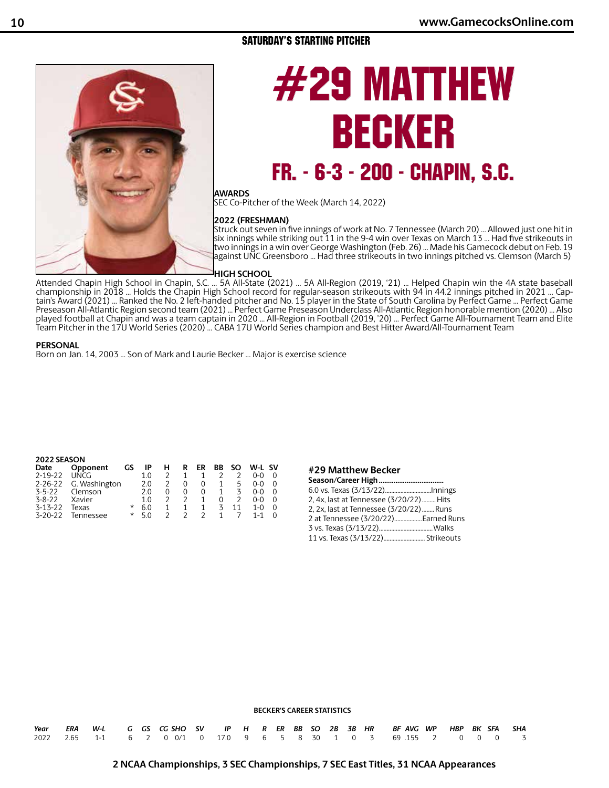## SATURDAY'S STARTING PITCHER



# #29 MATTHEW BECKER FR. - 6-3 - 200 - CHAPIN, S.C.

## **AWARDS**

SEC Co-Pitcher of the Week (March 14, 2022)

#### **2022 (FRESHMAN)**

Struck out seven in five innings of work at No. 7 Tennessee (March 20) ... Allowed just one hit in six innings while striking out 11 in the 9-4 win over Texas on March 13 ... Had five strikeouts in two innings in a win over George Washington (Feb. 26) ... Made his Gamecock debut on Feb. 19 against UNC Greensboro ... Had three strikeouts in two innings pitched vs. Clemson (March 5)

#### **HIGH SCHOOL**

Attended Chapin High School in Chapin, S.C. ... 5A All-State (2021) ... 5A All-Region (2019, '21) ... Helped Chapin win the 4A state baseball championship in 2018 ... Holds the Chapin High School record for regular-season strikeouts with 94 in 44.2 innings pitched in 2021 ... Captain's Award (2021) ... Ranked the No. 2 left-handed pitcher and No. 15 player in the State of South Carolina by Perfect Game ... Perfect Game Preseason All-Atlantic Region second team (2021) ... Perfect Game Preseason Underclass All-Atlantic Region honorable mention (2020) ... Also played football at Chapin and was a team captain in 2020 ... All-Region in Football (2019, '20) ... Perfect Game All-Tournament Team and Elite Team Pitcher in the 17U World Series (2020) ... CABA 17U World Series champion and Best Hitter Award/All-Tournament Team

#### **PERSONAL**

Born on Jan. 14, 2003 ... Son of Mark and Laurie Becker ... Major is exercise science

#### **2022 SEASON**

| Date          | Opponent      | GS       | ΙP  | н | R | ER            | ВB | SO. | W-L SV |  |
|---------------|---------------|----------|-----|---|---|---------------|----|-----|--------|--|
| $2 - 19 - 22$ | UNCG          |          | 1 በ |   | 1 |               |    |     | 0-0    |  |
| $2 - 26 - 22$ | G. Washington |          | 2.0 | 2 | 0 | 0             | 1  | 5   | 0-0    |  |
| $3 - 5 - 22$  | Clemson       |          | 20  |   | 0 | 0             |    | 3   | 0-0    |  |
| $3 - 8 - 22$  | Xavier        |          | 1 O |   |   |               |    |     | 0-0    |  |
| $3 - 13 - 22$ | Texas         | *        | 60  |   | 1 | 1             | 3  | 11  | 1-0    |  |
| $3 - 20 - 22$ | Tennessee     | $^\star$ | 50  |   | 2 | $\mathcal{P}$ | 1  |     | 1-1    |  |

#### **#29 Matthew Becker**

| 2, 4x, last at Tennessee (3/20/22) Hits  |  |
|------------------------------------------|--|
| 2, 2x, last at Tennessee (3/20/22)  Runs |  |
| 2 at Tennessee (3/20/22) Earned Runs     |  |
|                                          |  |
|                                          |  |

#### **BECKER'S CAREER STATISTICS**

|  |  |  |  |  |  |  |  | Year ERA W-L G GS CG-SHO SV IP H R ER BB SO 2B 3B HR  BF-AVG-WP HBP BK SFA  SHA |  |  |  |
|--|--|--|--|--|--|--|--|---------------------------------------------------------------------------------|--|--|--|
|  |  |  |  |  |  |  |  | 2022 2.65 1-1 6 2 0 0/1 0 17.0 9 6 5 8 30 1 0 3 69 155 2 0 0 0 3                |  |  |  |

## **2 NCAA Championships, 3 SEC Championships, 7 SEC East Titles, 31 NCAA Appearances**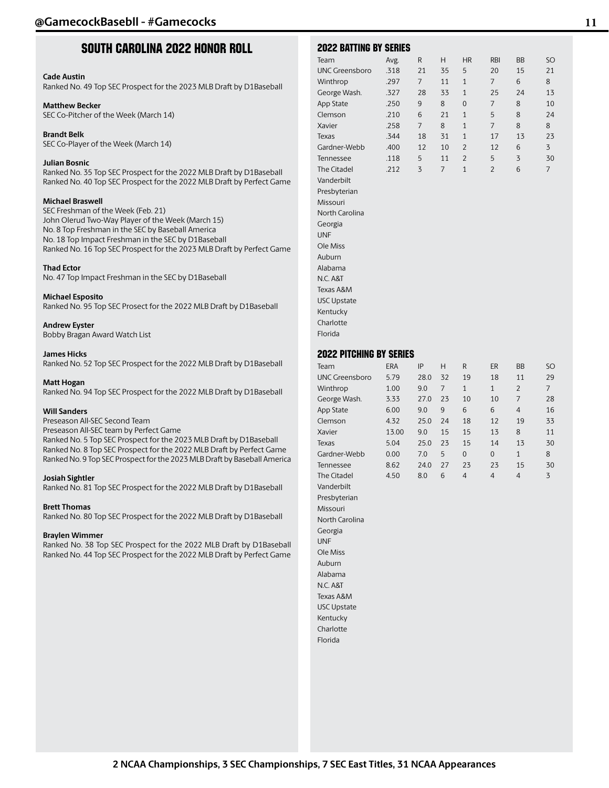## South Carolina 2022 Honor Roll

#### **Cade Austin**

Ranked No. 49 Top SEC Prospect for the 2023 MLB Draft by D1Baseball

#### **Matthew Becker**

SEC Co-Pitcher of the Week (March 14)

**Brandt Belk** SEC Co-Player of the Week (March 14)

#### **Julian Bosnic**

Ranked No. 35 Top SEC Prospect for the 2022 MLB Draft by D1Baseball Ranked No. 40 Top SEC Prospect for the 2022 MLB Draft by Perfect Game

#### **Michael Braswell**

SEC Freshman of the Week (Feb. 21) John Olerud Two-Way Player of the Week (March 15) No. 8 Top Freshman in the SEC by Baseball America No. 18 Top Impact Freshman in the SEC by D1Baseball Ranked No. 16 Top SEC Prospect for the 2023 MLB Draft by Perfect Game

#### **Thad Ector**

No. 47 Top Impact Freshman in the SEC by D1Baseball

#### **Michael Esposito**

Ranked No. 95 Top SEC Prosect for the 2022 MLB Draft by D1Baseball

#### **Andrew Eyster**

Bobby Bragan Award Watch List

#### **James Hicks**

Ranked No. 52 Top SEC Prospect for the 2022 MLB Draft by D1Baseball

#### **Matt Hogan**

Ranked No. 94 Top SEC Prospect for the 2022 MLB Draft by D1Baseball

#### **Will Sanders**

Preseason All-SEC Second Team Preseason All-SEC team by Perfect Game Ranked No. 5 Top SEC Prospect for the 2023 MLB Draft by D1Baseball Ranked No. 8 Top SEC Prospect for the 2022 MLB Draft by Perfect Game Ranked No. 9 Top SEC Prospect for the 2023 MLB Draft by Baseball America

#### **Josiah Sightler**

Ranked No. 81 Top SEC Prospect for the 2022 MLB Draft by D1Baseball

#### **Brett Thomas**

Ranked No. 80 Top SEC Prospect for the 2022 MLB Draft by D1Baseball

#### **Braylen Wimmer**

Ranked No. 38 Top SEC Prospect for the 2022 MLB Draft by D1Baseball Ranked No. 44 Top SEC Prospect for the 2022 MLB Draft by Perfect Game

| <b>2022 BATTING BY SERIES</b>                                                                                                                                                                                                                                                                                                                             |                                                                                      |                                                                               |                                                            |                                                                                                                        |                                                                                    |                                                          |                                                             |
|-----------------------------------------------------------------------------------------------------------------------------------------------------------------------------------------------------------------------------------------------------------------------------------------------------------------------------------------------------------|--------------------------------------------------------------------------------------|-------------------------------------------------------------------------------|------------------------------------------------------------|------------------------------------------------------------------------------------------------------------------------|------------------------------------------------------------------------------------|----------------------------------------------------------|-------------------------------------------------------------|
| Team<br><b>UNC Greensboro</b><br>Winthrop<br>George Wash.<br>App State<br>Clemson<br>Xavier<br>Texas<br>Gardner-Webb<br>Tennessee<br>The Citadel<br>Vanderbilt<br>Presbyterian<br>Missouri<br>North Carolina<br>Georgia<br><b>UNF</b><br>Ole Miss<br>Auburn<br>Alabama<br>N.C. A&T<br>Texas A&M<br><b>USC Upstate</b><br>Kentucky                         | Avg.<br>.318<br>.297<br>.327<br>.250<br>.210<br>.258<br>.344<br>.400<br>.118<br>.212 | R<br>21<br>7<br>28<br>9<br>6<br>7<br>18<br>12<br>5<br>3                       | Η<br>35<br>11<br>33<br>8<br>21<br>8<br>31<br>10<br>11<br>7 | <b>HR</b><br>5<br>$\mathbf{1}$<br>$\mathbf{1}$<br>0<br>1<br>1<br>1<br>$\overline{2}$<br>$\overline{2}$<br>$\mathbf{1}$ | <b>RBI</b><br>20<br>7<br>25<br>7<br>5<br>7<br>17<br>12<br>5<br>$\overline{c}$      | BΒ<br>15<br>6<br>24<br>8<br>8<br>8<br>13<br>6<br>3<br>6  | SO<br>21<br>8<br>13<br>10<br>24<br>8<br>23<br>3<br>30<br>7  |
| Charlotte                                                                                                                                                                                                                                                                                                                                                 |                                                                                      |                                                                               |                                                            |                                                                                                                        |                                                                                    |                                                          |                                                             |
| Florida                                                                                                                                                                                                                                                                                                                                                   |                                                                                      |                                                                               |                                                            |                                                                                                                        |                                                                                    |                                                          |                                                             |
| <b>2022 PITCHING BY SERIES</b>                                                                                                                                                                                                                                                                                                                            |                                                                                      |                                                                               |                                                            |                                                                                                                        |                                                                                    |                                                          |                                                             |
| Team<br><b>UNC Greensboro</b><br>Winthrop<br>George Wash.<br>App State<br>Clemson<br>Xavier<br>Texas<br>Gardner-Webb<br>Tennessee<br>The Citadel<br>Vanderbilt<br>Presbyterian<br>Missouri<br>North Carolina<br>Georgia<br><b>UNF</b><br>Ole Miss<br>Auburn<br>Alabama<br>N.C. A&T<br>Texas A&M<br><b>USC Upstate</b><br>Kentucky<br>Charlotte<br>Florida | ERA<br>5.79<br>1.00<br>3.33<br>6.00<br>4.32<br>13.00<br>5.04<br>0.00<br>8.62<br>4.50 | IP<br>28.0<br>9.0<br>27.0<br>9.0<br>25.0<br>9.0<br>25.0<br>7.0<br>24.0<br>8.0 | Η<br>32<br>7<br>23<br>9<br>24<br>15<br>23<br>5<br>27<br>6  | R<br>19<br>$\mathbf{1}$<br>10<br>6<br>18<br>15<br>15<br>0<br>23<br>$\overline{4}$                                      | ER<br>18<br>$\mathbf{1}$<br>10<br>6<br>12<br>13<br>14<br>0<br>23<br>$\overline{4}$ | BB<br>11<br>2<br>7<br>4<br>19<br>8<br>13<br>1<br>15<br>4 | SO<br>29<br>7<br>28<br>16<br>33<br>11<br>30<br>8<br>30<br>3 |
|                                                                                                                                                                                                                                                                                                                                                           |                                                                                      |                                                                               |                                                            |                                                                                                                        |                                                                                    |                                                          |                                                             |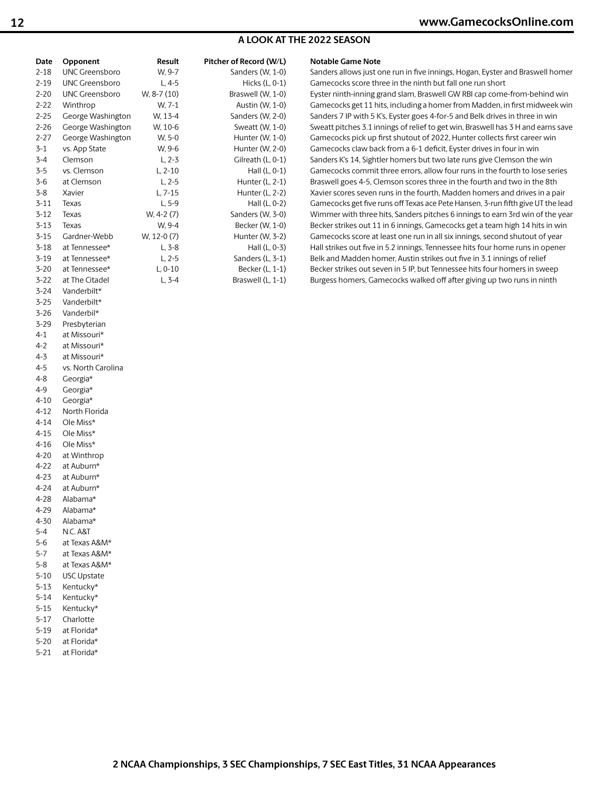## **A LOOK AT THE 2022 SEASON**

| Date     | Opponent              | Result      | Pitcher of Record (W/L) | <b>Notable Game Note</b>                                                         |
|----------|-----------------------|-------------|-------------------------|----------------------------------------------------------------------------------|
| $2 - 18$ | <b>UNC Greensboro</b> | W. 9-7      | Sanders (W, 1-0)        | Sanders allows just one run in five innings, Hogan, Eyster and Braswell homer    |
| $2 - 19$ | <b>UNC Greensboro</b> | $L, 4-5$    | Hicks (L, 0-1)          | Gamecocks score three in the ninth but fall one run short                        |
| $2 - 20$ | <b>UNC Greensboro</b> | W, 8-7 (10) | Braswell (W, 1-0)       | Eyster ninth-inning grand slam, Braswell GW RBI cap come-from-behind win         |
| $2 - 22$ | Winthrop              | W. 7-1      | Austin (W, 1-0)         | Gamecocks get 11 hits, including a homer from Madden, in first midweek win       |
| $2 - 25$ | George Washington     | W, 13-4     | Sanders (W, 2-0)        | Sanders 7 IP with 5 K's, Eyster goes 4-for-5 and Belk drives in three in win     |
| $2 - 26$ | George Washington     | W, 10-6     | Sweatt (W, 1-0)         | Sweatt pitches 3.1 innings of relief to get win, Braswell has 3 H and earns save |
| $2 - 27$ | George Washington     | W, 5-0      | Hunter (W, 1-0)         | Gamecocks pick up first shutout of 2022, Hunter collects first career win        |
| $3-1$    | vs. App State         | W, 9-6      | Hunter (W, 2-0)         | Gamecocks claw back from a 6-1 deficit, Eyster drives in four in win             |
| $3 - 4$  | Clemson               | $L, 2-3$    | Gilreath (L, 0-1)       | Sanders K's 14, Sightler homers but two late runs give Clemson the win           |
| $3 - 5$  | vs. Clemson           | $L, 2-10$   | Hall $(L, 0-1)$         | Gamecocks commit three errors, allow four runs in the fourth to lose series      |
| $3 - 6$  | at Clemson            | $L, 2-5$    | Hunter (L, 2-1)         | Braswell goes 4-5, Clemson scores three in the fourth and two in the 8th         |
| $3 - 8$  | Xavier                | $L, 7-15$   | Hunter (L, 2-2)         | Xavier scores seven runs in the fourth, Madden homers and drives in a pair       |
| $3 - 11$ | Texas                 | $L, 5-9$    | Hall (L, 0-2)           | Gamecocks get five runs off Texas ace Pete Hansen, 3-run fifth give UT the lead  |
| $3 - 12$ | Texas                 | $W, 4-2(7)$ | Sanders (W, 3-0)        | Wimmer with three hits, Sanders pitches 6 innings to earn 3rd win of the year    |
| $3 - 13$ | Texas                 | W, 9-4      | Becker (W, 1-0)         | Becker strikes out 11 in 6 innings, Gamecocks get a team high 14 hits in win     |
| $3 - 15$ | Gardner-Webb          | W, 12-0 (7) | Hunter (W, 3-2)         | Gamecocks score at least one run in all six innings, second shutout of year      |
| $3 - 18$ | at Tennessee*         | $L, 3-8$    | Hall (L, 0-3)           | Hall strikes out five in 5.2 innings, Tennessee hits four home runs in opener    |
| $3 - 19$ | at Tennessee*         | $L, 2-5$    | Sanders (L, 3-1)        | Belk and Madden homer, Austin strikes out five in 3.1 innings of relief          |
| $3 - 20$ | at Tennessee*         | $L, 0-10$   | Becker (L, 1-1)         | Becker strikes out seven in 5 IP, but Tennessee hits four homers in sweep        |
| $3 - 22$ | at The Citadel        | $L, 3-4$    | Braswell (L, 1-1)       | Burgess homers, Gamecocks walked off after giving up two runs in ninth           |
| $3 - 24$ | Vanderbilt*           |             |                         |                                                                                  |
| $3 - 25$ | Vanderbilt*           |             |                         |                                                                                  |
| $3 - 26$ | Vanderbil*            |             |                         |                                                                                  |
| $3 - 29$ | Presbyterian          |             |                         |                                                                                  |
| $4 - 1$  | at Missouri*          |             |                         |                                                                                  |

4-2 at Missouri\*

- 4-8 Georgia\* 4-9 Georgia\*
- 4-10 Georgia\*
- 4-12 North Florida
- 4-14 Ole Miss\*
- 4-15 Ole Miss\*
- 4-16 Ole Miss\*
- 4-20 at Winthrop
- 4-22 at Auburn\*
- 4-23 at Auburn\*
- 4-24 at Auburn\*
- 4-28 Alabama\*
- 4-29 Alabama\*
- 4-30 Alabama\*
- 5-4 N.C. A&T
- 5-6 at Texas A&M\*
- 5-7 at Texas A&M\* 5-8 at Texas A&M\*
- 5-10 USC Upstate
- 5-13 Kentucky\*
- 5-14 Kentucky\*
- 5-15 Kentucky\*
- 5-17 Charlotte
- 5-19 at Florida\*
- 5-20 at Florida\*
- 5-21 at Florida\*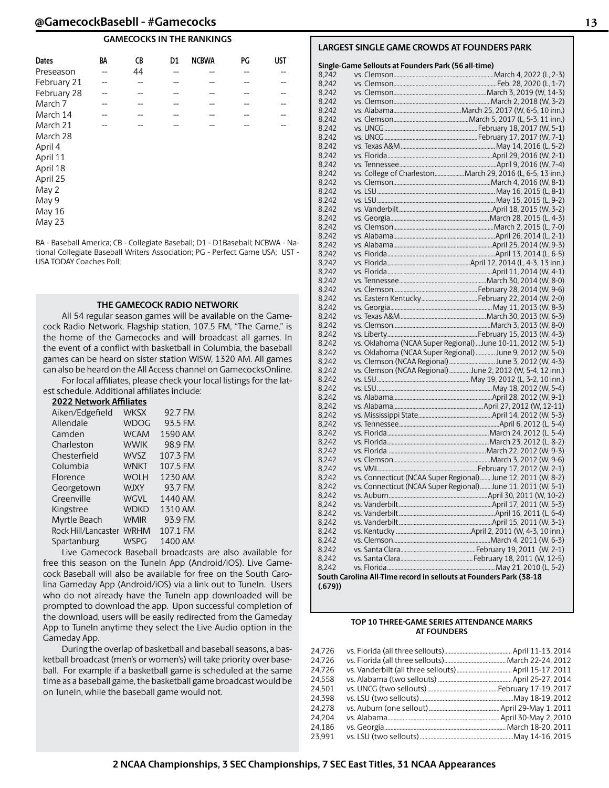#### **GAMECOCKS IN THE RANKINGS**

| <b>Dates</b> | BA | CB | D <sub>1</sub> | <b>NCBWA</b> | PG | <b>UST</b> |
|--------------|----|----|----------------|--------------|----|------------|
| Preseason    | -- | 44 | --             | --           | -- |            |
| February 21  |    |    |                |              |    |            |
| February 28  |    |    |                |              |    |            |
| March 7      |    |    |                |              |    |            |
| March 14     |    |    |                |              |    |            |
| March 21     |    |    |                |              |    |            |
| March 28     |    |    |                |              |    |            |
| April 4      |    |    |                |              |    |            |
| April 11     |    |    |                |              |    |            |
| April 18     |    |    |                |              |    |            |
| April 25     |    |    |                |              |    |            |
| May 2        |    |    |                |              |    |            |
| May 9        |    |    |                |              |    |            |
| May 16       |    |    |                |              |    |            |
| May 23       |    |    |                |              |    |            |

BA - Baseball America; CB - Collegiate Baseball; D1 - D1Baseball; NCBWA - National Collegiate Baseball Writers Association; PG - Perfect Game USA; UST - USA TODAY Coaches Poll;

#### **THE GAMECOCK RADIO NETWORK**

All 54 regular season games will be available on the Gamecock Radio Network. Flagship station, 107.5 FM, "The Game," is the home of the Gamecocks and will broadcast all games. In the event of a conflict with basketball in Columbia, the baseball games can be heard on sister station WISW, 1320 AM. All games can also be heard on the All Access channel on GamecocksOnline.

For local affiliates, please check your local listings for the latest schedule. Additional affiliates include:

| <b>2022 Network Affiliates</b> |             |          |
|--------------------------------|-------------|----------|
| Aiken/Edgefield                | <b>WKSX</b> | 92.7 FM  |
| Allendale                      | <b>WDOG</b> | 93.5 FM  |
| Camden                         | <b>WCAM</b> | 1590 AM  |
| Charleston                     | <b>WWIK</b> | 98.9 FM  |
| Chesterfield                   | <b>WVSZ</b> | 107.3 FM |
| Columbia                       | <b>WNKT</b> | 107.5 FM |
| Florence                       | <b>WOLH</b> | 1230 AM  |
| Georgetown                     | <b>WJXY</b> | 93.7 FM  |
| Greenville                     | <b>WGVL</b> | 1440 AM  |
| Kingstree                      | <b>WDKD</b> | 1310 AM  |
| Myrtle Beach                   | <b>WMIR</b> | 93.9 FM  |
| Rock Hill/Lancaster            | <b>WRHM</b> | 107.1 FM |
| Spartanburg                    | <b>WSPG</b> | 1400 AM  |

Live Gamecock Baseball broadcasts are also available for free this season on the TuneIn App (Android/iOS). Live Gamecock Baseball will also be available for free on the South Carolina Gameday App (Android/iOS) via a link out to TuneIn. Users who do not already have the TuneIn app downloaded will be prompted to download the app. Upon successful completion of the download, users will be easily redirected from the Gameday App to TuneIn anytime they select the Live Audio option in the Gameday App.

During the overlap of basketball and baseball seasons, a basketball broadcast (men's or women's) will take priority over baseball. For example if a basketball game is scheduled at the same time as a baseball game, the basketball game broadcast would be on TuneIn, while the baseball game would not.

#### **LARGEST SINGLE GAME CROWDS AT FOUNDERS PARK**

#### **Single-Game Sellouts at Founders Park (56 all-time)**

|                | Single-Game Sellouts at Founders Park (56 all-time) |                                                                    |
|----------------|-----------------------------------------------------|--------------------------------------------------------------------|
| 8,242          |                                                     |                                                                    |
| 8,242          |                                                     |                                                                    |
| 8,242          |                                                     |                                                                    |
| 8,242          |                                                     |                                                                    |
| 8,242          |                                                     |                                                                    |
| 8,242          |                                                     |                                                                    |
| 8,242          |                                                     |                                                                    |
| 8,242          |                                                     |                                                                    |
| 8,242          |                                                     |                                                                    |
| 8,242          |                                                     |                                                                    |
| 8,242          |                                                     |                                                                    |
| 8,242          |                                                     | vs. College of CharlestonMarch 29, 2016 (L, 6-5, 13 inn.)          |
| 8,242          |                                                     |                                                                    |
| 8,242          |                                                     |                                                                    |
| 8,242          |                                                     |                                                                    |
| 8,242          |                                                     |                                                                    |
| 8,242          |                                                     |                                                                    |
| 8,242          |                                                     |                                                                    |
| 8,242          |                                                     |                                                                    |
| 8,242          |                                                     |                                                                    |
|                |                                                     |                                                                    |
| 8,242          |                                                     |                                                                    |
| 8,242          |                                                     |                                                                    |
| 8,242          |                                                     |                                                                    |
| 8,242          |                                                     |                                                                    |
| 8,242          |                                                     |                                                                    |
| 8,242          |                                                     |                                                                    |
| 8,242          |                                                     |                                                                    |
| 8,242<br>8,242 |                                                     |                                                                    |
| 8,242          |                                                     |                                                                    |
| 8,242          |                                                     | vs. Oklahoma (NCAA Super Regional)  June 10-11, 2012 (W, 5-1)      |
| 8,242          |                                                     | vs. Oklahoma (NCAA Super Regional)  June 9, 2012 (W, 5-0)          |
| 8,242          |                                                     | vs. Clemson (NCAA Regional) June 3, 2012 (W, 4-3)                  |
| 8,242          |                                                     | vs. Clemson (NCAA Regional)  June 2, 2012 (W, 5-4, 12 inn.)        |
| 8,242          |                                                     |                                                                    |
| 8,242          |                                                     |                                                                    |
| 8,242          |                                                     |                                                                    |
| 8,242          |                                                     |                                                                    |
| 8,242          |                                                     |                                                                    |
| 8,242          |                                                     |                                                                    |
| 8,242          |                                                     |                                                                    |
| 8,242          |                                                     |                                                                    |
| 8,242          |                                                     |                                                                    |
| 8,242          |                                                     |                                                                    |
| 8,242          |                                                     |                                                                    |
| 8.242          |                                                     | vs. Connecticut (NCAA Super Regional)  June 12, 2011 (W, 8-2)      |
| 8,242          |                                                     | vs. Connecticut (NCAA Super Regional) June 11, 2011 (W, 5-1)       |
| 8,242          |                                                     |                                                                    |
| 8,242          |                                                     |                                                                    |
| 8.242          |                                                     |                                                                    |
| 8,242          |                                                     |                                                                    |
| 8,242          |                                                     |                                                                    |
| 8,242          |                                                     |                                                                    |
| 8,242          |                                                     |                                                                    |
| 8,242          |                                                     |                                                                    |
| 8,242          |                                                     |                                                                    |
|                |                                                     | South Carolina All-Time record in sellouts at Founders Park (38-18 |
| (.679))        |                                                     |                                                                    |
|                |                                                     |                                                                    |

#### **TOP 10 THREE-GAME SERIES ATTENDANCE MARKS AT FOUNDERS**

| 24.726 |  |
|--------|--|
| 24,726 |  |
| 24.726 |  |
| 24,558 |  |
| 24.501 |  |
| 24.398 |  |
| 24.278 |  |
| 24.204 |  |
| 24.186 |  |
| 23,991 |  |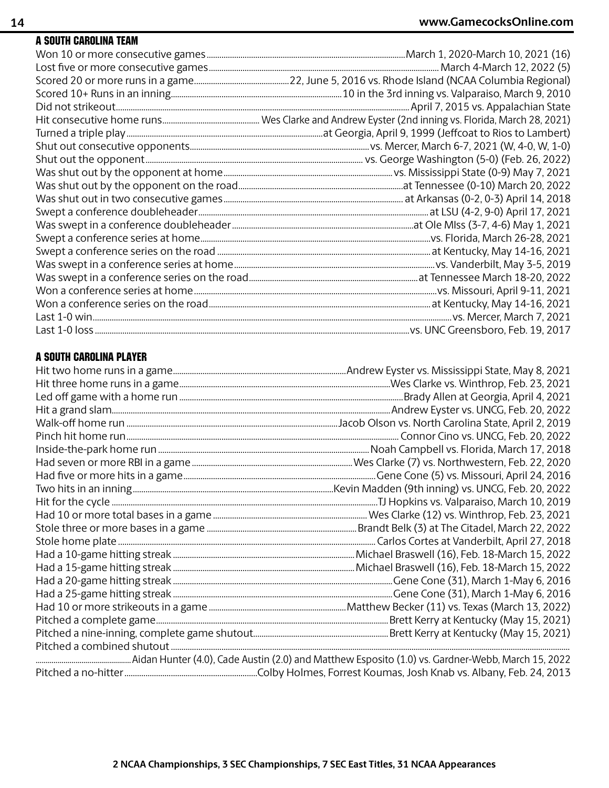## A South Carolina Team

## A South Carolina Player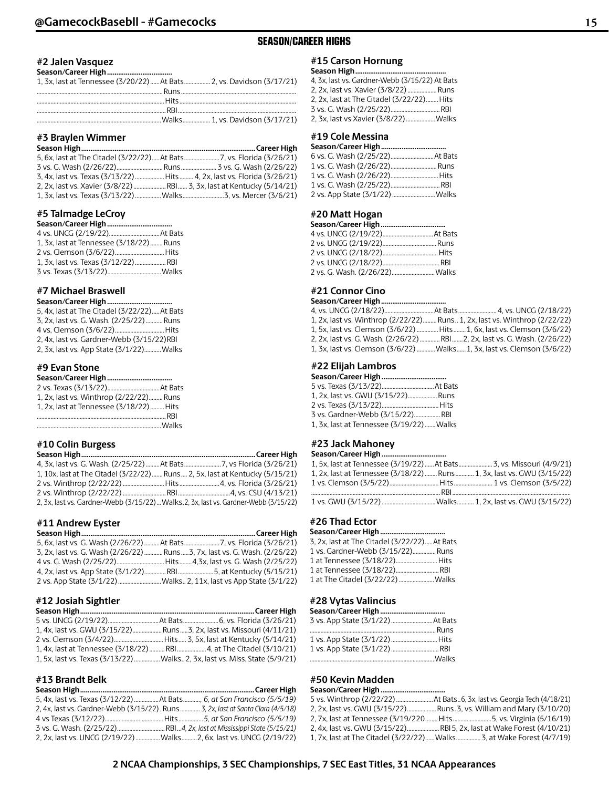## SEASON/CAREER HIGHS

#### **#2 Jalen Vasquez Season/Career High...................................**

## **#3 Braylen Wimmer**

| 3, 4x, last vs. Texas (3/13/22)  Hits  4, 2x, last vs. Florida (3/26/21) |  |
|--------------------------------------------------------------------------|--|
|                                                                          |  |
|                                                                          |  |

#### **#5 Talmadge LeCroy**

| 1. 3x. last at Tennessee (3/18/22)  Runs |  |
|------------------------------------------|--|
|                                          |  |
|                                          |  |
|                                          |  |

#### **#7 Michael Braswell**

| Season/Career High                           |  |
|----------------------------------------------|--|
| 5, 4x, last at The Citadel (3/22/22) At Bats |  |
| 3, 2x, last vs. G. Wash. (2/25/22)Runs       |  |
| 4 vs. Clemson (3/6/22) Hits                  |  |
| 2, 4x, last vs. Gardner-Webb (3/15/22)RBI    |  |
| 2, 3x, last vs. App State (3/1/22) Walks     |  |
|                                              |  |

## **#9 Evan Stone**

| 1, 2x, last vs. Winthrop (2/22/22) Runs  |  |
|------------------------------------------|--|
| 1. 2x. last at Tennessee (3/18/22)  Hits |  |
|                                          |  |
|                                          |  |

## **#10 Colin Burgess**

| 1, 10x, last at The Citadel (3/22/22) Runs  2, 5x, last at Kentucky (5/15/21)         |  |
|---------------------------------------------------------------------------------------|--|
|                                                                                       |  |
|                                                                                       |  |
| 2, 3x, last vs. Gardner-Webb (3/15/22)  Walks. 2, 3x, last vs. Gardner-Webb (3/15/22) |  |

#### **#11 Andrew Eyster**

| 5, 6x, last vs. G. Wash (2/26/22) At Bats 7, vs. Florida (3/26/21)          |  |
|-----------------------------------------------------------------------------|--|
| 3, 2x, last vs. G. Wash (2/26/22)  Runs  3, 7x, last vs. G. Wash. (2/26/22) |  |
|                                                                             |  |
|                                                                             |  |
|                                                                             |  |

#### **#12 Josiah Sightler**

| 1, 4x, last vs. GWU (3/15/22) Runs3, 2x, last vs. Missouri (4/11/21) |  |
|----------------------------------------------------------------------|--|
|                                                                      |  |
|                                                                      |  |
|                                                                      |  |

## **#13 Brandt Belk**

| 5, 4x, last vs. Texas (3/12/22) At Bats, 6, at San Francisco (5/5/19)            |  |
|----------------------------------------------------------------------------------|--|
| 2, 4x, last vs. Gardner-Webb (3/15/22). Runs 3, 2x, last at Santa Clara (4/5/18) |  |
|                                                                                  |  |
|                                                                                  |  |
| 2, 2x, last vs. UNCG (2/19/22) Walks  2, 6x, last vs. UNCG (2/19/22)             |  |

#### **#15 Carson Hornung Season High.................................................**

| эсаэон н <b>ідн…………………………………</b> ……            |  |
|------------------------------------------------|--|
| 4. 3x. last vs. Gardner-Webb (3/15/22) At Bats |  |
| 2, 2x, last vs. Xavier (3/8/22)Runs            |  |
| 2. 2x. last at The Citadel (3/22/22) Hits      |  |
|                                                |  |
| 2, 3x, last vs Xavier (3/8/22)  Walks          |  |

## **#19 Cole Messina**

| 2 vs. App State (3/1/22)  Walks |
|---------------------------------|
|                                 |

## **#20 Matt Hogan**

| 2 vs. G. Wash. (2/26/22) Walks |  |
|--------------------------------|--|

## **#21 Connor Cino**

#### Season/Career High...

| 1, 2x, last vs. Winthrop (2/22/22)Runs 1, 2x, last vs. Winthrop (2/22/22) |  |  |
|---------------------------------------------------------------------------|--|--|
| 1, 5x, last vs. Clemson (3/6/22)  Hits  1, 6x, last vs. Clemson (3/6/22)  |  |  |
| 2. 2x. last vs. G. Wash. (2/26/22) RBI 2. 2x. last vs. G. Wash. (2/26/22) |  |  |
| 1, 3x, last vs. Clemson (3/6/22) Walks1, 3x, last vs. Clemson (3/6/22)    |  |  |

## **#22 Elijah Lambros**

| 1. 2x. last vs. GWU (3/15/22) Runs        |  |
|-------------------------------------------|--|
|                                           |  |
| 3 vs. Gardner-Webb (3/15/22) RBI          |  |
| 1, 3x, last at Tennessee (3/19/22)  Walks |  |

## **#23 Jack Mahoney**

| 1. 5x. last at Tennessee (3/19/22) At Bats 3. vs. Missouri (4/9/21)     |  |
|-------------------------------------------------------------------------|--|
| 1, 2x, last at Tennessee (3/18/22)  Runs  1, 3x, last vs. GWU (3/15/22) |  |
|                                                                         |  |
|                                                                         |  |
| 1 vs. GWU (3/15/22) Walks 1, 2x, last vs. GWU (3/15/22)                 |  |

#### **#26 Thad Ector Season/Career High...................................**

| 3, 2x, last at The Citadel (3/22/22)At Bats |  |
|---------------------------------------------|--|
| 1 vs. Gardner-Webb (3/15/22)Runs            |  |
| 1 at Tennessee (3/18/22) Hits               |  |
| 1 at Tennessee (3/18/22) RBI                |  |
| 1 at The Citadel (3/22/22)  Walks           |  |

#### **#28 Vytas Valincius**

| 1 vs. App State (3/1/22)  Hits |  |
|--------------------------------|--|
| 1 vs. App State (3/1/22)  RBI  |  |
|                                |  |

## **#50 Kevin Madden**

#### Season/Career High...

| 2, 2x, last vs. GWU (3/15/22)Runs.3, vs. William and Mary (3/10/20)   |
|-----------------------------------------------------------------------|
| 2, 7x, last at Tennessee (3/19/220 Hits5, vs. Virginia (5/16/19)      |
| 2, 4x, last vs. GWU (3/15/22)RBI 5, 2x, last at Wake Forest (4/10/21) |
| 1, 7x, last at The Citadel (3/22/22) Walks 3, at Wake Forest (4/7/19) |

**2 NCAA Championships, 3 SEC Championships, 7 SEC East Titles, 31 NCAA Appearances**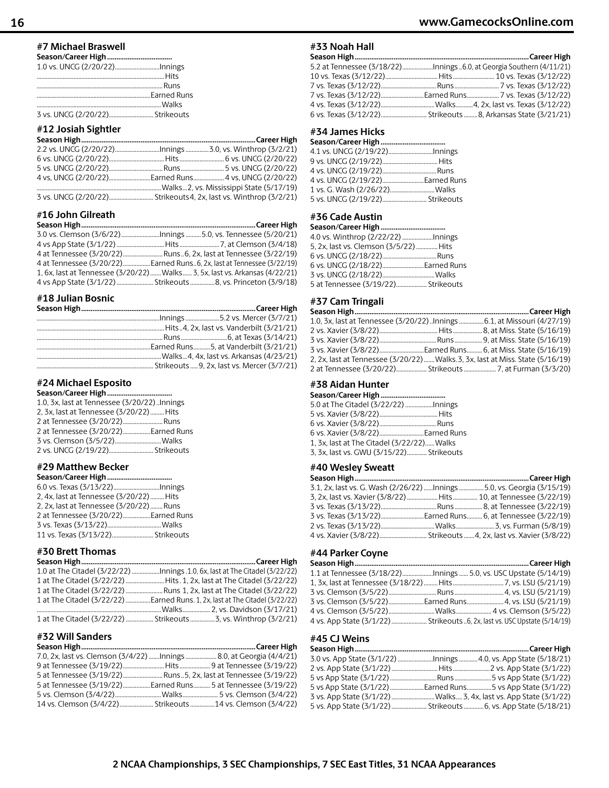## **#7 Michael Braswell**

|--|--|--|--|--|

#### **#12 Josiah Sightler**

#### **#16 John Gilreath**

|  | 4 at Tennessee (3/20/22)Earned Runs6, 2x, last at Tennessee (3/22/19)<br>1, 6x, last at Tennessee (3/20/22)  Walks  3, 5x, last vs. Arkansas (4/22/21) |
|--|--------------------------------------------------------------------------------------------------------------------------------------------------------|

## **#18 Julian Bosnic**

#### **#24 Michael Esposito**

| 1.0, 3x, last at Tennessee (3/20/22)Innings |  |
|---------------------------------------------|--|
| 2, 3x, last at Tennessee (3/20/22) Hits     |  |
| 2 at Tennessee (3/20/22) Runs               |  |
| 2 at Tennessee (3/20/22) Earned Runs        |  |
| 3 vs. Clemson (3/5/22) Walks                |  |
| 2 vs. UNCG (2/19/22) Strikeouts             |  |
|                                             |  |

## **#29 Matthew Becker**

| Season/Career High                      |  |
|-----------------------------------------|--|
| 6.0 vs. Texas (3/13/22)Innings          |  |
| 2, 4x, last at Tennessee (3/20/22) Hits |  |
| 2. 2x. last at Tennessee (3/20/22) Runs |  |
| 2 at Tennessee (3/20/22)Earned Runs     |  |
|                                         |  |
| 11 vs. Texas (3/13/22) Strikeouts       |  |

## **#30 Brett Thomas**

| 1 at The Citadel (3/22/22) Earned Runs. 1, 2x, last at The Citadel (3/22/22) |
|------------------------------------------------------------------------------|
|                                                                              |
|                                                                              |

## **#32 Will Sanders**

| 7.0, 2x, last vs. Clemson (3/4/22) Innings  8.0, at Georgia (4/4/21) |  |
|----------------------------------------------------------------------|--|
|                                                                      |  |
|                                                                      |  |
| 5 at Tennessee (3/19/22)Earned Runs 5 at Tennessee (3/19/22)         |  |
|                                                                      |  |
|                                                                      |  |

## **#33 Noah Hall**

| 5.2 at Tennessee (3/18/22)Innings 6.0, at Georgia Southern (4/11/21) |  |
|----------------------------------------------------------------------|--|
|                                                                      |  |
|                                                                      |  |
|                                                                      |  |
|                                                                      |  |
|                                                                      |  |

## **#34 James Hicks**

| 4.1 vs. UNCG (2/19/22)Innings   |
|---------------------------------|
|                                 |
|                                 |
|                                 |
|                                 |
| 5 vs. UNCG (2/19/22) Strikeouts |
|                                 |

#### **#36 Cade Austin Season/Career High...................................**

| 4.0 vs. Winthrop (2/22/22) Innings     |  |
|----------------------------------------|--|
| 5. 2x. last vs. Clemson (3/5/22)  Hits |  |
|                                        |  |
|                                        |  |

| 6 vs. UNCG (2/18/22)Earned Runs     |  |
|-------------------------------------|--|
|                                     |  |
| 5 at Tennessee (3/19/22) Strikeouts |  |

## **#37 Cam Tringali**

| 1.0, 3x, last at Tennessee (3/20/22) Innings  6.1, at Missouri (4/27/19)       |  |
|--------------------------------------------------------------------------------|--|
|                                                                                |  |
|                                                                                |  |
|                                                                                |  |
| 2, 2x, last at Tennessee (3/20/22)  Walks.3, 3x, last at Miss. State (5/16/19) |  |
| 2 at Tennessee (3/20/22) Strikeouts  7, at Furman (3/3/20)                     |  |
|                                                                                |  |

## **#38 Aidan Hunter**

| 5.0 at The Citadel (3/22/22) Innings       |  |
|--------------------------------------------|--|
|                                            |  |
|                                            |  |
|                                            |  |
| 1, 3x, last at The Citadel (3/22/22) Walks |  |
| 3, 3x, last vs. GWU (3/15/22) Strikeouts   |  |

#### **#40 Wesley Sweatt**

| 3.1, 2x, last vs. G. Wash (2/26/22) Innings  5.0, vs. Georgia (3/15/19) |  |
|-------------------------------------------------------------------------|--|
| 3, 2x, last vs. Xavier (3/8/22)  Hits  10, at Tennessee (3/22/19)       |  |
|                                                                         |  |
|                                                                         |  |
|                                                                         |  |
|                                                                         |  |

## **#44 Parker Coyne**

| 4 vs. App State (3/1/22)  Strikeouts 6, 2x, last vs. USC Upstate (5/14/19) |  |
|----------------------------------------------------------------------------|--|

## **#45 CJ Weins**

| 3.0 vs. App State (3/1/22) Innings 4.0, vs. App State (5/18/21)   |  |
|-------------------------------------------------------------------|--|
|                                                                   |  |
|                                                                   |  |
| 5 vs App State (3/1/22) Earned Runs5 vs App State (3/1/22)        |  |
| 3 vs. App State (3/1/22) Walks 3, 4x, last vs. App State (3/1/22) |  |
| 5 vs. App State (3/1/22)  Strikeouts  6, vs. App State (5/18/21)  |  |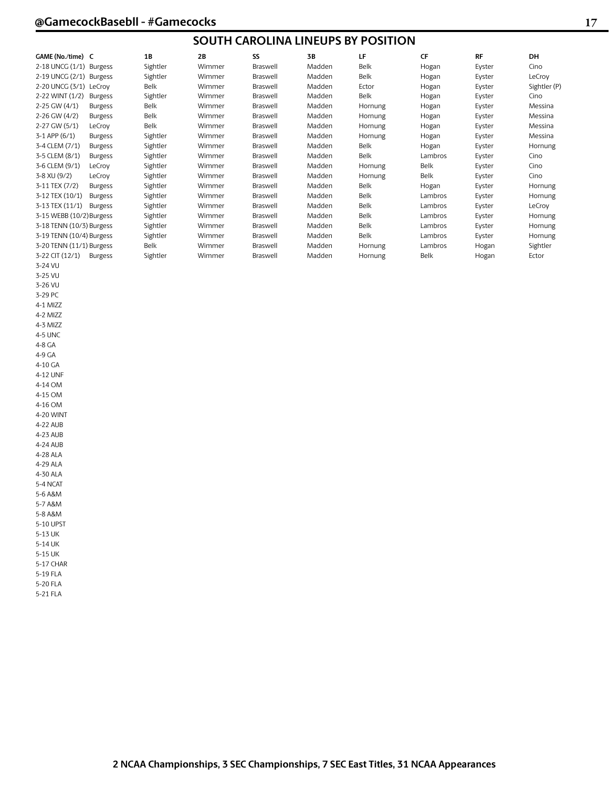## **SOUTH CAROLINA LINEUPS BY POSITION**

| GAME (No./time) C        |                | 1B       | 2B     | SS       | 3B     | LF      | <b>CF</b> | <b>RF</b> | DH           |
|--------------------------|----------------|----------|--------|----------|--------|---------|-----------|-----------|--------------|
| 2-18 UNCG (1/1) Burgess  |                | Sightler | Wimmer | Braswell | Madden | Belk    | Hogan     | Eyster    | Cino         |
| 2-19 UNCG (2/1) Burgess  |                | Sightler | Wimmer | Braswell | Madden | Belk    | Hogan     | Eyster    | LeCroy       |
| 2-20 UNCG (3/1) LeCrov   |                | Belk     | Wimmer | Braswell | Madden | Ector   | Hogan     | Eyster    | Sightler (P) |
| 2-22 WINT (1/2)          | <b>Burgess</b> | Sightler | Wimmer | Braswell | Madden | Belk    | Hogan     | Eyster    | Cino         |
| 2-25 GW (4/1)            | <b>Burgess</b> | Belk     | Wimmer | Braswell | Madden | Hornung | Hogan     | Eyster    | Messina      |
| 2-26 GW (4/2)            | <b>Burgess</b> | Belk     | Wimmer | Braswell | Madden | Hornung | Hogan     | Eyster    | Messina      |
| 2-27 GW (5/1)            | LeCroy         | Belk     | Wimmer | Braswell | Madden | Hornung | Hogan     | Eyster    | Messina      |
| $3-1$ APP $(6/1)$        | <b>Burgess</b> | Sightler | Wimmer | Braswell | Madden | Hornung | Hogan     | Eyster    | Messina      |
| 3-4 CLEM (7/1)           | <b>Burgess</b> | Sightler | Wimmer | Braswell | Madden | Belk    | Hogan     | Eyster    | Hornung      |
| 3-5 CLEM (8/1)           | <b>Burgess</b> | Sightler | Wimmer | Braswell | Madden | Belk    | Lambros   | Eyster    | Cino         |
| 3-6 CLEM (9/1)           | LeCroy         | Sightler | Wimmer | Braswell | Madden | Hornung | Belk      | Eyster    | Cino         |
| 3-8 XU (9/2)             | LeCroy         | Sightler | Wimmer | Braswell | Madden | Hornung | Belk      | Eyster    | Cino         |
| 3-11 TEX (7/2)           | <b>Burgess</b> | Sightler | Wimmer | Braswell | Madden | Belk    | Hogan     | Eyster    | Hornung      |
| 3-12 TEX (10/1)          | <b>Burgess</b> | Sightler | Wimmer | Braswell | Madden | Belk    | Lambros   | Eyster    | Hornung      |
| 3-13 TEX (11/1)          | <b>Burgess</b> | Sightler | Wimmer | Braswell | Madden | Belk    | Lambros   | Eyster    | LeCroy       |
| 3-15 WEBB (10/2) Burgess |                | Sightler | Wimmer | Braswell | Madden | Belk    | Lambros   | Eyster    | Hornung      |
| 3-18 TENN (10/3) Burgess |                | Sightler | Wimmer | Braswell | Madden | Belk    | Lambros   | Eyster    | Hornung      |
| 3-19 TENN (10/4) Burgess |                | Sightler | Wimmer | Braswell | Madden | Belk    | Lambros   | Eyster    | Hornung      |
| 3-20 TENN (11/1) Burgess |                | Belk     | Wimmer | Braswell | Madden | Hornung | Lambros   | Hogan     | Sightler     |
| 3-22 CIT (12/1)          | <b>Burgess</b> | Sightler | Wimmer | Braswell | Madden | Hornung | Belk      | Hogan     | Ector        |

3-24 VU 3-25 VU 3-26 VU 3-29 PC 4-1 MIZZ 4-2 MIZZ 4-3 MIZZ 4-5 UNC 4-8 GA 4-9 GA 4-10 GA 4-12 UNF 4-14 OM 4-15 OM 4-16 OM 4-20 WINT 4-22 AUB 4-23 AUB 4-24 AUB 4-28 ALA 4-29 ALA 4-30 ALA 5-4 NCAT 5-6 A&M 5-7 A&M 5-8 A&M 5-10 UPST 5-13 UK 5-14 UK 5-15 UK 5-17 CHAR 5-19 FLA 5-20 FLA 5-21 FLA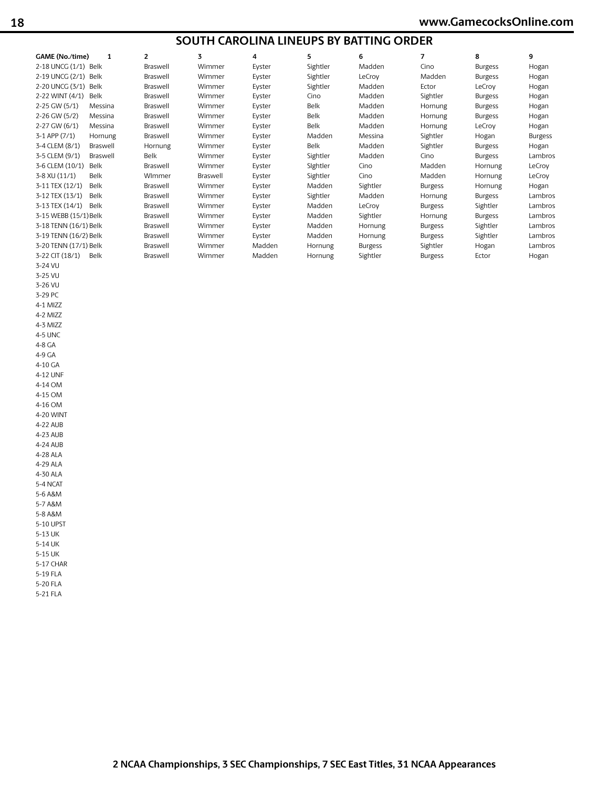## **SOUTH CAROLINA LINEUPS BY BATTING ORDER**

| GAME (No./time)       | 1        | $\overline{2}$ | 3        | 4      | 5        | 6              | 7              | 8              | 9              |
|-----------------------|----------|----------------|----------|--------|----------|----------------|----------------|----------------|----------------|
| 2-18 UNCG (1/1) Belk  |          | Braswell       | Wimmer   | Eyster | Sightler | Madden         | Cino           | <b>Burgess</b> | Hogan          |
| 2-19 UNCG (2/1)       | Belk     | Braswell       | Wimmer   | Eyster | Sightler | LeCrov         | Madden         | <b>Burgess</b> | Hogan          |
| 2-20 UNCG (3/1)       | Belk     | Braswell       | Wimmer   | Eyster | Sightler | Madden         | Ector          | LeCroy         | Hogan          |
| 2-22 WINT (4/1)       | Belk     | Braswell       | Wimmer   | Eyster | Cino     | Madden         | Sightler       | <b>Burgess</b> | Hogan          |
| 2-25 GW (5/1)         | Messina  | Braswell       | Wimmer   | Eyster | Belk     | Madden         | Hornung        | <b>Burgess</b> | Hogan          |
| 2-26 GW (5/2)         | Messina  | Braswell       | Wimmer   | Eyster | Belk     | Madden         | Hornung        | <b>Burgess</b> | Hogan          |
| 2-27 GW (6/1)         | Messina  | Braswell       | Wimmer   | Eyster | Belk     | Madden         | Hornung        | LeCroy         | Hogan          |
| $3-1$ APP $(7/1)$     | Hornung  | Braswell       | Wimmer   | Eyster | Madden   | Messina        | Sightler       | Hogan          | <b>Burgess</b> |
| 3-4 CLEM (8/1)        | Braswell | Hornung        | Wimmer   | Eyster | Belk     | Madden         | Sightler       | <b>Burgess</b> | Hogan          |
| 3-5 CLEM (9/1)        | Braswell | Belk           | Wimmer   | Eyster | Sightler | Madden         | Cino           | <b>Burgess</b> | Lambros        |
| 3-6 CLEM (10/1)       | Belk     | Braswell       | Wimmer   | Eyster | Sightler | Cino           | Madden         | Hornung        | LeCroy         |
| 3-8 XU (11/1)         | Belk     | Wlmmer         | Braswell | Eyster | Sightler | Cino           | Madden         | Hornung        | LeCroy         |
| 3-11 TEX (12/1)       | Belk     | Braswell       | Wimmer   | Eyster | Madden   | Sightler       | <b>Burgess</b> | Hornung        | Hogan          |
| 3-12 TEX (13/1)       | Belk     | Braswell       | Wimmer   | Eyster | Sightler | Madden         | Hornung        | <b>Burgess</b> | Lambros        |
| 3-13 TEX (14/1)       | Belk     | Braswell       | Wimmer   | Eyster | Madden   | LeCroy         | <b>Burgess</b> | Sightler       | Lambros        |
| 3-15 WEBB (15/1) Belk |          | Braswell       | Wimmer   | Eyster | Madden   | Sightler       | Hornung        | <b>Burgess</b> | Lambros        |
| 3-18 TENN (16/1) Belk |          | Braswell       | Wimmer   | Eyster | Madden   | Hornung        | <b>Burgess</b> | Sightler       | Lambros        |
| 3-19 TENN (16/2) Belk |          | Braswell       | Wimmer   | Eyster | Madden   | Hornung        | <b>Burgess</b> | Sightler       | Lambros        |
| 3-20 TENN (17/1) Belk |          | Braswell       | Wimmer   | Madden | Hornung  | <b>Burgess</b> | Sightler       | Hogan          | Lambros        |
| 3-22 CIT (18/1)       | Belk     | Braswell       | Wimmer   | Madden | Hornung  | Sightler       | <b>Burgess</b> | Ector          | Hogan          |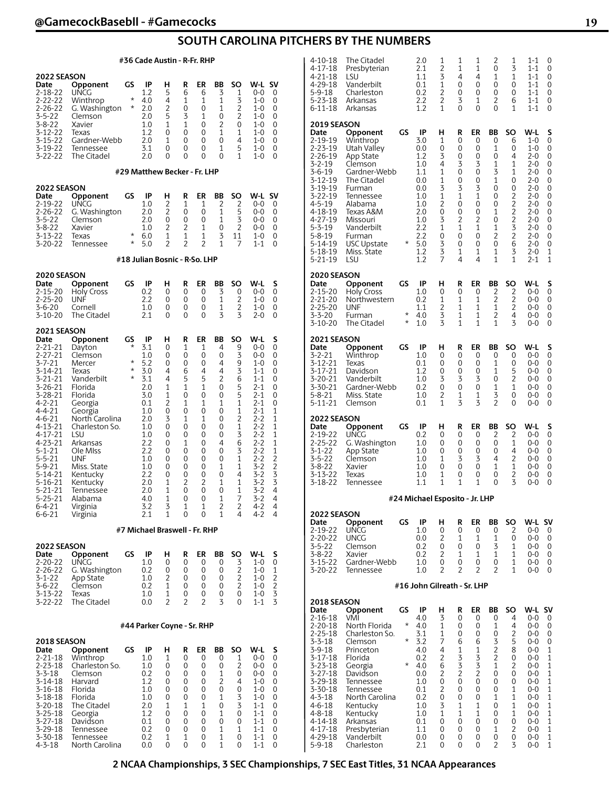## **SOUTH CAROLINA PITCHERS BY THE NUMBERS**

|                                                                                                                                                                                                                                                                                                                       | #36 Cade Austin - R-Fr. RHP                                                                                                                                                                                                                                                        |                                           |                                                                                                                                                              |                                                                                                                 |                                                                                                                 |                                                                                                                         |                                                                                                                               |                                                                                                                  |                                                                                                                                                                                                                                 |                                                                                                                                                            |  |  |
|-----------------------------------------------------------------------------------------------------------------------------------------------------------------------------------------------------------------------------------------------------------------------------------------------------------------------|------------------------------------------------------------------------------------------------------------------------------------------------------------------------------------------------------------------------------------------------------------------------------------|-------------------------------------------|--------------------------------------------------------------------------------------------------------------------------------------------------------------|-----------------------------------------------------------------------------------------------------------------|-----------------------------------------------------------------------------------------------------------------|-------------------------------------------------------------------------------------------------------------------------|-------------------------------------------------------------------------------------------------------------------------------|------------------------------------------------------------------------------------------------------------------|---------------------------------------------------------------------------------------------------------------------------------------------------------------------------------------------------------------------------------|------------------------------------------------------------------------------------------------------------------------------------------------------------|--|--|
| <b>2022 SEASON</b><br>Date<br>2-18-22<br>2-22-22<br>$2 - 26 - 22$<br>$3 - 5 - 22$<br>3-8-22<br>3-12-22<br>$3 - 15 - 22$<br>3-19-22<br>3-22-22                                                                                                                                                                         | Opponent<br><b>UNCG</b><br>Winthrop<br>G. Washington<br>Clemson<br>Xavier<br>Texas<br>Gardner-Webb<br>Tennessee<br>The Citadel                                                                                                                                                     | GS<br>$^\star$<br>*                       | ΙP<br>1.2<br>4.0<br>2.0<br>2.0<br>1.0<br>1.2<br>2.0<br>3.1<br>2.0<br>#29 Matthew Becker - Fr. LHP                                                            | н<br>5<br>4<br>2<br>5<br>1<br>0<br>1<br>0<br>$\Omega$                                                           | R<br>6<br>1<br>0<br>3<br>1<br>0<br>0<br>0<br>0                                                                  | ER<br>6<br>1<br>0<br>1<br>0<br>0<br>0<br>$\Omega$<br>0                                                                  | BB<br>3<br>1<br>1<br>0<br>2<br>1<br>0<br>1<br>0                                                                               | SO<br>1<br>3<br>2<br>2<br>0<br>1<br>4<br>5<br>1                                                                  | W-L<br>0-0<br>$1 - 0$<br>1-0<br>1-0<br>$1 - 0$<br>$1 - 0$<br>1-0<br>1-0<br>1-0                                                                                                                                                  | <b>SV</b><br>0<br>0<br>0<br>0<br>0<br>0<br>0<br>0<br>0                                                                                                     |  |  |
|                                                                                                                                                                                                                                                                                                                       |                                                                                                                                                                                                                                                                                    |                                           |                                                                                                                                                              |                                                                                                                 |                                                                                                                 |                                                                                                                         |                                                                                                                               |                                                                                                                  |                                                                                                                                                                                                                                 |                                                                                                                                                            |  |  |
| 2022 SEASON<br>Date<br>2-19-22<br>2-26-22<br>$3 - 5 - 22$<br>$3 - 8 - 22$<br>3-13-22<br>3-20-22                                                                                                                                                                                                                       | Opponent<br><b>UNCG</b><br>G. Washington<br>Clemson<br>Xavier<br>Texas<br>Tennessee                                                                                                                                                                                                | GS<br>$^\star$<br>$^\star$                | IP<br>1.0<br>2.0<br>2.0<br>1.0<br>6.0<br>5.0                                                                                                                 | н<br>2<br>2<br>0<br>2<br>1<br>2                                                                                 | R<br>1<br>0<br>0<br>2<br>1<br>2                                                                                 | ER<br>1<br>0<br>0<br>1<br>1<br>2                                                                                        | BB<br>2<br>1<br>1<br>0<br>3<br>1                                                                                              | SO<br>2<br>5<br>3<br>2<br>11<br>7                                                                                | W-L<br>0-0<br>0-0<br>0-0<br>0-0<br>1-0<br>$1 - 1$                                                                                                                                                                               | <b>SV</b><br>0<br>0<br>0<br>0<br>0<br>0                                                                                                                    |  |  |
| #18 Julian Bosnic - R-So. LHP                                                                                                                                                                                                                                                                                         |                                                                                                                                                                                                                                                                                    |                                           |                                                                                                                                                              |                                                                                                                 |                                                                                                                 |                                                                                                                         |                                                                                                                               |                                                                                                                  |                                                                                                                                                                                                                                 |                                                                                                                                                            |  |  |
| 2020 SEASON<br>Date<br>2-15-20<br>$2 - 25 - 20$<br>$3 - 6 - 20$<br>3-10-20                                                                                                                                                                                                                                            | Opponent<br>Holy Cross<br><b>UNF</b><br>Cornell<br>The Citadel                                                                                                                                                                                                                     | GS                                        | IP<br>0.2<br>2.2<br>1.0<br>2.1                                                                                                                               | н<br>0<br>0<br>0<br>$\Omega$                                                                                    | R<br>0<br>0<br>0<br>0                                                                                           | ER<br>0<br>0<br>0<br>$\Omega$                                                                                           | BB<br>3<br>1<br>1<br>3                                                                                                        | SO<br>0<br>2<br>2<br>3                                                                                           | W-L<br>$0 - 0$<br>$1 - 0$<br>1-0<br>$2 - 0$                                                                                                                                                                                     | s<br>0<br>0<br>0<br>0                                                                                                                                      |  |  |
| 2021 SEASON                                                                                                                                                                                                                                                                                                           |                                                                                                                                                                                                                                                                                    |                                           |                                                                                                                                                              |                                                                                                                 |                                                                                                                 |                                                                                                                         |                                                                                                                               |                                                                                                                  |                                                                                                                                                                                                                                 |                                                                                                                                                            |  |  |
| Date<br>2-21-21<br>2-27-21<br>$3 - 7 - 21$<br>$3 - 14 - 21$<br>$3 - 21 - 21$<br>$3 - 26 - 21$<br>3-28-21<br>$4 - 2 - 21$<br>4-4-21<br>$4 - 6 - 21$<br>4-13-21<br>4-17-21<br>4-23-21<br>$5 - 1 - 21$<br>$5 - 5 - 21$<br>$5 - 9 - 21$<br>$5 - 14 - 21$<br>5-16-21<br>5-21-21<br>$5 - 25 - 21$<br>6-4-21<br>$6 - 6 - 21$ | Opponent<br>Dayton<br>Clemson<br>Mercer<br>Texas<br>Vanderbilt<br>Florida<br>Florida<br>Georgia<br>Georgia<br>North Carolina<br>Charleston So.<br>LSU<br>Arkansas<br>Ole Miss<br><b>UNF</b><br>Miss. State<br>Kentucky<br>Kentucky<br>Tennessee<br>Alabama<br>Virginia<br>Virginia | GS<br>$\star$<br>$^\star$<br>*<br>$\star$ | IP<br>3.1<br>1.0<br>5.2<br>3.0<br>3.1<br>2.0<br>3.0<br>0.1<br>1.0<br>2.0<br>1.0<br>1.0<br>2.2<br>2.2<br>1.0<br>1.0<br>2.2<br>2.0<br>2.0<br>4.0<br>3.2<br>2.1 | н<br>0<br>0<br>0<br>4<br>4<br>1<br>1<br>2<br>0<br>3<br>0<br>0<br>0<br>0<br>0<br>0<br>0<br>1<br>1<br>1<br>3<br>1 | R<br>1<br>0<br>0<br>6<br>5<br>1<br>0<br>1<br>0<br>1<br>0<br>0<br>1<br>0<br>0<br>0<br>0<br>2<br>0<br>0<br>1<br>0 | ER<br>1<br>0<br>0<br>4<br>5<br>1<br>0<br>1<br>0<br>1<br>0<br>0<br>0<br>0<br>0<br>0<br>0<br>2<br>0<br>0<br>1<br>$\Omega$ | BB<br>4<br>0<br>4<br>4<br>$\overline{c}$<br>0<br>0<br>1<br>0<br>0<br>0<br>0<br>4<br>0<br>0<br>1<br>0<br>1<br>0<br>1<br>2<br>1 | SO<br>9<br>3<br>9<br>3<br>6<br>5<br>5<br>1<br>1<br>2<br>1<br>3<br>6<br>3<br>1<br>1<br>4<br>1<br>1<br>7<br>2<br>4 | W-L<br>$0-0$<br>0-0<br>$1 - 0$<br>$1 - 1$<br>$1 - 1$<br>$2 - 1$<br>$2 - 1$<br>$2 - 1$<br>$2 - 1$<br>$2 - 2$<br>$2 - 2$<br>$2 - 2$<br>$2 - 2$<br>$2 - 2$<br>$2 - 2$<br>$3 - 2$<br>$3 - 2$<br>$3 - 2$<br>3-2<br>3-2<br>4-2<br>4-2 | s<br>0<br>0<br>0<br>0<br>0<br>0<br>0<br>0<br>1<br>1<br>1<br>1<br>1<br>1<br>$\frac{2}{2}$<br>3<br>$\overline{3}$<br>4<br>$\overline{\mathcal{L}}$<br>4<br>4 |  |  |
|                                                                                                                                                                                                                                                                                                                       |                                                                                                                                                                                                                                                                                    |                                           | #7 Michael Braswell - Fr. RHP                                                                                                                                |                                                                                                                 |                                                                                                                 |                                                                                                                         |                                                                                                                               |                                                                                                                  |                                                                                                                                                                                                                                 |                                                                                                                                                            |  |  |
| 2022 SEASON<br>Date<br>$2 - 20 - 22$<br>2-26-22<br>$3 - 1 - 22$<br>3-6-22<br>3-13-22<br>3-22-22                                                                                                                                                                                                                       | Opponent<br>UNCG<br>G. Washington<br>App State<br>Clemson<br>Texas<br>The Citadel                                                                                                                                                                                                  | GS                                        | IP<br>1.0<br>0.2<br>1.0<br>0.2<br>1.0<br>0.0                                                                                                                 | н<br>0<br>0<br>2<br>1<br>1<br>2                                                                                 | R<br>0<br>0<br>0<br>0<br>0<br>2                                                                                 | ER<br>0<br>0<br>0<br>0<br>0<br>2                                                                                        | BB<br>0<br>0<br>0<br>0<br>0<br>3                                                                                              | SO<br>3<br>2<br>2<br>2<br>0<br>0                                                                                 | W-L<br>1-0<br>1-0<br>$1 - 0$<br>$1 - 0$<br>1-0<br>$1 - 1$                                                                                                                                                                       | s<br>0<br>$\mathbf 1$<br>$\overline{\mathbf{c}}$<br>$\overline{c}$<br>3<br>3                                                                               |  |  |
|                                                                                                                                                                                                                                                                                                                       |                                                                                                                                                                                                                                                                                    |                                           | #44 Parker Coyne - Sr. RHP                                                                                                                                   |                                                                                                                 |                                                                                                                 |                                                                                                                         |                                                                                                                               |                                                                                                                  |                                                                                                                                                                                                                                 |                                                                                                                                                            |  |  |
| <b>2018 SEASON</b>                                                                                                                                                                                                                                                                                                    |                                                                                                                                                                                                                                                                                    |                                           |                                                                                                                                                              |                                                                                                                 |                                                                                                                 |                                                                                                                         |                                                                                                                               |                                                                                                                  |                                                                                                                                                                                                                                 |                                                                                                                                                            |  |  |
| Date<br>2-21-18<br>$2 - 23 - 18$<br>3-3-18<br>$3 - 14 - 18$<br>3-16-18<br>3-18-18<br>$3 - 20 - 18$<br>3-25-18<br>3-27-18<br>3-29-18<br>3-30-18                                                                                                                                                                        | Opponent<br>Winthrop<br>Charleston So.<br>Clemson<br>Harvard<br>Florida<br>Florida<br>The Citadel<br>Georgia<br>Davidson<br>Tennessee<br>Tennessee                                                                                                                                 | GS                                        | IP<br>1.0<br>1.0<br>0.2<br>1.2<br>1.0<br>1.0<br>2.0<br>1.2<br>0.1<br>0.2<br>0.2                                                                              | н<br>1<br>0<br>0<br>0<br>0<br>0<br>1<br>0<br>0<br>0<br>1                                                        | R<br>0<br>0<br>0<br>0<br>0<br>0<br>1<br>0<br>0<br>0<br>1                                                        | ER<br>0<br>0<br>0<br>0<br>0<br>0<br>1<br>0<br>0<br>0<br>0                                                               | BB<br>0<br>0<br>1<br>2<br>0<br>1<br>0<br>1<br>0<br>1<br>1                                                                     | SO<br>1<br>2<br>0<br>4<br>0<br>3<br>3<br>0<br>0<br>1<br>0                                                        | W-L<br>0-0<br>0-0<br>0-0<br>1-0<br>1-0<br>$1 - 0$<br>$1 - 1$<br>1-1<br>$1 - 1$<br>$1 - 1$<br>1-1                                                                                                                                | s<br>0<br>0<br>0<br>0<br>0<br>0<br>0<br>0<br>0<br>0<br>0                                                                                                   |  |  |

4-3-18 North Carolina 0.0 0 0 0 1 0 1-1 0

| The Citadel<br>Presbyterian<br>LSU<br>Vanderbilt<br>Charleston<br>Arkansas<br>Arkansas                                                                                                                                     |                                                                                                             | 2.0<br>2.1<br>1.1<br>0.1<br>0.2<br>2.2<br>1.2                                                                      | 1<br>2<br>3<br>1<br>2<br>2<br>1                                                   | 1<br>1<br>4<br>0<br>0<br>3<br>0                                                                | 1<br>1<br>4<br>0<br>0<br>1<br>0                                                                 | 2<br>0<br>1<br>0<br>0<br>2<br>0                                                    | 1<br>3<br>1<br>0<br>0<br>6<br>1                                                                                                                     | 1-1<br>$1 - 1$<br>$1 - 1$<br>$1 - 1$<br>$1 - 1$<br>$1 - 1$<br>$1 - 1$                                                                                                       | 0<br>0<br>0<br>0<br>0<br>0<br>0                                                           |
|----------------------------------------------------------------------------------------------------------------------------------------------------------------------------------------------------------------------------|-------------------------------------------------------------------------------------------------------------|--------------------------------------------------------------------------------------------------------------------|-----------------------------------------------------------------------------------|------------------------------------------------------------------------------------------------|-------------------------------------------------------------------------------------------------|------------------------------------------------------------------------------------|-----------------------------------------------------------------------------------------------------------------------------------------------------|-----------------------------------------------------------------------------------------------------------------------------------------------------------------------------|-------------------------------------------------------------------------------------------|
| Opponent<br>Winthrop<br>Utah Valley<br>App State<br>Clemson<br>Gardner-Webb<br>The Citadel<br>Furman<br>Tennessee<br>Alabama<br>Texas A&M<br>Missouri<br>Vanderbilt<br>Furman<br><b>USC Upstate</b><br>Miss. State<br>LSU  | GS<br>*                                                                                                     | IP<br>3.0<br>0.0<br>1.2<br>1.0<br>1.1<br>0.0<br>0.0<br>1.0<br>1.0<br>2.0<br>1.0<br>2.2<br>2.2<br>5.0<br>1.2<br>1.2 | н<br>1<br>0<br>3<br>4<br>1<br>1<br>3<br>1<br>2<br>0<br>3<br>1<br>0<br>3<br>3<br>7 | R<br>0<br>0<br>0<br>3<br>0<br>0<br>3<br>1<br>0<br>0<br>2<br>1<br>0<br>0<br>1<br>4              | ER<br>0<br>0<br>0<br>3<br>0<br>0<br>3<br>$\mathbf{1}$<br>0<br>0<br>2<br>1<br>0<br>0<br>1<br>4   | ВB<br>0<br>1<br>0<br>1<br>3<br>1<br>0<br>0<br>0<br>1<br>0<br>1<br>2<br>0<br>1<br>1 | SO<br>6<br>0<br>4<br>1<br>1<br>0<br>0<br>2<br>$\overline{2}$<br>$\overline{c}$<br>$\overline{c}$<br>$\overline{3}$<br>$\overline{c}$<br>6<br>3<br>1 | W-L<br>$1 - 0$<br>$1 - 0$<br>$2 - 0$<br>2-0<br>$2 - 0$<br>$2 - 0$<br>$2 - 0$<br>$2 - 0$<br>$2 - 0$<br>$2 - 0$<br>$2 - 0$<br>$2 - 0$<br>$2 - 0$<br>$2 - 0$<br>$2 - 0$<br>2-1 | S<br>0<br>0<br>0<br>0<br>0<br>0<br>0<br>0<br>0<br>0<br>0<br>0<br>0<br>0<br>1<br>1         |
| Opponent<br><b>Holy Cross</b><br>Northwestern<br><b>UNF</b><br>Furman<br>The Citadel                                                                                                                                       | GS<br>*<br>*                                                                                                | IP<br>1.0<br>0.2<br>1.1<br>4.0<br>1.0                                                                              | н<br>0<br>1<br>2<br>3<br>3                                                        | R<br>0<br>1<br>1<br>1<br>1                                                                     | ER<br>0<br>1<br>1<br>1<br>1                                                                     | ΒB<br>2<br>2<br>1<br>2<br>1                                                        | SO<br>2<br>2<br>2<br>4<br>3                                                                                                                         | W-L<br>$0 - 0$<br>$0 - 0$<br>$0 - 0$<br>$0 - 0$<br>0-0                                                                                                                      | S<br>0<br>0<br>0<br>0<br>0                                                                |
| Opponent<br>Winthrop<br>Texas<br>Davidson<br>Vanderbilt<br>Gardner-Webb<br>Miss. State<br>Clemson                                                                                                                          | GS                                                                                                          | IP<br>1.0<br>0.1<br>1.2<br>1.0<br>0.2<br>1.0<br>0.1                                                                | н<br>0<br>0<br>0<br>3<br>0<br>2<br>1                                              | R<br>0<br>0<br>0<br>3<br>0<br>1<br>3                                                           | ER<br>0<br>0<br>0<br>3<br>0<br>1<br>3                                                           | ВB<br>0<br>1<br>1<br>0<br>1<br>3<br>2                                              | SO<br>0<br>0<br>5<br>$\overline{2}$<br>1<br>0<br>0                                                                                                  | W-L<br>$0 - 0$<br>$0 - 0$<br>0-0<br>$0 - 0$<br>$0 - 0$<br>0-0<br>0-0                                                                                                        | S<br>0<br>0<br>0<br>0<br>0<br>0<br>0                                                      |
| Opponent<br>UNCG<br>G. Washington<br>App State<br>Clemson<br>Xavier<br>Texas<br>Tennessee                                                                                                                                  | GS                                                                                                          | IP<br>0.2<br>1.0<br>1.0<br>1.0<br>1.0<br>1.0<br>1.1                                                                | н<br>0<br>0<br>0<br>1<br>0<br>1<br>1                                              | R<br>0<br>0<br>0<br>3<br>0<br>0<br>1                                                           | ER<br>0<br>0<br>0<br>3<br>0<br>0<br>1                                                           | ΒB<br>2<br>0<br>0<br>4<br>1<br>0<br>0                                              | SO<br>2<br>1<br>4<br>2<br>1<br>2<br>3                                                                                                               | W-L<br>$0 - 0$<br>$0 - 0$<br>0-0<br>$0 - 0$<br>0-0<br>0-0<br>$0 - 0$                                                                                                        | S<br>0<br>0<br>0<br>0<br>0<br>0<br>0                                                      |
|                                                                                                                                                                                                                            |                                                                                                             |                                                                                                                    |                                                                                   |                                                                                                |                                                                                                 |                                                                                    |                                                                                                                                                     |                                                                                                                                                                             |                                                                                           |
| Opponent<br>UNCG<br><b>UNCG</b><br>Clemson<br>Xavier<br>Gardner-Webb<br>Tennessee                                                                                                                                          | GS                                                                                                          | IP<br>1.0<br>0.0<br>0.2<br>0.2<br>1.0<br>1.0                                                                       | н<br>0<br>2<br>0<br>2<br>0<br>2                                                   | R<br>0<br>1<br>0<br>1<br>0<br>2                                                                | ER<br>0<br>1<br>0<br>1<br>0<br>$\overline{2}$                                                   | ВB<br>0<br>1<br>3<br>1<br>0<br>2                                                   | <b>SO</b><br>2<br>0<br>1<br>1<br>1<br>1                                                                                                             | W-L SV<br>$0 - 0$<br>$0 - 0$<br>0-0<br>$0 - 0$<br>0-0<br>$0 - 0$                                                                                                            | 0<br>0<br>0<br>0<br>0<br>0                                                                |
|                                                                                                                                                                                                                            |                                                                                                             |                                                                                                                    |                                                                                   |                                                                                                |                                                                                                 |                                                                                    |                                                                                                                                                     |                                                                                                                                                                             |                                                                                           |
| Opponent<br>VMI<br>North Florida<br>Charleston So.<br>Clemson<br>Princeton<br>Florida<br>Georgia<br>Davidson<br>Tennessee<br>Tennessee<br>North Carolina<br>Kentucky<br>Kentucky<br>Arkansas<br>Presbyterian<br>Vanderbilt | GS<br>*<br>*<br>*                                                                                           | IP<br>4.0<br>4.0<br>3.1<br>3.2<br>4.0<br>0.2<br>4.0<br>0.0<br>1.0<br>0.1<br>0.2<br>1.0<br>1.0<br>0.1<br>1.1<br>0.0 | н<br>3<br>1<br>1<br>7<br>4<br>2<br>6<br>2<br>0<br>2<br>0<br>3<br>1<br>0<br>0<br>0 | R<br>0<br>0<br>0<br>6<br>1<br>3<br>3<br>$\overline{c}$<br>0<br>0<br>0<br>1<br>1<br>0<br>0<br>0 | ER<br>0<br>0<br>0<br>6<br>1<br>3<br>3<br>$\overline{c}$<br>0<br>0<br>0<br>1<br>1<br>0<br>0<br>0 | ВB<br>0<br>1<br>0<br>3<br>2<br>2<br>1<br>0<br>0<br>0<br>1<br>0<br>0<br>0<br>1<br>0 | SO<br>4<br>4<br>2<br>5<br>8<br>0<br>2<br>0<br>0<br>1<br>1<br>1<br>1<br>0<br>2<br>0                                                                  | W-L<br>$0-0$<br>$0 - 0$<br>0-0<br>0-0<br>$0 - 0$<br>0-0<br>$0 - 0$<br>$0 - 0$<br>0-0<br>0-0<br>$0 - 0$<br>0-0<br>0-0<br>$0 - 0$<br>0-0                                      | <b>SV</b><br>0<br>0<br>0<br>0<br>1<br>1<br>1<br>1<br>1<br>1<br>1<br>1<br>1<br>1<br>1<br>1 |
|                                                                                                                                                                                                                            | 2019 SEASON<br>2020 SEASON<br>2021 SEASON<br><b>2022 SEASON</b><br><b>2022 SEASON</b><br><b>2018 SEASON</b> |                                                                                                                    |                                                                                   |                                                                                                |                                                                                                 |                                                                                    | #24 Michael Esposito - Jr. LHP<br>#16 John Gilreath - Sr. LHP                                                                                       |                                                                                                                                                                             | 0-0                                                                                       |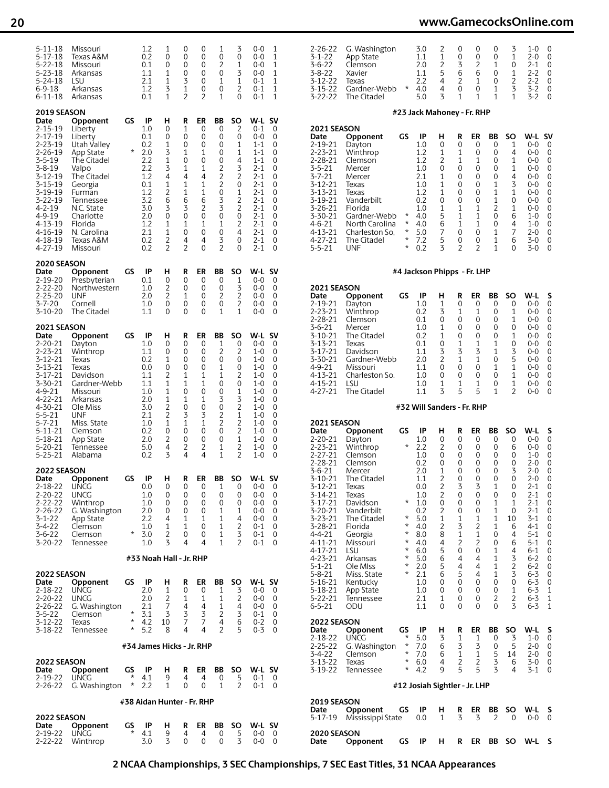## **20 www.GamecocksOnline.com**

| 5-11-18<br>$5 - 17 - 18$<br>$5 - 22 - 18$<br>$5 - 23 - 18$<br>5-24-18                                                                                                                                                                                              | Missouri<br>Texas A&M<br>Missouri<br>Arkansas<br>LSU                                                                                                                                                              |                   | 1.2<br>0.2<br>0.1<br>1.1<br>2.1                                                                                    | 1<br>0<br>0<br>1<br>1                                                                    | 0<br>0<br>0<br>0<br>3                                                                           | 0<br>0<br>0<br>$\Omega$<br>0                                                                     | 1<br>0<br>2<br>0<br>1                                                                                        | 3<br>0<br>1<br>3<br>1                                                                                  | 0-0<br>0-0<br>$0 - 0$<br>$0-0$<br>0-1                                                                                                                                          | 1<br>1<br>1<br>1<br>1                                                        | 2-26-22<br>$3 - 1 - 22$<br>$3 - 6 - 22$<br>$3 - 8 - 22$<br>3-12-22                                                                                                                    | G. Washingt<br>App State<br>Clemson<br>Xavier<br>Texas                                                                                                                       |
|--------------------------------------------------------------------------------------------------------------------------------------------------------------------------------------------------------------------------------------------------------------------|-------------------------------------------------------------------------------------------------------------------------------------------------------------------------------------------------------------------|-------------------|--------------------------------------------------------------------------------------------------------------------|------------------------------------------------------------------------------------------|-------------------------------------------------------------------------------------------------|--------------------------------------------------------------------------------------------------|--------------------------------------------------------------------------------------------------------------|--------------------------------------------------------------------------------------------------------|--------------------------------------------------------------------------------------------------------------------------------------------------------------------------------|------------------------------------------------------------------------------|---------------------------------------------------------------------------------------------------------------------------------------------------------------------------------------|------------------------------------------------------------------------------------------------------------------------------------------------------------------------------|
| $6 - 9 - 18$<br>6-11-18                                                                                                                                                                                                                                            | Arkansas<br>Arkansas                                                                                                                                                                                              |                   | 1.2<br>0.1                                                                                                         | 3<br>$\mathbf{1}$                                                                        | 1<br>2                                                                                          | 0<br>$\overline{2}$                                                                              | 0<br>1                                                                                                       | 2<br>$\Omega$                                                                                          | $0 - 1$<br>$0 - 1$                                                                                                                                                             | 1<br>1                                                                       | 3-15-22<br>3-22-22                                                                                                                                                                    | Gardner-We<br>The Citadel                                                                                                                                                    |
| <b>2019 SEASON</b><br>Date<br>$2 - 15 - 19$<br>$2 - 17 - 19$<br>$2 - 23 - 19$<br>$2 - 26 - 19$<br>$3 - 5 - 19$<br>$3 - 8 - 19$<br>$3 - 12 - 19$<br>$3 - 15 - 19$<br>3-19-19<br>3-22-19<br>$4 - 2 - 19$<br>4-9-19<br>4-13-19<br>$4 - 16 - 19$<br>4-18-19<br>4-27-19 | Opponent<br>Liberty<br>Liberty<br>Utah Valley<br>App State<br>The Citadel<br>Valpo<br>The Citadel<br>Georgia<br>Furman<br>Tennessee<br>N.C. State<br>Charlotte<br>Florida<br>N. Carolina<br>Texas A&M<br>Missouri | GS<br>$\star$     | IP<br>1.0<br>0.1<br>0.2<br>2.0<br>2.2<br>2.2<br>1.2<br>0.1<br>1.2<br>3.2<br>3.0<br>2.0<br>1.2<br>2.1<br>0.2<br>0.2 | н<br>0<br>0<br>1<br>3<br>1<br>3<br>4<br>1<br>2<br>6<br>3<br>$\Omega$<br>1<br>1<br>2<br>2 | R<br>1<br>0<br>$\Omega$<br>1<br>0<br>1<br>4<br>1<br>1<br>6<br>3<br>$\Omega$<br>1<br>0<br>4<br>2 | ER<br>0<br>0<br>$\Omega$<br>1<br>0<br>1<br>4<br>1<br>1<br>6<br>2<br>$\Omega$<br>1<br>0<br>4<br>0 | BB<br>0<br>0<br>0<br>0<br>0<br>2<br>2<br>$\overline{c}$<br>0<br>3<br>3<br>0<br>1<br>0<br>3<br>$\overline{2}$ | SO<br>2<br>0<br>1<br>1<br>4<br>3<br>2<br>0<br>1<br>2<br>$\overline{2}$<br>0<br>2<br>4<br>$\Omega$<br>0 | W-L SV<br>$0 - 1$<br>$0 - 0$<br>$1 - 1$<br>1-1<br>$1 - 1$<br>$2 - 1$<br>$2 - 1$<br>$2 - 1$<br>$2 - 1$<br>$2 - 1$<br>$2 - 1$<br>$2 - 1$<br>$2 - 1$<br>2-1<br>$2 - 1$<br>$2 - 1$ | 0<br>0<br>0<br>0<br>0<br>0<br>0<br>0<br>0<br>0<br>0<br>0<br>0<br>0<br>0<br>0 | 2021 SEASON<br>Date<br>2-19-21<br>2-23-21<br>2-28-21<br>$3 - 5 - 21$<br>3-7-21<br>3-12-21<br>3-13-21<br>3-19-21<br>3-26-21<br>3-30-21<br>4-6-21<br>4-13-21<br>4-27-21<br>$5 - 5 - 21$ | Opponent<br>Dayton<br>Winthrop<br>Clemson<br>Mercer<br>Mercer<br>Texas<br>Texas<br>Vanderbilt<br>Florida<br>Gardner-We<br>North Caroli<br>Charleston 9<br>The Citadel<br>UNF |
| 2020 SEASON<br>Date<br>$2 - 19 - 20$                                                                                                                                                                                                                               | Opponent                                                                                                                                                                                                          | GS                | IP<br>0.1                                                                                                          | н<br>0                                                                                   | R<br>0                                                                                          | ER<br>0                                                                                          | BB<br>0                                                                                                      | SO<br>1                                                                                                | W-L<br>$0 - 0$                                                                                                                                                                 | <b>SV</b><br>0                                                               |                                                                                                                                                                                       |                                                                                                                                                                              |
| $2 - 22 - 20$<br>$2 - 25 - 20$<br>$3 - 7 - 20$<br>$3 - 10 - 20$                                                                                                                                                                                                    | Presbyterian<br>Northwestern<br>UNF<br>Cornell<br>The Citadel                                                                                                                                                     |                   | 1.0<br>2.0<br>1.0<br>1.1                                                                                           | 2<br>2<br>0<br>$\Omega$                                                                  | $\Omega$<br>1<br>0<br>$\Omega$                                                                  | 0<br>0<br>0<br>$\Omega$                                                                          | 0<br>2<br>$\mathbf 0$<br>1                                                                                   | 3<br>2<br>2<br>1                                                                                       | 0-0<br>0-0<br>$0 - 0$<br>0-0                                                                                                                                                   | 0<br>0<br>0<br>$\Omega$                                                      | 2021 SEASON<br>Date<br>2-19-21<br>2-23-21<br>2-28-21                                                                                                                                  | Opponent<br>Dayton<br>Winthrop<br>Clemson                                                                                                                                    |
| 2021 SEASON<br>Date<br>2-20-21<br>$2 - 23 - 21$<br>$3 - 12 - 21$<br>3-13-21<br>$3 - 17 - 21$<br>$3 - 30 - 21$<br>4-9-21<br>$4 - 22 - 21$<br>4-30-21                                                                                                                | Opponent<br>Dayton<br>Winthrop<br>Texas<br>Texas<br>Davidson<br>Gardner-Webb<br>Missouri<br>Arkansas<br>Ole Miss                                                                                                  | GS                | IP<br>1.0<br>1.1<br>0.2<br>0.0<br>1.1<br>1.1<br>1.0<br>2.0<br>3.0                                                  | н<br>0<br>0<br>1<br>0<br>2<br>1<br>1<br>1<br>2                                           | R<br>0<br>0<br>$\Omega$<br>0<br>1<br>1<br>0<br>1<br>0<br>3                                      | ER<br>0<br>0<br>$\Omega$<br>0<br>1<br>1<br>0<br>1<br>$\Omega$                                    | BB<br>1<br>2<br>0<br>1<br>1<br>0<br>0<br>3<br>$\mathbf 0$                                                    | SO<br>0<br>2<br>0<br>0<br>2<br>0<br>1<br>3<br>$\overline{c}$                                           | W-L SV<br>$0-0$<br>$1 - 0$<br>1-0<br>1-0<br>$1 - 0$<br>1-0<br>1-0<br>$1 - 0$<br>1-0                                                                                            | 0<br>0<br>0<br>0<br>0<br>0<br>0<br>0<br>0                                    | $3 - 6 - 21$<br>3-10-21<br>3-13-21<br>3-17-21<br>3-30-21<br>4-9-21<br>4-13-21<br>4-15-21<br>4-27-21                                                                                   | Mercer<br>The Citadel<br>Texas<br>Davidson<br>Gardner-We<br>Missouri<br>Charleston 9<br>LSU<br>The Citadel                                                                   |
| $5 - 5 - 21$<br>$5 - 7 - 21$<br>$5 - 11 - 21$<br>5-18-21<br>$5 - 20 - 21$<br>$5 - 25 - 21$                                                                                                                                                                         | UNF<br>Miss. State<br>Clemson<br>App State<br>Tennessee<br>Alabama                                                                                                                                                |                   | 2.1<br>1.0<br>0.2<br>2.0<br>5.0<br>0.2                                                                             | 2<br>1<br>0<br>2<br>4<br>3                                                               | 1<br>$\Omega$<br>0<br>2<br>4                                                                    | 3<br>1<br>0<br>0<br>2<br>4                                                                       | 2<br>$\overline{2}$<br>0<br>0<br>1<br>1                                                                      | 1<br>2<br>2<br>1<br>2<br>2                                                                             | 1-0<br>$1 - 0$<br>1-0<br>1-0<br>$1 - 0$<br>1-0                                                                                                                                 | 0<br>0<br>0<br>0<br>0<br>$\Omega$                                            | 2021 SEASON<br>Date<br>$2 - 20 - 21$<br>$2 - 23 - 21$<br>2-27-21<br>2-28-21                                                                                                           | Opponent<br>Dayton<br>Winthrop<br>Clemson                                                                                                                                    |
| 2022 SEASON<br>Date                                                                                                                                                                                                                                                | Opponent                                                                                                                                                                                                          | GS                | IP                                                                                                                 | н                                                                                        | R                                                                                               | ER                                                                                               | ВB                                                                                                           | <b>SO</b>                                                                                              | W-L SV                                                                                                                                                                         |                                                                              | $3 - 6 - 21$<br>3-10-21                                                                                                                                                               | Clemson<br>Mercer<br>The Citadel                                                                                                                                             |
| 2-18-22<br>$2 - 20 - 22$<br>$2 - 22 - 22$<br>$2 - 26 - 22$<br>$3 - 1 - 22$<br>$3 - 4 - 22$<br>$3 - 6 - 22$<br>$3 - 20 - 22$                                                                                                                                        | <b>UNCG</b><br><b>UNCG</b><br>Winthrop<br>G. Washington<br>App State<br>Clemson<br>Clemson<br>Tennessee                                                                                                           | *                 | 0.0<br>1.0<br>1.0<br>2.0<br>2.2<br>1.0<br>3.0<br>1.0                                                               | 0<br>0<br>0<br>0<br>4<br>$\mathbf{1}$<br>2<br>3                                          | 0<br>0<br>$\Omega$<br>0<br>$\mathbf{1}$<br>$\mathbf{1}$<br>0<br>4                               | 0<br>0<br>$\Omega$<br>0<br>$\mathbf{1}$<br>$\Omega$<br>0<br>4                                    | 1<br>0<br>$\Omega$<br>1<br>1<br>$\mathbf{1}$<br>1<br>1                                                       | 0<br>0<br>0<br>1<br>4<br>2<br>3<br>2                                                                   | $0-0$<br>$0 - 0$<br>$0-0$<br>$0-0$<br>$0-0$<br>$0 - 1$<br>0-1<br>$0 - 1$                                                                                                       | 0<br>0<br>0<br>0<br>0<br>$\Omega$<br>0<br>$\Omega$                           | 3-12-21<br>3-14-21<br>3-17-21<br>3-20-21<br>3-23-21<br>3-28-21<br>4-4-21<br>4-11-21<br>4-17-21                                                                                        | Texas<br>Texas<br>Davidson<br>Vanderbilt<br>The Citadel<br>Florida<br>Georgia<br>Missouri<br>LSU                                                                             |
|                                                                                                                                                                                                                                                                    |                                                                                                                                                                                                                   |                   | #33 Noah Hall - Jr. RHP                                                                                            |                                                                                          |                                                                                                 |                                                                                                  |                                                                                                              |                                                                                                        |                                                                                                                                                                                |                                                                              | 4-23-21<br>5-1-21                                                                                                                                                                     | Arkansas<br>Ole Miss                                                                                                                                                         |
| 2022 SEASON<br>Date<br>$2 - 18 - 22$<br>$2 - 20 - 22$<br>$2 - 26 - 22$<br>$3 - 5 - 22$                                                                                                                                                                             | Opponent<br>UNCG<br><b>UNCG</b><br>G. Washington<br>Clemson                                                                                                                                                       | GS<br>$\star$     | IP<br>2.0<br>2.0<br>2.1<br>3.1                                                                                     | н<br>1<br>2<br>7<br>3                                                                    | R<br>0<br>$\mathbf{1}$<br>4<br>3                                                                | ER<br>0<br>1<br>4<br>3                                                                           | BB<br>1<br>1<br>1<br>2                                                                                       | SO<br>3<br>$\overline{2}$<br>4<br>3                                                                    | W-L SV<br>$0-0$<br>$0-0$<br>$0-0$<br>$0 - 1$                                                                                                                                   | 0<br>0<br>0<br>0                                                             | $5 - 8 - 21$<br>$5 - 16 - 21$<br>5-18-21<br>5-22-21<br>$6 - 5 - 21$                                                                                                                   | Miss. State<br>Kentucky<br>App State<br>Tennessee<br>ODU                                                                                                                     |
| $3 - 12 - 22$<br>3-18-22                                                                                                                                                                                                                                           | Texas<br>Tennessee                                                                                                                                                                                                | $\star$<br>*      | 4.2<br>5.2                                                                                                         | 10<br>8                                                                                  | 7<br>4                                                                                          | 7<br>4                                                                                           | 4<br>$\overline{2}$                                                                                          | 6<br>5                                                                                                 | $0 - 2$<br>$0 - 3$                                                                                                                                                             | 0<br>$\Omega$                                                                | <b>2022 SEASON</b><br>Date                                                                                                                                                            | Opponent                                                                                                                                                                     |
|                                                                                                                                                                                                                                                                    |                                                                                                                                                                                                                   |                   | #34 James Hicks - Jr. RHP                                                                                          |                                                                                          |                                                                                                 |                                                                                                  |                                                                                                              |                                                                                                        |                                                                                                                                                                                |                                                                              | 2-18-22<br>2-25-22<br>3-4-22                                                                                                                                                          | <b>UNCG</b><br>G. Washingt<br>Clemson                                                                                                                                        |
| 2022 SEASON<br>Date<br>2-19-22<br>$2 - 26 - 22$                                                                                                                                                                                                                    | Opponent<br><b>UNCG</b><br>G. Washington                                                                                                                                                                          | GS<br>*<br>$\ast$ | IP<br>4.1<br>2.2                                                                                                   | н<br>9<br>$\mathbf{1}$                                                                   | R<br>4<br>0                                                                                     | ER<br>4<br>0                                                                                     | BB<br>0<br>1                                                                                                 | <b>SO</b><br>5<br>$\overline{2}$                                                                       | W-L SV<br>0-1<br>$0 - 1$                                                                                                                                                       | 0<br>0                                                                       | 3-13-22<br>3-19-22                                                                                                                                                                    | Texas<br>Tennessee                                                                                                                                                           |
|                                                                                                                                                                                                                                                                    |                                                                                                                                                                                                                   |                   | #38 Aidan Hunter - Fr. RHP                                                                                         |                                                                                          |                                                                                                 |                                                                                                  |                                                                                                              |                                                                                                        |                                                                                                                                                                                |                                                                              | 2019 SEASON<br>Date                                                                                                                                                                   |                                                                                                                                                                              |
| 2022 SEASON<br>Date<br>$2 - 19 - 22$                                                                                                                                                                                                                               | Opponent<br><b>UNCG</b>                                                                                                                                                                                           | GS<br>*           | IP<br>4.1                                                                                                          | н<br>9                                                                                   | R<br>4                                                                                          | ER<br>4                                                                                          | BB<br>0                                                                                                      | SO<br>5                                                                                                | W-L SV<br>$0-0$                                                                                                                                                                | 0                                                                            | 5-17-19<br>2020 SEASON                                                                                                                                                                | Opponent<br>Mississippi 9                                                                                                                                                    |
| $2 - 22 - 22$                                                                                                                                                                                                                                                      | Winthrop                                                                                                                                                                                                          |                   | 3.0                                                                                                                | 3                                                                                        | $\Omega$                                                                                        | $\Omega$                                                                                         | $\Omega$                                                                                                     | 3                                                                                                      | $0-0$                                                                                                                                                                          | $\Omega$                                                                     | Date                                                                                                                                                                                  | Opponent                                                                                                                                                                     |

| 2-26-22       | G. Washington |   | 3.0 |   | $\mathbf{U}$ | O                 |   | 1- $\Omega$ |  |
|---------------|---------------|---|-----|---|--------------|-------------------|---|-------------|--|
| $3 - 1 - 22$  | App State     |   | 11  |   |              |                   |   | 2-0         |  |
| $3-6-22$      | Clemson       |   | 20  |   |              |                   |   | $2-1$       |  |
| $3 - 8 - 22$  | Xavier        |   | 11  | 5 | 6            | h                 |   | $2 - 2$     |  |
| $3 - 12 - 22$ | Техаѕ         |   | フフ  |   |              |                   |   | $2 - 2$     |  |
| $3 - 15 - 22$ | Gardner-Webb  | * | 40  | 4 | $\Omega$     | $\mathbf{\Omega}$ | 3 | 3-2         |  |
| 3-22-22       | The Citadel   |   | 50  | ۰ |              |                   |   | 3-2         |  |

#### **#23 Jack Mahoney - Fr. RHP**

| W-L<br>Sν<br>$O - O$<br>$\Omega$<br>$0 - 0$<br>$\Omega$                                                                      |
|------------------------------------------------------------------------------------------------------------------------------|
|                                                                                                                              |
|                                                                                                                              |
|                                                                                                                              |
| $\Omega$                                                                                                                     |
| 0                                                                                                                            |
| $\Omega$                                                                                                                     |
| $\Omega$                                                                                                                     |
| 0                                                                                                                            |
| 0                                                                                                                            |
| $\Omega$                                                                                                                     |
| 0                                                                                                                            |
| 0                                                                                                                            |
| $\Omega$                                                                                                                     |
| $\Omega$                                                                                                                     |
| $\Omega$                                                                                                                     |
| $0 - 0$<br>$0 - 0$<br>$0 - 0$<br>$0 - 0$<br>$0 - 0$<br>$0 - 0$<br>$0 - 0$<br>$1 - 0$<br>$1 - 0$<br>$2 - 0$<br>$3-0$<br>$3-0$ |

#### **#4 Jackson Phipps - Fr. LHP**

|              | <b>2021 SEASON</b> |    |     |                |   |          |    |    |         |          |  |  |  |
|--------------|--------------------|----|-----|----------------|---|----------|----|----|---------|----------|--|--|--|
| Date         | Opponent           | GS | IP  | н              | R | ER       | ВB | SΟ | W-L     | s        |  |  |  |
| 2-19-21      | Dayton             |    | 1.0 | 1              | 0 | 0        | 0  | 0  | $0 - 0$ | 0        |  |  |  |
| 2-23-21      | Winthrop           |    | 0.2 | 3              |   | 1        |    | 1  | $0 - 0$ | $\Omega$ |  |  |  |
| 2-28-21      | Clemson            |    | 0.1 | 0              | 0 | 0        | 0  |    | $0 - 0$ | $\Omega$ |  |  |  |
| $3 - 6 - 21$ | Mercer             |    | 1.0 | 1              | 0 | $\Omega$ | 0  | 0  | $0 - 0$ | $\Omega$ |  |  |  |
| 3-10-21      | The Citadel        |    | 0.2 | 1              | 0 | 0        | 0  | 1  | $0 - 0$ | $\Omega$ |  |  |  |
| 3-13-21      | Texas              |    | 0.1 | 0              | 1 | 1        |    | 0  | $0 - 0$ | $\Omega$ |  |  |  |
| 3-17-21      | Davidson           |    | 1.1 | 3              | 3 | 3        |    | 3  | $0 - 0$ | $\Omega$ |  |  |  |
| 3-30-21      | Gardner-Webb       |    | 2.0 | $\overline{2}$ | 1 |          | 0  | 5  | $0 - 0$ | $\Omega$ |  |  |  |
| 4-9-21       | Missouri           |    | 1.1 | 0              | 0 | $\Omega$ | 1  | 1  | $0 - 0$ | 0        |  |  |  |
| 4-13-21      | Charleston So.     |    | 1.0 | 0              | 0 | $\Omega$ | 0  | 1  | $0 - 0$ | $\Omega$ |  |  |  |
| 4-15-21      | LSU                |    | 1.0 | 1              |   |          |    |    | $0 - 0$ | 0        |  |  |  |
| 4-27-21      | The Citadel        |    |     | 3              | 5 |          |    |    | $0 - 0$ | 0        |  |  |  |

#### **#32 Will Sanders - Fr. RHP**

| 2021 SEASON                                                                                                                                                                                                                                                                                                                         |                                                                                                                                                                                                                                      |                                                                                      |                                                                                                                                         |                                                                                                                                                                                             |                                                                                                                                   |                                                                                                                                                                  |                                                                                                                                                                                                           |                                                                                                                       |                                                                                                                                                                                                                    |                                                                                                                                |
|-------------------------------------------------------------------------------------------------------------------------------------------------------------------------------------------------------------------------------------------------------------------------------------------------------------------------------------|--------------------------------------------------------------------------------------------------------------------------------------------------------------------------------------------------------------------------------------|--------------------------------------------------------------------------------------|-----------------------------------------------------------------------------------------------------------------------------------------|---------------------------------------------------------------------------------------------------------------------------------------------------------------------------------------------|-----------------------------------------------------------------------------------------------------------------------------------|------------------------------------------------------------------------------------------------------------------------------------------------------------------|-----------------------------------------------------------------------------------------------------------------------------------------------------------------------------------------------------------|-----------------------------------------------------------------------------------------------------------------------|--------------------------------------------------------------------------------------------------------------------------------------------------------------------------------------------------------------------|--------------------------------------------------------------------------------------------------------------------------------|
| Date<br>$2 - 20 - 21$<br>$2 - 23 - 21$<br>$2 - 27 - 21$<br>$2 - 28 - 21$<br>$3 - 6 - 21$<br>$3 - 10 - 21$<br>$3 - 12 - 21$<br>$3 - 14 - 21$<br>$3 - 17 - 21$<br>$3 - 20 - 21$<br>$3 - 23 - 21$<br>$3 - 28 - 21$<br>$4 - 4 - 21$<br>$4 - 11 - 21$<br>$4 - 17 - 21$<br>$4 - 23 - 21$<br>$5 - 1 - 21$<br>$5 - 8 - 21$<br>$5 - 16 - 21$ | Opponent<br>Dayton<br>Winthrop<br>Clemson<br>Clemson<br>Mercer<br>The Citadel<br>Texas<br>Texas<br>Davidson<br>Vanderbilt<br>The Citadel<br>Florida<br>Georgia<br>Missouri<br>LSU<br>Arkansas<br>Ole MIss<br>Miss. State<br>Kentucky | GS<br>*<br>$^\star$<br>*<br>*<br>*<br>*<br>$\star$<br>$\star$<br>$\star$<br>$^\star$ | IP<br>1.0<br>2.2<br>1.0<br>0.2<br>2.0<br>1.1<br>0.0<br>1.0<br>1.0<br>0.2<br>5.0<br>4.0<br>8.0<br>4.0<br>6.0<br>5.0<br>2.0<br>2.1<br>1.0 | н<br>0<br>$\overline{c}$<br>0<br>0<br>1<br>$\overline{c}$<br>$\overline{c}$<br>$\overline{2}$<br>0<br>$\overline{c}$<br>$\overline{1}$<br>$\overline{c}$<br>8<br>4<br>5<br>6<br>5<br>6<br>0 | R<br>0<br>0<br>0<br>0<br>0<br>0<br>3<br>0<br>0<br>0<br>$\begin{array}{c}\n1 \\ 3 \\ 1 \\ 2\n\end{array}$<br>0<br>4<br>4<br>5<br>0 | ER<br>0<br>0<br>0<br>0<br>0<br>0<br>3<br>$\overline{0}$<br>0<br>0<br>$\overline{1}$<br>$\overline{c}$<br>$\mathbf{1}$<br>$\overline{c}$<br>0<br>4<br>4<br>4<br>0 | BB<br>0<br>0<br>0<br>0<br>0<br>0<br>1<br>0<br>$\overline{1}$<br>$\overline{1}$<br>$\overline{1}$<br>$\overline{1}$<br>0<br>0<br>$\overline{1}$<br>$\overline{1}$<br>$\overline{1}$<br>$\overline{1}$<br>0 | <b>SO</b><br>0<br>6<br>0<br>0<br>3<br>0<br>0<br>0<br>1<br>0<br>10<br>6<br>4<br>6<br>4<br>$\frac{3}{2}$<br>$\mathbf 0$ | W-L<br>$0 - 0$<br>$0 - 0$<br>$1 - 0$<br>$2 - 0$<br>$2 - 0$<br>$2 - 0$<br>$2 - 1$<br>$2 - 1$<br>$2 - 1$<br>$2 - 1$<br>$3-1$<br>$4 - 1$<br>$5 - 1$<br>$5 - 1$<br>$6 - 1$<br>$6 - 2$<br>$6 - 2$<br>$6 - 3$<br>$6 - 3$ | S<br>0<br>0<br>0<br>0<br>0<br>0<br>0<br>0<br>0<br>0<br>0<br>$\mathbf 0$<br>0<br>0<br>0<br>$\mathbf 0$<br>$\mathbf 0$<br>0<br>0 |
| $5 - 18 - 21$<br>$5 - 22 - 21$<br>$6 - 5 - 21$                                                                                                                                                                                                                                                                                      | App State<br>Tennessee<br>ODU                                                                                                                                                                                                        |                                                                                      | 1.0<br>2.1<br>1.1                                                                                                                       | 0<br>$\overline{1}$<br>0                                                                                                                                                                    | 0<br>0<br>0                                                                                                                       | 0<br>0<br>0                                                                                                                                                      | 0<br>$\overline{c}$<br>0                                                                                                                                                                                  | $\mathbf{1}$<br>$\overline{c}$<br>3                                                                                   | $6 - 3$<br>$6 - 3$<br>$6 - 3$                                                                                                                                                                                      | 1<br>1<br>$\mathbf{1}$                                                                                                         |
| 2022 SEASON                                                                                                                                                                                                                                                                                                                         |                                                                                                                                                                                                                                      |                                                                                      |                                                                                                                                         |                                                                                                                                                                                             |                                                                                                                                   |                                                                                                                                                                  |                                                                                                                                                                                                           |                                                                                                                       |                                                                                                                                                                                                                    |                                                                                                                                |
| Date<br>$2 - 18 - 22$<br>$2 - 25 - 22$<br>$3 - 4 - 22$<br>$3 - 13 - 22$<br>3-19-22                                                                                                                                                                                                                                                  | Opponent<br><b>UNCG</b><br>G. Washington<br>Clemson<br>Texas<br>Tennessee                                                                                                                                                            | GS<br>*<br>*<br>*<br>*<br>*                                                          | IP<br>5.0<br>7.0<br>7.0<br>6.0<br>4.2                                                                                                   | н<br>3<br>6<br>6<br>4<br>9                                                                                                                                                                  | R<br>1<br>3<br>$\overline{1}$<br>$\overline{c}$<br>5                                                                              | ER<br>1<br>3<br>$\overline{1}$<br>$\frac{2}{5}$                                                                                                                  | BB<br>0<br>0<br>5<br>3<br>$\overline{5}$                                                                                                                                                                  | SO<br>3<br>5<br>14<br>6<br>4                                                                                          | W-L<br>$1 - 0$<br>$2 - 0$<br>$2 - 0$<br>$3 - 0$<br>$3-1$                                                                                                                                                           | S<br>$\mathbf 0$<br>0<br>0<br>0<br>$\Omega$                                                                                    |
|                                                                                                                                                                                                                                                                                                                                     |                                                                                                                                                                                                                                      |                                                                                      |                                                                                                                                         | #12 Josiah Sightler - Jr. LHP                                                                                                                                                               |                                                                                                                                   |                                                                                                                                                                  |                                                                                                                                                                                                           |                                                                                                                       |                                                                                                                                                                                                                    |                                                                                                                                |
| 2019 SEASON                                                                                                                                                                                                                                                                                                                         |                                                                                                                                                                                                                                      |                                                                                      |                                                                                                                                         |                                                                                                                                                                                             |                                                                                                                                   |                                                                                                                                                                  |                                                                                                                                                                                                           |                                                                                                                       |                                                                                                                                                                                                                    |                                                                                                                                |
| Date<br>$5 - 17 - 19$                                                                                                                                                                                                                                                                                                               | Opponent<br>Mississippi State                                                                                                                                                                                                        | GS                                                                                   | IP<br>0.0                                                                                                                               | н<br>$\overline{1}$                                                                                                                                                                         | R<br>3                                                                                                                            | ER<br>3                                                                                                                                                          | BB<br>$\overline{2}$                                                                                                                                                                                      | SO<br>$\Omega$                                                                                                        | W-L<br>$0 - 0$                                                                                                                                                                                                     | S<br>$\Omega$                                                                                                                  |

**Date Opponent GS IP H R ER BB SO W-L S**

## **2 NCAA Championships, 3 SEC Championships, 7 SEC East Titles, 31 NCAA Appearances**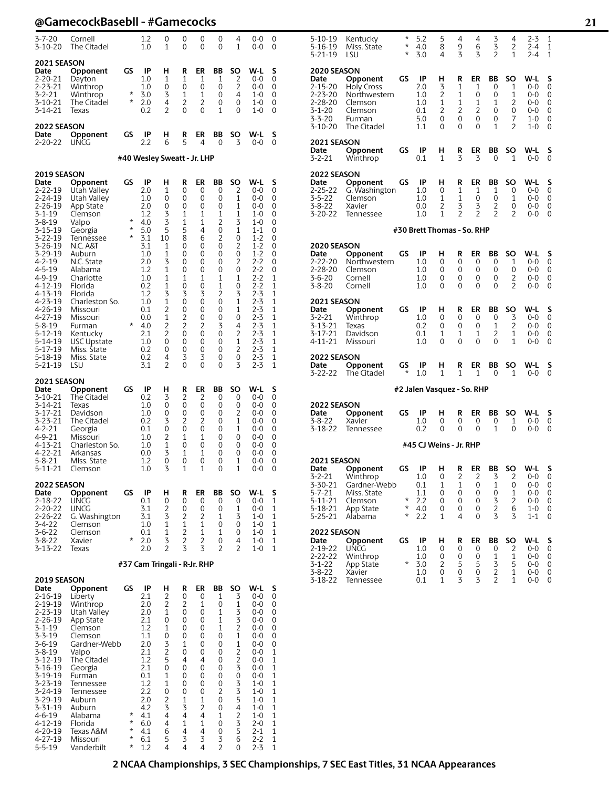| $3 - 7 - 20$<br>3-10-20                                                                                                                                                                                                                                                                                              | Cornell<br>The Citadel                                                                                                                                                                                                                                                                                                  |                                                               | 1.2<br>1.0                                                                                                                                                          | 0<br>1                                                                                                                                                     | 0<br>0                                                                                                                            | 0<br>0                                                                                                                             | 0<br>0                                                                                                                | 4<br>1                                                                                                                                                                                          | $0 - 0$<br>0-0                                                                                                                                                                                                                   | 0<br>0                                                                                                               |
|----------------------------------------------------------------------------------------------------------------------------------------------------------------------------------------------------------------------------------------------------------------------------------------------------------------------|-------------------------------------------------------------------------------------------------------------------------------------------------------------------------------------------------------------------------------------------------------------------------------------------------------------------------|---------------------------------------------------------------|---------------------------------------------------------------------------------------------------------------------------------------------------------------------|------------------------------------------------------------------------------------------------------------------------------------------------------------|-----------------------------------------------------------------------------------------------------------------------------------|------------------------------------------------------------------------------------------------------------------------------------|-----------------------------------------------------------------------------------------------------------------------|-------------------------------------------------------------------------------------------------------------------------------------------------------------------------------------------------|----------------------------------------------------------------------------------------------------------------------------------------------------------------------------------------------------------------------------------|----------------------------------------------------------------------------------------------------------------------|
| 2021 SEASON<br>Date<br>2-20-21<br>2-23-21<br>3-2-21<br>$3 - 10 - 21$<br>3-14-21                                                                                                                                                                                                                                      | Opponent<br>Dayton<br>Winthrop<br>Winthrop<br>The Citadel<br>Texas                                                                                                                                                                                                                                                      | GS<br>$\star$<br>$^\star$                                     | IP<br>1.0<br>1.0<br>3.0<br>2.0<br>0.2                                                                                                                               | н<br>1<br>0<br>3<br>4<br>2                                                                                                                                 | R<br>1<br>0<br>1<br>2<br>0                                                                                                        | ER<br>1<br>0<br>1<br>2<br>0                                                                                                        | BB<br>1<br>0<br>0<br>0<br>1                                                                                           | SO<br>2<br>2<br>4<br>0<br>0                                                                                                                                                                     | W-L<br>$0 - 0$<br>$0 - 0$<br>$1 - 0$<br>$1 - 0$<br>1-0                                                                                                                                                                           | s<br>0<br>0<br>0<br>0<br>0                                                                                           |
| <b>2022 SEASON</b><br>Date<br>2-20-22                                                                                                                                                                                                                                                                                | Opponent<br>UNCG                                                                                                                                                                                                                                                                                                        | GS                                                            | IP<br>2.2                                                                                                                                                           | н<br>6                                                                                                                                                     | R<br>5                                                                                                                            | ER<br>4                                                                                                                            | ΒB<br>0                                                                                                               | SO<br>3                                                                                                                                                                                         | W-L<br>$0 - 0$                                                                                                                                                                                                                   | S<br>0                                                                                                               |
|                                                                                                                                                                                                                                                                                                                      |                                                                                                                                                                                                                                                                                                                         |                                                               | #40 Wesley Sweatt - Jr. LHP                                                                                                                                         |                                                                                                                                                            |                                                                                                                                   |                                                                                                                                    |                                                                                                                       |                                                                                                                                                                                                 |                                                                                                                                                                                                                                  |                                                                                                                      |
| 2019 SEASON<br>Date<br>2-22-19<br>$2 - 24 - 19$<br>2-26-19<br>3-1-19<br>$3 - 8 - 19$<br>$3 - 15 - 19$<br>3-22-19<br>3-26-19<br>3-29-19<br>4-2-19<br>$4 - 5 - 19$<br>4-9-19<br>4-12-19<br>$4 - 13 - 19$<br>$4 - 23 - 19$<br>4-26-19<br>4-27-19<br>5-8-19<br>5-12-19<br>5-14-19<br>5-17-19<br>5-18-19<br>$5 - 21 - 19$ | Opponent<br>Utah Valley<br>Utah Valley<br>App State<br>Clemson<br>Valpo<br>Georgia<br>Tennessee<br><b>N.C. A&amp;T</b><br>Auburn<br>N.C. State<br>Alabama<br>Charlotte<br>Florida<br>Florida<br>Charleston So.<br>Missouri<br>Missouri<br>Furman<br>Kentucky<br><b>USC Upstate</b><br>Miss. State<br>Miss. State<br>lsu | GS<br>$^\star$<br>$\star$<br>$\star$<br>$^\star$              | IP<br>2.0<br>1.0<br>2.0<br>1.2<br>4.0<br>5.0<br>3.1<br>3.1<br>1.0<br>2.0<br>1.2<br>1.0<br>0.2<br>1.2<br>1.0<br>0.1<br>0.0<br>4.0<br>2.1<br>1.0<br>0.2<br>0.2<br>3.1 | н<br>1<br>0<br>0<br>3<br>3<br>5<br>10<br>1<br>1<br>3<br>1<br>1<br>1<br>3<br>$\mathbf{1}$<br>$\overline{c}$<br>1<br>$\overline{c}$<br>2<br>0<br>0<br>4<br>2 | R<br>0<br>0<br>0<br>1<br>1<br>5<br>8<br>0<br>0<br>0<br>0<br>1<br>0<br>3<br>0<br>0<br>2<br>$\overline{c}$<br>0<br>0<br>0<br>3<br>0 | ER<br>0<br>0<br>0<br>1<br>1<br>4<br>6<br>0<br>0<br>0<br>0<br>1<br>0<br>3<br>0<br>0<br>0<br>$\overline{c}$<br>0<br>0<br>0<br>3<br>0 | BB<br>0<br>0<br>0<br>1<br>2<br>0<br>2<br>0<br>0<br>0<br>0<br>1<br>1<br>2<br>0<br>0<br>0<br>3<br>0<br>0<br>0<br>0<br>0 | SO<br>2<br>1<br>1<br>1<br>3<br>1<br>0<br>2<br>0<br>2<br>0<br>1<br>0<br>3<br>1<br>1<br>0<br>4<br>2<br>1<br>2<br>0<br>3                                                                           | W-L<br>0-0<br>$0 - 0$<br>0-0<br>$1 - 0$<br>$1 - 0$<br>$1 - 1$<br>1-2<br>$1 - 2$<br>$1 - 2$<br>$2 - 2$<br>$2 - 2$<br>$2 - 2$<br>2-2<br>$2 - 3$<br>$2 - 3$<br>2-3<br>$2 - 3$<br>$2 - 3$<br>2-3<br>$2 - 3$<br>$2 - 3$<br>2-3<br>2-3 | S<br>0<br>0<br>0<br>0<br>0<br>0<br>0<br>0<br>0<br>0<br>0<br>1<br>1<br>1<br>1<br>1<br>1<br>1<br>1<br>1<br>1<br>1<br>1 |
| 2021 SEASON<br>Date<br>3-10-21<br>3-14-21<br>3-17-21<br>3-23-21<br>$4 - 2 - 21$<br>4-9-21<br>4-13-21<br>4-22-21<br>$5 - 8 - 21$<br>$5 - 11 - 21$                                                                                                                                                                     | Opponent<br>The Citadel<br>Texas<br>Davidson<br>The Citadel<br>Georgia<br>Missouri<br>Charleston So.<br>Arkansas<br>MIss. State<br>Clemson                                                                                                                                                                              | GS                                                            | IP<br>0.2<br>1.0<br>1.0<br>0.2<br>0.1<br>1.0<br>1.0<br>0.0<br>1.2<br>1.0                                                                                            | н<br>3<br>0<br>0<br>3<br>0<br>2<br>$\mathbf{1}$<br>3<br>0<br>3                                                                                             | R<br>2<br>0<br>0<br>2<br>0<br>1<br>0<br>1<br>0<br>1                                                                               | ER<br>2<br>0<br>0<br>2<br>0<br>1<br>0<br>1<br>0<br>1                                                                               | ΒB<br>0<br>0<br>0<br>0<br>0<br>0<br>0<br>0<br>0<br>0                                                                  | SO<br>0<br>0<br>2<br>1<br>1<br>0<br>0<br>0<br>1<br>1                                                                                                                                            | W-L<br>$0 - 0$<br>0-0<br>$0 - 0$<br>$0 - 0$<br>$0-0$<br>$0 - 0$<br>0-0<br>0-0<br>$0 - 0$<br>0-0                                                                                                                                  | S<br>0<br>0<br>0<br>0<br>0<br>0<br>0<br>0<br>0<br>0                                                                  |
| <b>2022 SEASON</b><br>Date<br>2-18-22<br>2-20-22<br>2-26-22<br>3-4-22<br>$3-6-22$<br>$3 - 8 - 22$<br>3-13-22                                                                                                                                                                                                         | Opponent<br>UNCG<br><b>UNCG</b><br>G. Washington<br>Clemson<br>Clemson<br>Xavier<br>Texas                                                                                                                                                                                                                               | GS<br>$^\star$                                                | IP<br>0.1<br>3.1<br>3.1<br>1.0<br>0.1<br>2.0<br>2.0<br>#37 Cam Tringali - R-Jr. RHP                                                                                 | н<br>0<br>2<br>3<br>1<br>1<br>3<br>2                                                                                                                       | R<br>0<br>0<br>2<br>1<br>$\overline{2}$<br>$\overline{c}$<br>3                                                                    | ER<br>0<br>0<br>2<br>1<br>1<br>$\overline{2}$<br>3                                                                                 | ВB<br>0<br>0<br>1<br>0<br>1<br>0<br>2                                                                                 | SO<br>0<br>1<br>3<br>0<br>0<br>4<br>2                                                                                                                                                           | W-L<br>$0 - 0$<br>$0 - 0$<br>$1 - 0$<br>1-0<br>$1 - 0$<br>$1 - 0$<br>1-0                                                                                                                                                         | S<br>1<br>1<br>1<br>1<br>1<br>1<br>1                                                                                 |
| 2019 SEASON                                                                                                                                                                                                                                                                                                          |                                                                                                                                                                                                                                                                                                                         |                                                               |                                                                                                                                                                     |                                                                                                                                                            |                                                                                                                                   |                                                                                                                                    |                                                                                                                       |                                                                                                                                                                                                 |                                                                                                                                                                                                                                  |                                                                                                                      |
| Date<br>2-16-19<br>2-19-19<br>2-23-19<br>2-26-19<br>3-1-19<br>3-3-19<br>3-6-19<br>3-8-19<br>3-12-19<br>3-16-19<br>$3-19-19$<br>3-23-19<br>3-24-19<br>3-29-19<br>3-31-19<br>4-6-19<br>4-12-19<br>4-20-19<br>4-27-19<br>$5 - 5 - 19$                                                                                   | Opponent<br>Liberty<br>Winthrop<br>Utah Valley<br>App State<br>Clemson<br>Clemson<br>Gardner-Webb<br>Valpo<br>The Citadel<br>Georgia<br>Furman<br>Tennessee<br>Tennessee<br>Auburn<br>Auburn<br>Alabama<br>Florida<br>Texas A&M<br>Missouri<br>Vanderbilt                                                               | GS<br>$^\star$<br>$^\star$<br>$^\star$<br>$^\star$<br>$\star$ | IP<br>2.1<br>2.0<br>2.0<br>2.1<br>1.2<br>1.1<br>2.0<br>2.1<br>1.2<br>2.1<br>0.1<br>1.2<br>2.2<br>2.0<br>4.2<br>4.1<br>6.0<br>4.1<br>6.1<br>1.2                      | н<br>2<br>$\overline{c}$<br>1<br>0<br>1<br>0<br>3<br>$\overline{2}$<br>5<br>0<br>1<br>1<br>0<br>$\overline{c}$<br>3<br>4<br>4<br>6<br>5<br>4               | R<br>0<br>2<br>0<br>0<br>0<br>0<br>1<br>0<br>4<br>0<br>0<br>0<br>0<br>1<br>3<br>4<br>1<br>4<br>3<br>4                             | ER<br>0<br>1<br>0<br>0<br>0<br>0<br>0<br>0<br>4<br>0<br>0<br>0<br>0<br>1<br>$\overline{2}$<br>4<br>1<br>4<br>3<br>4                | BB<br>1<br>0<br>1<br>1<br>1<br>0<br>0<br>0<br>0<br>0<br>0<br>0<br>2<br>0<br>0<br>1<br>0<br>0<br>3<br>2                | SO<br>3<br>1<br>3<br>3<br>$\overline{c}$<br>1<br>1<br>$\overline{c}$<br>$\overline{c}$<br>3<br>$\overline{0}$<br>3<br>$\frac{3}{4}$<br>$\overline{\mathbf{c}}$<br>$\overline{3}$<br>5<br>6<br>0 | W-L<br>0-0<br>$0 - 0$<br>$0 - 0$<br>0-0<br>$0 - 0$<br>$0 - 0$<br>0-0<br>$0 - 0$<br>$0 - 0$<br>0-0<br>$0 - 0$<br>$1 - 0$<br>1-0<br>$1 - 0$<br>$1 - 0$<br>1-0<br>$2 - 0$<br>$2 - 1$<br>$2 - 2$<br>$2 - 3$                          | S<br>0<br>0<br>0<br>0<br>0<br>0<br>0<br>1<br>1<br>1<br>1<br>1<br>1<br>1<br>1<br>1<br>1<br>1<br>1<br>1                |

| 5-16-19<br>5-21-19                                                                                     | Miss. State<br>LSU                                                                     | *<br>$\star$             | 4.0<br>3.0                                   | 8<br>4                                       | 9<br>3                             | 6<br>3                              | 3<br>2                                        | 2<br>1                           | 2-4<br>$2 - 4$                                        | 1<br>1                          |  |
|--------------------------------------------------------------------------------------------------------|----------------------------------------------------------------------------------------|--------------------------|----------------------------------------------|----------------------------------------------|------------------------------------|-------------------------------------|-----------------------------------------------|----------------------------------|-------------------------------------------------------|---------------------------------|--|
| <b>2020 SEASON</b><br>Date<br>2-15-20<br>2-23-20<br>2-28-20<br>$3 - 1 - 20$<br>$3 - 3 - 20$<br>3-10-20 | Opponent<br>Holy Cross<br>Northwestern<br>Clemson<br>Clemson<br>Furman<br>The Citadel  | GS                       | IP<br>2.0<br>1.0<br>1.0<br>0.1<br>5.0<br>1.1 | н<br>3<br>$\overline{2}$<br>1<br>2<br>0<br>0 | R<br>1<br>1<br>1<br>2<br>0<br>0    | ER<br>1<br>0<br>1<br>2<br>0<br>0    | BB<br>0<br>0<br>1<br>0<br>0<br>1              | SO<br>1<br>1<br>2<br>0<br>7<br>2 | W-L<br>0-0<br>$0 - 0$<br>0-0<br>0-0<br>1-0<br>1-0     | S<br>0<br>0<br>0<br>0<br>0<br>0 |  |
| 2021 SEASON<br>Date<br>$3 - 2 - 21$                                                                    | Opponent<br>Winthrop                                                                   | GS                       | IP<br>0.1                                    | н<br>1                                       | R<br>3                             | ER<br>3                             | BB<br>0                                       | SO<br>1                          | W-L<br>0-0                                            | S<br>0                          |  |
| <b>2022 SEASON</b><br>Date<br>2-25-22<br>3-5-22<br>3-8-22<br>3-20-22                                   | Opponent<br>G. Washington<br>Clemson<br>Xavier<br>Tennessee                            | GS                       | IP<br>1.0<br>1.0<br>0.0<br>1.0               | н<br>0<br>1<br>2<br>$\overline{1}$           | R<br>1<br>1<br>3<br>$\overline{2}$ | ER<br>1<br>0<br>3<br>$\overline{c}$ | ВB<br>1<br>0<br>2<br>2                        | SO<br>0<br>1<br>0<br>2           | W-L<br>0-0<br>0-0<br>0-0<br>0-0                       | s<br>0<br>0<br>0<br>0           |  |
|                                                                                                        | #30 Brett Thomas - So. RHP                                                             |                          |                                              |                                              |                                    |                                     |                                               |                                  |                                                       |                                 |  |
| 2020 SEASON<br>Date<br>2-22-20<br>$2 - 28 - 20$<br>$3 - 6 - 20$<br>$3 - 8 - 20$                        | Opponent<br>Northwestern<br>Clemson<br>Cornell<br>Cornell                              | GS                       | IP<br>1.0<br>1.0<br>1.0<br>1.0               | н<br>0<br>0<br>0<br>0                        | R<br>0<br>0<br>0<br>0              | ER<br>0<br>0<br>0<br>0              | ΒB<br>0<br>$\Omega$<br>0<br>0                 | SO<br>1<br>0<br>2<br>2           | W-L<br>$0 - 0$<br>0-0<br>0-0<br>0-0                   | s<br>0<br>0<br>0<br>0           |  |
| 2021 SEASON<br>Date<br>3-2-21<br>3-13-21<br>3-17-21<br>4-11-21                                         | Opponent<br>Winthrop<br>Texas<br>Davidson<br>Missouri                                  | GS                       | IP<br>1.0<br>0.2<br>0.1<br>1.0               | н<br>0<br>0<br>1<br>0                        | R<br>0<br>0<br>1<br>0              | ER<br>0<br>0<br>1<br>0              | BB<br>0<br>1<br>2<br>0                        | SO<br>3<br>2<br>1<br>1           | W-L<br>0-0<br>0-0<br>0-0<br>0-0                       | S<br>0<br>0<br>0<br>0           |  |
| 2022 SEASON<br>Date<br>3-22-22                                                                         | Opponent<br>The Citadel                                                                | GS<br>$\star$            | IP<br>1.0                                    | н<br>1                                       | R<br>1                             | ER<br>1                             | ВB<br>0                                       | SO<br>1                          | W-L<br>0-0                                            | S<br>0                          |  |
|                                                                                                        |                                                                                        |                          | #2 Jalen Vasquez - So. RHP                   |                                              |                                    |                                     |                                               |                                  |                                                       |                                 |  |
| <b>2022 SEASON</b><br>Date<br>3-8-22<br>3-18-22                                                        | Opponent<br>Xavier<br>Tennessee                                                        | GS                       | IP<br>1.0<br>0.2                             | н<br>0<br>0                                  | R<br>0<br>0                        | ER<br>0<br>0                        | ВB<br>0<br>1                                  | SO<br>1<br>0                     | W-L<br>0-0<br>$0 - 0$                                 | S<br>0<br>0                     |  |
|                                                                                                        |                                                                                        |                          | #45 CJ Weins - Jr. RHP                       |                                              |                                    |                                     |                                               |                                  |                                                       |                                 |  |
| 2021 SEASON<br>Date<br>3-2-21<br>3-30-21<br>5-7-21<br>5-11-21<br>5-18-21<br>5-25-21                    | Opponent<br>Winthrop<br>Gardner-Webb<br>Miss. State<br>Clemson<br>App State<br>Alabama | GS<br>*<br>$^\star$<br>* | IP<br>1.0<br>0.1<br>1.1<br>2.2<br>4.0<br>2.2 | н<br>0<br>1<br>0<br>0<br>0<br>1              | R<br>2<br>1<br>0<br>0<br>0<br>4    | ER<br>2<br>0<br>0<br>0<br>0<br>0    | ВB<br>3<br>1<br>0<br>3<br>$\overline{c}$<br>3 | SO<br>2<br>0<br>1<br>2<br>6<br>3 | W-L<br>0-0<br>0-0<br>0-0<br>0-0<br>$1 - 0$<br>$1 - 1$ | S<br>0<br>0<br>0<br>0<br>0<br>0 |  |
| 2022 SEASON<br>Date<br>2-19-22                                                                         | Opponent<br>UÑCG                                                                       | GS                       | IP<br>1.0                                    | н<br>0                                       | R<br>0                             | ER<br>0                             | BB<br>0                                       | SO<br>2                          | W-L<br>$0-0$                                          | $\frac{5}{0}$                   |  |
| 2-22-22<br>3-1-22<br>3-8-22<br>3-18-22                                                                 | Winthrop<br>App State<br>Xavier<br>Tennessee                                           | *                        | 1.0<br>3.0<br>1.0<br>0.1                     | 0<br>2<br>0<br>1                             | 0<br>5<br>0<br>3                   | 0<br>5<br>0<br>3                    | 1<br>3<br>$\overline{2}$<br>2                 | 1<br>5<br>$\mathbf{1}$<br>1      | 0-0<br>0-0<br>0-0<br>$0-0$                            | 0<br>0<br>0<br>0                |  |

5-10-19 Kentucky \* 5.2 5 4 4 3 4 2-3 1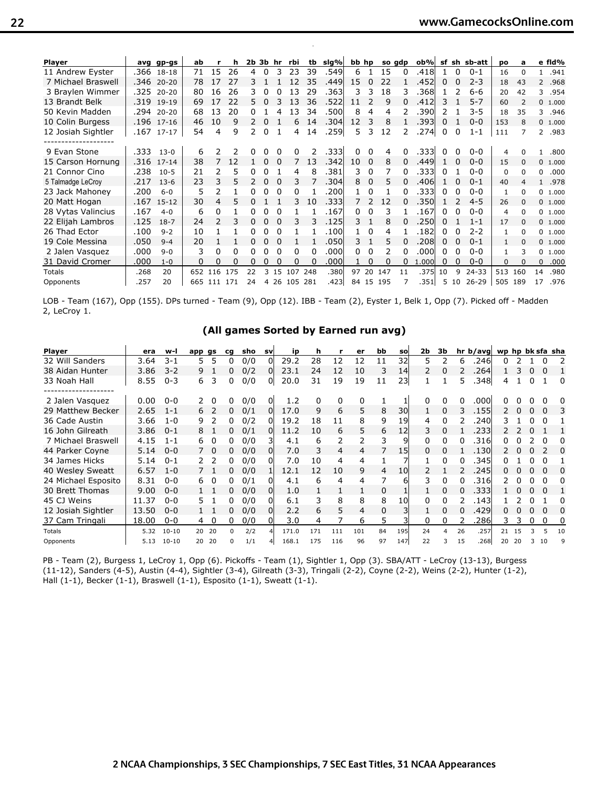| <b>Player</b>      |      | avg gp-gs  | ab  |             | h   | $2b$ $3b$ $hr$ |              |          | rbi          |     | tb sig% | bb hp          |             |        | so adp | ob%   |    |          | sf sh sb-att | pо           | a            |              | e fld%   |
|--------------------|------|------------|-----|-------------|-----|----------------|--------------|----------|--------------|-----|---------|----------------|-------------|--------|--------|-------|----|----------|--------------|--------------|--------------|--------------|----------|
| 11 Andrew Eyster   |      | .366 18-18 | 71  | 15          | 26  | 4              | 0            |          | 23           | 39  | .549    | 6              | 1           | 15     | 0      | .418l |    | $\Omega$ | $0 - 1$      | 16           | <sup>0</sup> | $\mathbf{1}$ | .941     |
| 7 Michael Braswell |      | .346 20-20 | 78  | 17          | 27  |                |              |          | 12           | 35  | .449l   | 15             | $\Omega$    | 22     |        | .452  | 0  |          | $2 - 3$      | 18           | 43           |              | 2 .968   |
| 3 Braylen Wimmer   | .325 | $20 - 20$  | 80  | 16          | 26  | 3.             |              |          | 13           | 29  | .3631   | 3              | 3           | 18     |        | .368  |    |          | $6 - 6$      | 20           | 42           | 3            | .954     |
| 13 Brandt Belk     |      | .319 19-19 | 69  | 17          | 22  | 5.             | <sup>0</sup> |          | 13           | 36  | .522    | 11             |             | 9      | 0      | .412  | 3  |          | $5 - 7$      | 60           |              |              | 0 1.000  |
| 50 Kevin Madden    | .294 | $20 - 20$  | 68  | 13          | 20  |                |              |          | 13           | 34  | .500l   | 8              | 4           | 4      |        | 390   | 2  |          | 3-5          | 18           | 35           | 3            | .946     |
| 10 Colin Burgess   |      | .196 17-16 | 46  | 10          | 9   | $\mathcal{P}$  | 0            |          | 6            | 14  | .304    | 12             | 3           | 8      |        | .393l | 0  |          | $0 - 0$      | 153          | 8            |              | 0 1.000  |
| 12 Josiah Sightler | .167 | 17-17      | 54  | 4           | 9   | 2              | $\Omega$     |          | 4            | 14  | .259    | 5              | 3           | 12     |        | .274  | 0  | 0        | $1 - 1$      | 111          |              | $2^{\circ}$  | .983     |
| 9 Evan Stone       | .333 | $13 - 0$   | 6   |             |     |                |              |          | <sup>0</sup> |     | .3331   |                |             | 4      |        | .3331 |    |          | $0 - 0$      | 4            |              |              | .800     |
| 15 Carson Hornung  | .316 | $17 - 14$  | 38  |             | 12  |                | 0            | $\Omega$ |              | 13  | .342    | 10             | $\mathbf 0$ | 8      | 0      | .449  |    |          | $0 - 0$      | 15           | $\Omega$     |              | 0, 1.000 |
| 21 Connor Cino     | .238 | $10 - 5$   | 21  |             | 5   |                |              |          | 4            | 8   | .381    | 3              | 0           |        |        | .3331 | 0  |          | $0 - 0$      | $\Omega$     | $\Omega$     | 0            | .000     |
| 5 Talmadge LeCroy  | .217 | $13-6$     | 23  | 3           | 5.  | $\mathcal{P}$  | 0            |          | 3            |     | .304l   | 8              | $\Omega$    | 5      |        | .4061 |    |          | $0 - 1$      | 40           |              | $\mathbf{1}$ | .978     |
| 23 Jack Mahoney    | .200 | $6 - 0$    | 5   | 2           |     | 0              | 0            | $\Omega$ | 0            |     | .200l   |                | 0           |        | O.     | .333  | O. | 0        | $0 - 0$      | 1            | <sup>0</sup> |              | 0 1.000  |
| 20 Matt Hogan      | .167 | $15 - 12$  | 30  | 4           | 5   |                |              |          | 3.           | 10  | .3331   | $\overline{7}$ | 2           | 12     |        | .350  |    |          | $4 - 5$      | 26           | $\Omega$     |              | 0 1.000  |
| 28 Vytas Valincius | .167 | $4 - 0$    | 6   | 0           |     | 0              |              | $\Omega$ |              |     | .167    | 0              | 0           | 3      |        | .167  | 0  |          | $0 - 0$      | 4            | $\Omega$     |              | 0 1.000  |
| 22 Elijah Lambros  | .125 | $18-7$     | 24  | 2           | 3   | 0              | 0            |          |              | 3   | .125    | 3              |             | 8      |        | .250  | 0  |          | $1 - 1$      | 17           | $\Omega$     |              | 0 1.000  |
| 26 Thad Ector      | .100 | $9 - 2$    | 10  |             |     | 0              | 0            |          |              |     | .100    |                | $\Omega$    | 4      |        | .182  | 0  |          | $2 - 2$      | $\mathbf{1}$ | <sup>0</sup> |              | 0 1.000  |
| 19 Cole Messina    | .050 | $9 - 4$    | 20  |             |     |                |              |          |              |     | .050l   | 3.             |             | 5      |        | .208  | 0  |          | $0 - 1$      | $\mathbf{1}$ | $\Omega$     |              | 0 1.000  |
| 2 Jalen Vasquez    | .000 | $9 - 0$    | 3   | 0           | 0   | 0              |              | $\Omega$ | 0            |     | .000l   | 0              | $\Omega$    | 2      |        | .000  | 0  |          | $0 - 0$      | $\mathbf{1}$ | 3            | 0            | 1.000    |
| 31 David Cromer    | .000 | $1 - 0$    | 0   | 0           | 0   |                |              |          | 0            |     | .000    |                |             | 0      |        | 1.000 | 0  |          | $0 - 0$      | $\Omega$     |              | $\mathbf{0}$ | .000     |
| Totals             | .268 | 20         | 652 | 116         | 175 |                | 3            | 15       | 107          | 248 | .380l   | 97             | 20          | 147    | 11     | .375  | 10 | q        | $24 - 33$    | 513          | 160          | 14           | .980     |
| Opponents          | .257 | 20         |     | 665 111 171 |     | 24             | 4            |          | 26 105       | 281 | .423    | 84             |             | 15 195 |        | .351  | 5. | 10       | $26 - 29$    | 505          | 189          | 17           | .976     |

Record: 10-10 Home: 9-4 Away: 0-5 Neutral: 1-1 SEC: 0-3

LOB - Team (167), Opp (155). DPs turned - Team (9), Opp (12). IBB - Team (2), Eyster 1, Belk 1, Opp (7). Picked off - Madden 2, LeCroy 1.

#### **(All games Sorted by Earned run avg)**

| <b>Player</b>       | era   | w-l       | app gs |          | ca           | sho | svl | ip    | h   |     | er  | bb | sol | 2b             | Зb |          | hr <sub>b</sub> /avgl | wp hp bk sfa sha |              |              |          |          |
|---------------------|-------|-----------|--------|----------|--------------|-----|-----|-------|-----|-----|-----|----|-----|----------------|----|----------|-----------------------|------------------|--------------|--------------|----------|----------|
| 32 Will Sanders     | 3.64  | $3 - 1$   | 5      | 5        | 0            | 0/0 | ΩI  | 29.2  | 28  | 12  | 12  | 11 | 32  | 5.             |    | 6        | .246                  | 0                |              |              | 0        |          |
| 38 Aidan Hunter     | 3.86  | $3 - 2$   | 9      |          | 0            | 0/2 | 0l  | 23.1  | 24  | 12  | 10  | 3  | 14  | $\overline{2}$ | 0  |          | 264                   |                  |              |              |          |          |
| 33 Noah Hall        | 8.55  | $0 - 3$   | 6      | 3        | 0            | 0/0 | Οl  | 20.0  | 31  | 19  | 19  | 11 | 23  |                |    | 5        | .348                  | 4                |              |              |          | 0        |
| 2 Jalen Vasquez     | 0.00  | $0 - 0$   |        |          | n.           | 0/0 | Οl  | 1.2   | 0   | 0   | 0   |    |     |                | 0  |          | .000l                 |                  |              |              |          |          |
| 29 Matthew Becker   | 2.65  | $1 - 1$   | 6      |          | 0            | 0/1 | 0l  | 17.0  | 9   | 6   | 5   | 8  | 30  |                | 0  | 3        | .1551                 | 2                | <sup>0</sup> |              | $\Omega$ | 3        |
| 36 Cade Austin      | 3.66  | $1 - 0$   | 9      |          | 0            | 0/2 | 01  | 19.2  | 18  | 11  | 8   | 9  | 19  | 4              | 0  |          | .240l                 | 3                |              |              | $\Omega$ |          |
| 16 John Gilreath    | 3.86  | $0 - 1$   | 8      |          | 0            | 0/1 | 0l  | 11.2  | 10  | 6   | 5   | 6  | 12  | 3              | 0  |          | .2331                 |                  |              |              |          |          |
| 7 Michael Braswell  | 4.15  | $1 - 1$   | 6      |          | 0            | 0/0 |     | 4.1   | 6   | 2   | 2   | 3  | 9   |                | 0  |          | .316l                 | n.               |              |              |          |          |
| 44 Parker Coyne     | 5.14  | $0 - 0$   |        | $\Omega$ | 0.           | 0/0 | ΩI  | 7.0   | 3   | 4   | 4   |    | 15  | 0              | 0  |          | .130                  |                  |              |              |          | $\Omega$ |
| 34 James Hicks      | 5.14  | $0 - 1$   |        |          |              | 0/0 | ΩI  | 7.0   | 10  | 4   | 4   |    |     |                |    |          | 345                   |                  |              |              |          |          |
| 40 Wesley Sweatt    | 6.57  | $1 - 0$   |        |          | 0            | 0/0 |     | 12.1  | 12  | 10  | 9   | 4  | 10  |                |    |          | <b>245</b>            | O.               |              |              |          | 0        |
| 24 Michael Esposito | 8.31  | $0 - 0$   | 6      | $\Omega$ | 0            | 0/1 | ΩI  | 4.1   | 6   | 4   | 4   | 7  | 6   | 3              | 0  |          | .316l                 |                  |              |              | n        | 0        |
| 30 Brett Thomas     | 9.00  | $0 - 0$   |        |          | 0            | 0/0 | Οl  | 1.0   |     | 1   |     | 0  |     |                | 0  | $\Omega$ | .3331                 |                  | 0            | 0            | $\Omega$ |          |
| 45 CJ Weins         | 11.37 | $0 - 0$   | 5      |          | 0            | 0/0 | Οl  | 6.1   |     | 8   | 8   | 8  | 10  |                |    |          | .143                  |                  |              |              |          | 0        |
| 12 Josiah Sightler  | 13.50 | $0 - 0$   |        |          | 0            | 0/0 | ΩI  | 2.2   | 6   | 5   | 4   | 0  |     |                | 0  |          | .429l                 |                  |              |              |          | 0        |
| 37 Cam Tringali     | 18.00 | $0 - 0$   | 4      | 0        | 0            | 0/0 | ΩI  | 3.0   | 4   |     | 6   | 5  |     | 0              | 0  |          | .286                  | 3.               | 3            | <sup>0</sup> | 0        | 0        |
| Totals              | 5.32  | $10 - 10$ | 20     | 20       | <sup>0</sup> | 2/2 |     | 171.0 | 171 | 111 | 101 | 84 | 195 | 24             | 4  | 26       | .257                  | 21               |              |              |          | 10       |
| Opponents           | 5.13  | $10 - 10$ | 20     | 20       | n            | 1/1 |     | 168.1 | 175 | 116 | 96  | 97 | 147 | 22             | 3  | 15       | .268                  | 20               | 20           |              | 10       | q        |

PB - Team (2), Burgess 1, LeCroy 1, Opp (6). Pickoffs - Team (1), Sightler 1, Opp (3). SBA/ATT - LeCroy (13-13), Burgess (11-12), Sanders (4-5), Austin (4-4), Sightler (3-4), Gilreath (3-3), Tringali (2-2), Coyne (2-2), Weins (2-2), Hunter (1-2), Hall (1-1), Becker (1-1), Braswell (1-1), Esposito (1-1), Sweatt (1-1).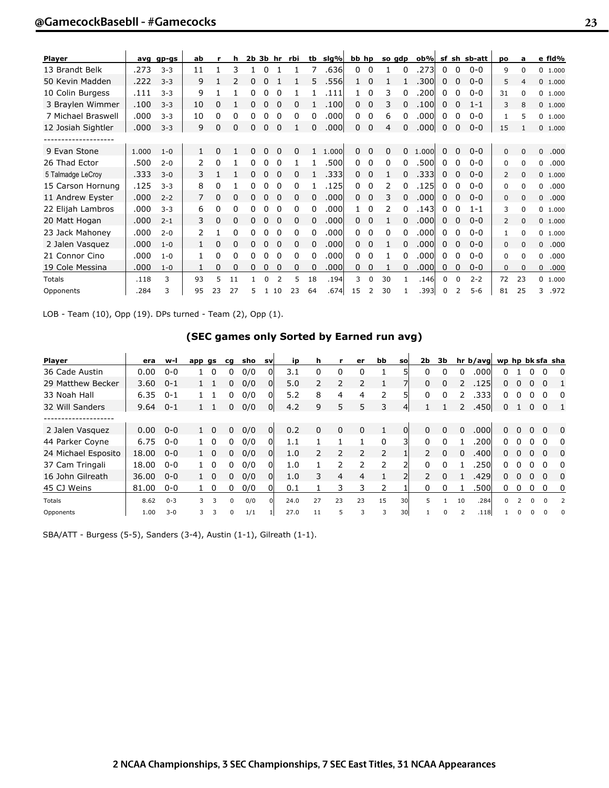| <b>Player</b>      |       | avg gp-gs | ab |          | h        |    |          | $2b$ $3b$ hr | rbi | tb | slg%  | bb hp |          |               | so gdp       | ob%   |          |          | sf sh sb-att | po             | a              | e fld%    |
|--------------------|-------|-----------|----|----------|----------|----|----------|--------------|-----|----|-------|-------|----------|---------------|--------------|-------|----------|----------|--------------|----------------|----------------|-----------|
| 13 Brandt Belk     | .273  | $3 - 3$   | 11 |          | 3        |    | 0        |              |     | 7  | .636  | 0     | 0        |               | O            | .273  | 0        | $\Omega$ | $0 - 0$      | 9              | $\Omega$       | 0 1.000   |
| 50 Kevin Madden    | .222  | $3 - 3$   | 9  |          | 2        | 0  |          |              |     | 5  | .556  | 1.    | 0        |               |              | .300l | 0        | $\Omega$ | $0 - 0$      | 5              | $\overline{4}$ | 0 1.000   |
| 10 Colin Burgess   | .111  | $3 - 3$   | 9  |          |          | 0  | 0        | 0            |     |    | .111  |       | 0        | 3             | 0            | .200  | 0        | 0        | $0 - 0$      | 31             | $\Omega$       | 0 1.000   |
| 3 Braylen Wimmer   | .100  | $3 - 3$   | 10 | ი        |          |    |          |              | 0   |    | .100  | 0     | 0        | 3             |              | .100  | $\Omega$ | 0        | $1 - 1$      | 3              | 8              | 0 1.000   |
| 7 Michael Braswell | .000  | $3 - 3$   | 10 | 0        | 0        | 0  |          | 0            | 0   | 0  | .000l | 0     | 0        | 6             |              | .000l | 0        | 0        | $0 - 0$      | $\mathbf{1}$   | 5              | 0 1.000   |
| 12 Josiah Sightler | .000  | $3 - 3$   | 9  | 0        | $\Omega$ | 0  | $\Omega$ | $\Omega$     |     | 0  | .000  | 0     | 0        | 4             | $\Omega$     | .000  | $\Omega$ | $\Omega$ | $0 - 0$      | 15             | 1              | 0 1.000   |
| ------------------ |       |           |    |          |          |    |          |              |     |    |       |       |          |               |              |       |          |          |              |                |                |           |
| 9 Evan Stone       | 1.000 | $1 - 0$   |    | U        |          |    |          |              | 0   |    | 1.000 | 0     | $\Omega$ | 0             | 0            | 1.000 | 0        | $\Omega$ | $0 - 0$      | $\Omega$       | $\Omega$       | 0<br>.000 |
| 26 Thad Ector      | .500  | $2 - 0$   | 2  | 0        |          |    |          | 0            |     |    | .500  | 0     | 0        | 0             | $\Omega$     | .500  | 0        | 0        | $0 - 0$      | 0              | $\Omega$       | 0<br>.000 |
| 5 Talmadge LeCroy  | .333  | $3 - 0$   | 3  |          |          | 0  | 0        | 0            | 0   |    | .333  | 0     | 0        |               | O            | .3331 | 0        | $\Omega$ | $0 - 0$      | $\overline{2}$ | $\Omega$       | 0 1.000   |
| 15 Carson Hornung  | .125  | $3 - 3$   | 8  | 0        |          |    |          | 0            | 0   |    | .1251 | 0     | 0        | 2             |              | .1251 | 0        | 0        | $0 - 0$      | 0              | $\Omega$       | .000<br>0 |
| 11 Andrew Eyster   | .000  | $2 - 2$   | 7  | 0        | 0        | 0  |          | 0            | 0   | 0  | .000  | 0     | 0        | 3             | 0            | .000  | 0        | 0        | $0 - 0$      | 0              | $\Omega$       | 0<br>.000 |
| 22 Elijah Lambros  | .000  | $3 - 3$   | 6  | 0        | 0        |    |          | 0            | 0   | 0  | .000  |       | 0        | $\mathcal{P}$ | $\Omega$     | .143  | 0        | 0        | $1 - 1$      | 3              | $\Omega$       | 0, 1.000  |
| 20 Matt Hogan      | .000  | $2 - 1$   | 3  | $\Omega$ | 0        | 0  | $\Omega$ | 0            | 0   | 0  | .000  | 0     | 0        |               | 0            | .000l | $\Omega$ | 0        | $0 - 0$      | $\overline{2}$ | $\Omega$       | 0 1.000   |
| 23 Jack Mahoney    | .000  | $2 - 0$   | 2  |          | 0        |    |          | 0            | 0   | 0  | .000l | 0     | 0        | 0             | 0            | .000l | 0        | 0        | $0 - 0$      | 1              | $\Omega$       | 0 1.000   |
| 2 Jalen Vasquez    | .000  | $1 - 0$   | 1  | 0        | $\Omega$ | n. |          | 0            | 0   | 0  | .000  | 0.    | 0        |               |              | .000  | $\Omega$ | 0        | $0 - 0$      | 0              | $\Omega$       | 0<br>.000 |
| 21 Connor Cino     | .000  | $1 - 0$   | 1. | 0        | 0        |    |          | 0            | 0   | 0  | .000l | 0     | 0        |               | <sup>0</sup> | .000l | 0        | 0        | $0 - 0$      | 0              | $\Omega$       | .000<br>0 |
| 19 Cole Messina    | .000  | $1 - 0$   | 1  | 0        | 0        | 0  | $\Omega$ | 0            | 0   | 0  | .000  | 0     | 0        |               | 0            | .000  | $\Omega$ | 0        | $0 - 0$      | 0              | $\Omega$       | .000<br>0 |
| <b>Totals</b>      | .118  | 3         | 93 | 5        | 11       |    |          | 2            | 5   | 18 | .194  | 3     | $\Omega$ | 30            |              | .146  | $\Omega$ | 0        | $2 - 2$      | 72             | 23             | 0, 1.000  |
| Opponents          | .284  | 3         | 95 | 23       | 27       | 5. |          | 1 10         | 23  | 64 | .674  | 15    | 2        | 30            |              | .393  | $\Omega$ | 2        | $5 - 6$      | 81             | 25             | .972<br>3 |

LOB - Team (10), Opp (19). DPs turned - Team (2), Opp (1).

## **(SEC games only Sorted by Earned run avg)**

| <b>Player</b>       | era   | w-l     | app gs |             | cg | sho | <b>SV</b>    | ip   | h        |                | er             | bb             | sol | 2b             | Зb           |          | hr b/avg wp hp bk sfa sha |              |                |             |          |                |
|---------------------|-------|---------|--------|-------------|----|-----|--------------|------|----------|----------------|----------------|----------------|-----|----------------|--------------|----------|---------------------------|--------------|----------------|-------------|----------|----------------|
| 36 Cade Austin      | 0.00  | $0 - 0$ |        | $\Omega$    | 0  | 0/0 |              | 3.1  | $\Omega$ | 0              | 0              |                |     | $\Omega$       | $\Omega$     | $\Omega$ | .000                      | 0            |                |             |          | 0              |
| 29 Matthew Becker   | 3.60  | $0 - 1$ |        |             | 0  | 0/0 | 01           | 5.0  |          | 2              |                |                |     | $\Omega$       | $\Omega$     | 2        | .1251                     | 0            | <sup>0</sup>   | $\Omega$    | $\Omega$ |                |
| 33 Noah Hall        | 6.35  | $0 - 1$ |        |             | 0  | 0/0 |              | 5.2  | 8        | 4              | 4              | 2              |     | $\Omega$       | <sup>0</sup> |          | .3331                     | 0            |                |             | 0        | 0              |
| 32 Will Sanders     | 9.64  | $0 - 1$ |        |             | 0  | 0/0 | 01           | 4.2  | 9        | 5              | 5              | 3              |     |                |              |          | .450                      | $\mathbf{0}$ |                | $\mathbf 0$ | $\Omega$ | $\blacksquare$ |
|                     |       |         |        |             |    |     |              |      |          |                |                |                |     |                |              |          |                           |              |                |             |          |                |
| 2 Jalen Vasquez     | 0.00  | $0 - 0$ |        | $1\quad 0$  | 0  | 0/0 | 01           | 0.2  | 0        | 0              | $\Omega$       |                | 0l  | $\Omega$       | $\Omega$     |          | .000l                     | 0            | $\mathbf{U}$   | 0           | $\Omega$ | 0              |
| 44 Parker Coyne     | 6.75  | $0 - 0$ |        | $1\quad 0$  | 0  | 0/0 | $\Omega$     | 1.1  |          |                |                | $\Omega$       | Зl  | $\Omega$       | $\Omega$     |          | .200l                     | 0            |                | $\Omega$    | n        | $\Omega$       |
| 24 Michael Esposito | 18.00 | $0 - 0$ |        | $1 \quad 0$ | 0  | 0/0 | <sub>0</sub> | 1.0  |          | 2              | $\overline{2}$ | $\overline{2}$ |     | $\overline{2}$ | $\Omega$     | $\Omega$ | .400l                     | 0            | <sup>n</sup>   | $\Omega$    | $\Omega$ | $\Omega$       |
| 37 Cam Tringali     | 18.00 | $0 - 0$ |        | $1\quad 0$  | 0  | 0/0 |              | 1.0  |          |                |                | $\mathcal{P}$  |     | <sup>n</sup>   |              |          | .250l                     | 0            |                |             | $\Omega$ | $\Omega$       |
| 16 John Gilreath    | 36.00 | $0 - 0$ |        | $1\quad 0$  | 0  | 0/0 | ΩI           | 1.0  | 3        | $\overline{4}$ | 4              |                |     |                | $\Omega$     |          | .429                      | 0            |                | $\Omega$    | $\Omega$ | $\Omega$       |
| 45 CJ Weins         | 81.00 | $0 - 0$ |        | - 0         | 0  | 0/0 |              | 0.1  |          | 3              | 3              | 2              |     | 0              | n            |          | .500l                     | 0            | <sup>n</sup>   | $\Omega$    | $\Omega$ | 0              |
| <b>Totals</b>       | 8.62  | $0 - 3$ | 3      | 3           | 0  | 0/0 |              | 24.0 | 27       | 23             | 23             | 15             | 30l | 5.             |              | 10       | .284                      | $\Omega$     | $\overline{2}$ | $\Omega$    | $\Omega$ | $\overline{2}$ |
| Opponents           | 1.00  | $3 - 0$ | 3      | 3           | 0  | 1/1 |              | 27.0 | 11       | 5              | 3              | 3              | 30l |                | 0            |          | .118                      |              |                |             |          | 0              |

SBA/ATT - Burgess (5-5), Sanders (3-4), Austin (1-1), Gilreath (1-1).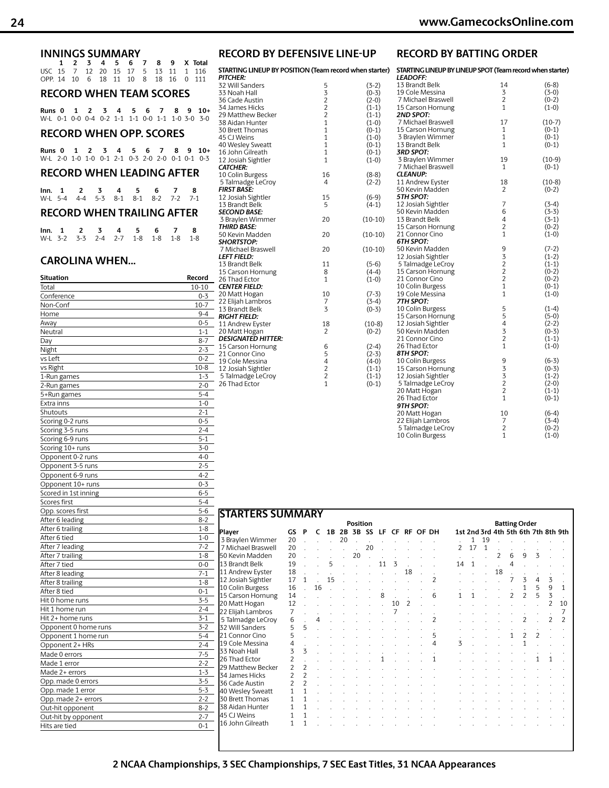| <b>INNINGS SUMMARY</b>                                                                                                                          |
|-------------------------------------------------------------------------------------------------------------------------------------------------|
| $\overline{2}$<br>3<br>$\overline{\mathbf{A}}$<br>5<br>7<br>1<br>6<br>8<br>9<br>x<br>Total                                                      |
| 15<br>7<br>12<br>20<br>15<br>17<br>5<br><b>USC</b><br>13<br>11<br>1<br>116<br>18<br>11<br>OPP. 14<br>10<br>6<br>10<br>8<br>18<br>16<br>0<br>111 |
|                                                                                                                                                 |
| <b>RECORD WHEN TEAM SCORES</b>                                                                                                                  |
| 5<br>1<br>$\overline{2}$<br>3<br>4<br>6<br>7<br>8<br>9<br>$10+$<br>Runs 0                                                                       |
| $0 - 2$<br>$1 - 1$<br>W-L 0-1<br>$0-0$ $0-4$<br>$1 - 1$<br>$0-0$<br>$1 - 1$<br>$1-0$ 3-0<br>$3-0$                                               |
| <b>RECORD WHEN OPP. SCORES</b>                                                                                                                  |
|                                                                                                                                                 |
| 1<br>2<br>3<br>4<br>7<br>8<br>9<br>$10+$<br>Runs 0<br>5<br>6                                                                                    |
| $0-1$ 2-1<br>$0-3$ 2-0 2-0<br>W-L 2-0 1-0 1-0<br>$0-1$ $0-1$ $0-3$                                                                              |
| <b>RECORD WHEN LEADING AFTER</b>                                                                                                                |
|                                                                                                                                                 |
| 3<br>4<br>5<br>6<br>8<br>lnn.<br>-1<br>2<br>7                                                                                                   |
| $5 - 3$<br>$4 - 4$<br>$8 - 1$<br>$8 - 1$<br>$8 - 2$<br>$7 - 2$<br>W-L<br>$5 - 4$<br>$7-1$                                                       |
| <b>RECORD WHEN TRAILING AFTER</b>                                                                                                               |
|                                                                                                                                                 |
| 5<br>6<br>8<br>1<br>2<br>3<br>4<br>7<br>lnn.                                                                                                    |
| $3 - 2$<br>$3 - 3$<br>$2 - 4$<br>$2 - 7$<br>$1 - 8$<br>$1 - 8$<br>$1 - 8$<br>W-L<br>$1 - 8$                                                     |
|                                                                                                                                                 |
| <b>CAROLINA WHEN</b>                                                                                                                            |
|                                                                                                                                                 |
| <b>Situation</b><br>Record<br>Total<br>$10 - 10$                                                                                                |
| Conference<br>0-3                                                                                                                               |
| $10 - 7$<br>Non-Conf                                                                                                                            |
| $9 - 4$<br>Home                                                                                                                                 |
| $0 - 5$<br>Away                                                                                                                                 |
| Neutral<br>$1 - 1$                                                                                                                              |
| $8 - 7$<br>Day                                                                                                                                  |
| $2 - 3$<br>Night                                                                                                                                |
| $0 - 2$<br>vs Left                                                                                                                              |
| vs Right<br>$10 - 8$                                                                                                                            |
| $1 - 3$<br>1-Run games                                                                                                                          |
| $2 - 0$<br>2-Run games                                                                                                                          |
| $5 - 4$<br>5+Run games                                                                                                                          |
| $1 - 0$<br>Extra inns                                                                                                                           |
| $2 - 1$<br>Shutouts                                                                                                                             |
| Scoring 0-2 runs<br>$0 - 5$                                                                                                                     |
| $2 - 4$<br>Scoring 3-5 runs                                                                                                                     |
| Scoring 6-9 runs<br>$5 - 1$                                                                                                                     |
| Scoring 10+ runs<br>$3-0$                                                                                                                       |
| $4 - 0$<br>Opponent 0-2 runs                                                                                                                    |
| $2 - 5$<br>Opponent 3-5 runs                                                                                                                    |

Opponent 6-9 runs 4-2<br>
Opponent 10+ runs 6-3

Scored in 1st inning 6-5 Scores first 5-4 Opp. scores first 5-6 After 6 leading 8-2 After 6 trailing 1-8 After 6 tied 1-0<br>After 7 leading 1-0<br>1-2

After 7 trailing 1-8 After 7 tied 0-0 After 8 leading 7-1 After 8 trailing 1-8<br>
After 8 tied 0-1

Hit 0 home runs 3-5 Hit 1 home run 2-4<br>
Hit 2+ home runs 3-1

Opponent 0 home runs 3-2 Opponent 1 home run 5-4 Opponent 2+ HRs 2-4 Made 0 errors 7-5<br>Made 1 error 7-2-2

 $\frac{\text{Made 2+ errors}}{\text{ODD. made 0 errors}}$  1-3

Opp. made 1 error 5-3 Opp. made 2+ errors 2-2<br>Out-hit opponent 8-2

Out-hit by opponent 2-7 Hits are tied 0-1

Opponent 10+ runs

After 7 leading

After  $8$  tied

Hit 2+ home runs

Made 1 error

Opp. made 0 errors

Out-hit opponent

| RECORD BY DEFENSIVE LINE-UP |  |  |  |
|-----------------------------|--|--|--|
|                             |  |  |  |

|              | $(3-2)$                                                                                                                                                                                                                         |
|--------------|---------------------------------------------------------------------------------------------------------------------------------------------------------------------------------------------------------------------------------|
|              | $(0-3)$                                                                                                                                                                                                                         |
|              | $(2-0)$                                                                                                                                                                                                                         |
|              | $(1-1)$                                                                                                                                                                                                                         |
|              | $(1-1)$                                                                                                                                                                                                                         |
|              | $(1-0)$                                                                                                                                                                                                                         |
| $\mathbf{1}$ | $(0-1)$                                                                                                                                                                                                                         |
| $\mathbf{1}$ | $(1-0)$                                                                                                                                                                                                                         |
| $\mathbf{1}$ | $(0-1)$                                                                                                                                                                                                                         |
| 1            | $(0-1)$                                                                                                                                                                                                                         |
| 1            | $(1-0)$                                                                                                                                                                                                                         |
|              |                                                                                                                                                                                                                                 |
| 16           | $(8-8)$                                                                                                                                                                                                                         |
| 4            | $(2-2)$                                                                                                                                                                                                                         |
|              |                                                                                                                                                                                                                                 |
|              | $(6-9)$                                                                                                                                                                                                                         |
|              | $(4-1)$                                                                                                                                                                                                                         |
|              |                                                                                                                                                                                                                                 |
|              | $(10-10)$                                                                                                                                                                                                                       |
|              |                                                                                                                                                                                                                                 |
|              | $(10-10)$                                                                                                                                                                                                                       |
|              |                                                                                                                                                                                                                                 |
|              | $(10-10)$                                                                                                                                                                                                                       |
|              |                                                                                                                                                                                                                                 |
|              | $(5-6)$                                                                                                                                                                                                                         |
|              | $(4-4)$                                                                                                                                                                                                                         |
|              | $(1-0)$                                                                                                                                                                                                                         |
|              |                                                                                                                                                                                                                                 |
|              | $(7-3)$<br>$(3-4)$                                                                                                                                                                                                              |
|              | $(0-3)$                                                                                                                                                                                                                         |
|              |                                                                                                                                                                                                                                 |
|              | $(10-8)$                                                                                                                                                                                                                        |
|              | $(0-2)$                                                                                                                                                                                                                         |
|              |                                                                                                                                                                                                                                 |
|              | $(2-4)$                                                                                                                                                                                                                         |
|              | $(2-3)$                                                                                                                                                                                                                         |
|              | $(4-0)$                                                                                                                                                                                                                         |
|              | $(1-1)$                                                                                                                                                                                                                         |
|              | $(1-1)$                                                                                                                                                                                                                         |
|              | $(0-1)$                                                                                                                                                                                                                         |
|              | STARTING LINEUP BY POSITION (Team record when starte<br>5<br>32221<br>15<br>5<br>20<br>20<br>20<br>11<br>8<br>$\mathbf{1}$<br>10<br>7<br>3<br>18<br>$\overline{c}$<br>6<br>5<br>$\begin{array}{c} 4 \\ 2 \\ 2 \\ 1 \end{array}$ |

| -UP                | <b>RECORD BY BATTING ORDER</b>                                               |                |                    |
|--------------------|------------------------------------------------------------------------------|----------------|--------------------|
| en starter)        | STARTING LINEUP BY LINEUP SPOT (Team record when starter)<br><b>LEADOFF:</b> |                |                    |
| $(3-2)$            | 13 Brandt Belk                                                               | 14             | $(6-8)$            |
| $(0-3)$            | 19 Cole Messina                                                              | 3              | $(3-0)$            |
| $(2-0)$            | 7 Michael Braswell                                                           | $\overline{2}$ | $(0-2)$            |
| $(1-1)$            | 15 Carson Hornung                                                            | $\mathbf{1}$   | $(1-0)$            |
| $(1-1)$            | <b>2ND SPOT:</b>                                                             |                |                    |
| $(1-0)$            | 7 Michael Braswell                                                           | 17             | $(10-7)$           |
| $(0-1)$            | 15 Carson Hornung                                                            | 1              | $(0-1)$            |
| $(1-0)$            | 3 Braylen Wimmer                                                             | $\mathbf{1}$   | $(0-1)$            |
| $(0-1)$            | 13 Brandt Belk                                                               | 1              | $(0-1)$            |
| $(0-1)$            | 3RD SPOT:                                                                    |                |                    |
| $(1-0)$            | 3 Braylen Wimmer                                                             | 19             | $(10-9)$           |
|                    | 7 Michael Braswell                                                           | 1              | $(0-1)$            |
| $(8-8)$            | <b>CLEANUP:</b>                                                              |                |                    |
| $(2-2)$            | 11 Andrew Eyster                                                             | 18             | $(10-8)$           |
|                    | 50 Kevin Madden<br>5TH SPOT:                                                 | 2              | $(0-2)$            |
| $(6-9)$<br>$(4-1)$ |                                                                              | 7              | $(3-4)$            |
|                    | 12 Josiah Sightler<br>50 Kevin Madden                                        | 6              | $(3-3)$            |
| $(10-10)$          | 13 Brandt Belk                                                               | 4              | $(3-1)$            |
|                    | 15 Carson Hornung                                                            | $\overline{c}$ | $(0-2)$            |
| $(10-10)$          | 21 Connor Cino                                                               | $\mathbf{1}$   | $(1-0)$            |
|                    | <b>6TH SPOT:</b>                                                             |                |                    |
| $(10-10)$          | 50 Kevin Madden                                                              |                | $(7-2)$            |
|                    | 12 Josiah Sightler                                                           |                | $(1-2)$            |
| $(5-6)$            | 5 Talmadge LeCroy                                                            |                | $(1-1)$            |
| $(4-4)$            | 15 Carson Hornung                                                            | 9322           | $(0-2)$            |
| $(1-0)$            | 21 Connor Cino                                                               |                | $(0-2)$            |
|                    | 10 Colin Burgess                                                             | $\mathbf{1}$   | $(0-1)$            |
| $(7-3)$            | 19 Cole Messina                                                              | 1              | $(1-0)$            |
| $(3-4)$            | 7TH SPOT:                                                                    |                |                    |
| $(0-3)$            | 10 Colin Burgess                                                             |                | $(1-4)$            |
|                    | 15 Carson Hornung                                                            |                | $(5-0)$            |
| $(10-8)$           | 12 Josiah Sightler                                                           |                | $(2-2)$            |
| $(0-2)$            | 50 Kevin Madden                                                              | 55432          | $(0-3)$            |
|                    | 21 Connor Cino                                                               |                | $(1-1)$            |
| $(2-4)$            | 26 Thad Ector                                                                | 1              | $(1-0)$            |
| $(2-3)$            | 8TH SPOT:                                                                    |                |                    |
| $(4-0)$            | 10 Colin Burgess                                                             | 93322          | $(6-3)$<br>$(0-3)$ |
| $(1-1)$<br>$(1-1)$ | 15 Carson Hornung<br>12 Josiah Sightler                                      |                | $(1-2)$            |
| $(0-1)$            | 5 Talmadge LeCroy                                                            |                | $(2-0)$            |
|                    | 20 Matt Hogan                                                                |                | $(1-1)$            |
|                    | 26 Thad Ector                                                                | $\mathbf{1}$   | $(0-1)$            |
|                    | 9TH SPOT:                                                                    |                |                    |
|                    | 20 Matt Hogan                                                                | 10             | $(6-4)$            |
|                    | 22 Elijah Lambros                                                            | 7              | $(3-4)$            |
|                    | 5 Talmadge LeCroy                                                            | $\overline{c}$ | $(0-2)$            |
|                    | 10 Colin Burgess                                                             | 1              | $(1-0)$            |
|                    |                                                                              |                |                    |

|                    | <b>STARTERS SUMMARY</b><br><b>Position</b>          |                          |    |    |    |    |    |    |    |                |  |                          |    |    |    |                | <b>Batting Order</b>                |                |                         |                |                          |
|--------------------|-----------------------------------------------------|--------------------------|----|----|----|----|----|----|----|----------------|--|--------------------------|----|----|----|----------------|-------------------------------------|----------------|-------------------------|----------------|--------------------------|
|                    | Player<br>2B 3B SS LF CF RF OF DH<br>GS.<br>P<br>1B |                          |    |    |    |    |    |    |    |                |  |                          |    |    |    |                | 1st 2nd 3rd 4th 5th 6th 7th 8th 9th |                |                         |                |                          |
| 3 Braylen Wimmer   | 20                                                  |                          |    |    | 20 |    |    |    |    |                |  |                          |    | 1  | 19 |                |                                     |                |                         |                |                          |
| 7 Michael Braswell | 20                                                  |                          |    |    |    |    | 20 |    |    |                |  |                          | 2  | 17 | 1  |                |                                     |                |                         |                |                          |
|                    | 20                                                  |                          |    |    |    | 20 |    |    |    |                |  |                          |    |    |    | $\overline{2}$ | 6                                   | 9              | 3                       |                |                          |
| 50 Kevin Madden    |                                                     |                          |    |    |    |    |    |    | 3  |                |  |                          |    |    |    |                |                                     |                |                         |                |                          |
| 13 Brandt Belk     | 19                                                  |                          |    | 5  |    |    |    | 11 |    |                |  |                          | 14 | 1  |    |                | 4                                   |                |                         |                |                          |
| 11 Andrew Eyster   | 18                                                  |                          |    |    |    |    |    |    |    | 18             |  |                          |    |    |    | 18             |                                     |                |                         |                |                          |
| 12 Josiah Sightler | 17                                                  | 1                        |    | 15 |    |    |    |    |    |                |  | $\overline{\phantom{a}}$ |    |    |    |                | 7                                   | 3              | 4                       | 3              |                          |
| 10 Colin Burgess   | 16                                                  |                          | 16 |    |    |    |    |    |    |                |  |                          |    |    |    |                |                                     | $\mathbf{1}$   | 5                       | 9              | 1                        |
| 15 Carson Hornung  | 14                                                  |                          |    |    |    |    |    | 8  |    |                |  | 6                        | 1  | 1  |    |                | $\overline{2}$                      | $\overline{2}$ | 5                       | 3              |                          |
| 20 Matt Hogan      | 12                                                  |                          |    |    |    |    |    |    | 10 | $\overline{2}$ |  |                          |    |    |    |                |                                     |                |                         | 2              | 10                       |
| 22 Elijah Lambros  | 7                                                   |                          |    |    |    |    |    |    |    |                |  |                          |    |    |    |                |                                     |                |                         |                | 7                        |
| 5 Talmadge LeCroy  | 6                                                   |                          | 4  |    |    |    |    |    |    |                |  | 2                        |    |    |    |                |                                     | $\overline{c}$ |                         | $\overline{2}$ | $\overline{\phantom{a}}$ |
| 32 Will Sanders    | 5                                                   | 5                        |    |    |    |    |    |    |    |                |  |                          |    |    |    |                |                                     |                |                         |                |                          |
| 21 Connor Cino     | 5                                                   |                          |    |    |    |    |    |    |    |                |  | 5                        |    |    |    |                | 1                                   | $\overline{2}$ | $\overline{\mathbf{c}}$ |                |                          |
| 19 Cole Messina    | 4                                                   |                          |    |    |    |    |    |    |    |                |  | 4                        | 3  |    |    |                |                                     | 1              |                         |                |                          |
| 33 Noah Hall       | 3                                                   | 3                        |    |    |    |    |    |    |    |                |  |                          |    |    |    |                |                                     |                |                         |                |                          |
| 26 Thad Ector      | $\overline{2}$                                      |                          |    |    |    |    |    |    |    |                |  | 1                        |    |    |    |                |                                     |                | 1                       | 1              |                          |
| 29 Matthew Becker  | $\overline{\phantom{a}}$                            | $\overline{\mathcal{L}}$ |    |    |    |    |    |    |    |                |  |                          |    |    |    |                |                                     |                |                         |                |                          |
| 34 James Hicks     | 2                                                   | $\mathfrak{p}$           |    |    |    |    |    |    |    |                |  |                          |    |    |    |                |                                     |                |                         |                |                          |
| 36 Cade Austin     | $\mathfrak{p}$                                      | $\overline{\phantom{a}}$ |    |    |    |    |    |    |    |                |  |                          |    |    |    |                |                                     |                |                         |                |                          |
| 40 Wesley Sweatt   | 1                                                   | 1                        |    |    |    |    |    |    |    |                |  |                          |    |    |    |                |                                     |                |                         |                |                          |
| 30 Brett Thomas    | 1                                                   | 1                        |    |    |    |    |    |    |    |                |  |                          |    |    |    |                |                                     |                |                         |                |                          |
| 38 Aidan Hunter    | 1                                                   | 1                        |    |    |    |    |    |    |    |                |  |                          |    |    |    |                |                                     |                |                         |                |                          |
| 45 CJ Weins        | 1                                                   | 1                        |    |    |    |    |    |    |    |                |  |                          |    |    |    |                |                                     |                |                         |                |                          |
|                    | 1                                                   | 1                        |    |    |    |    |    |    |    |                |  |                          |    |    |    |                |                                     |                |                         |                |                          |
| 16 John Gilreath   |                                                     |                          |    |    |    |    |    |    |    |                |  |                          |    |    |    |                |                                     |                |                         |                |                          |

## **2 NCAA Championships, 3 SEC Championships, 7 SEC East Titles, 31 NCAA Appearances**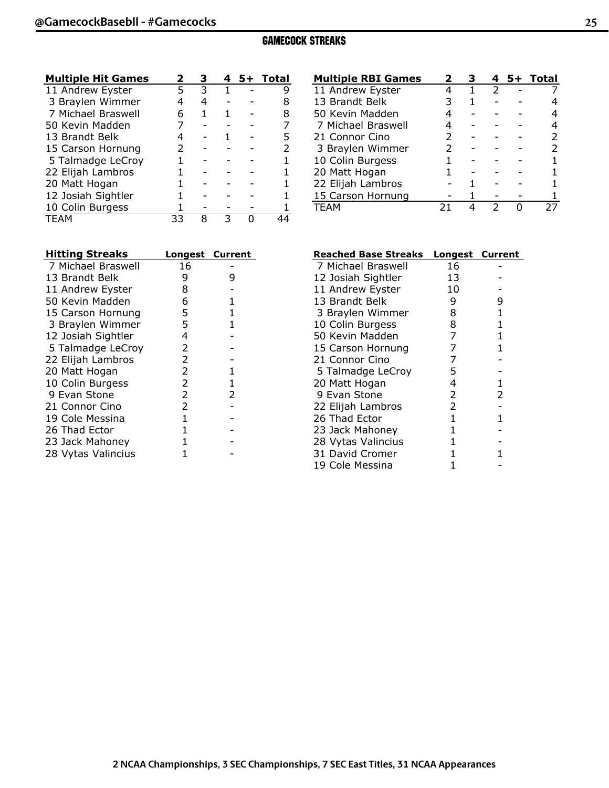#### **GAMECOCK STREAKS (All games)**

| <b>Multiple Hit Games</b> | 2  |   |   | 5+ Total |
|---------------------------|----|---|---|----------|
| 11 Andrew Eyster          | 5  | 3 | 1 |          |
| 3 Braylen Wimmer          |    | 4 |   |          |
| 7 Michael Braswell        | Ь  | 1 |   |          |
| 50 Kevin Madden           |    |   |   |          |
| 13 Brandt Belk            |    |   |   |          |
| 15 Carson Hornung         | 2  |   |   |          |
| 5 Talmadge LeCroy         |    |   |   |          |
| 22 Elijah Lambros         |    |   |   |          |
| 20 Matt Hogan             |    |   |   |          |
| 12 Josiah Sightler        |    |   |   |          |
| 10 Colin Burgess          |    |   |   |          |
| <b>TEAM</b>               | 33 | 8 |   |          |

| <b>Hitting Streaks</b> | <b>Longest Current</b> |   |
|------------------------|------------------------|---|
| 7 Michael Braswell     | 16                     |   |
| 13 Brandt Belk         | 9                      | 9 |
| 11 Andrew Eyster       | 8                      |   |
| 50 Kevin Madden        | 6                      | 1 |
| 15 Carson Hornung      | 5                      | 1 |
| 3 Braylen Wimmer       | 5                      | 1 |
| 12 Josiah Sightler     | 4                      |   |
| 5 Talmadge LeCroy      | 2                      |   |
| 22 Elijah Lambros      | 2                      |   |
| 20 Matt Hogan          | 2                      | 1 |
| 10 Colin Burgess       | 2                      | 1 |
| 9 Evan Stone           | 2                      | 2 |
| 21 Connor Cino         | $\overline{2}$         |   |
| 19 Cole Messina        | 1                      |   |
| 26 Thad Ector          | 1                      |   |
| 23 Jack Mahoney        | 1                      |   |
| 28 Vytas Valincius     |                        |   |

| <b>Multiple RBI Games</b> | 2 |   |   | 5+ Total |
|---------------------------|---|---|---|----------|
| 11 Andrew Eyster          |   | 1 | 2 |          |
| 13 Brandt Belk            |   |   |   |          |
| 50 Kevin Madden           |   |   |   |          |
| 7 Michael Braswell        |   |   |   |          |
| 21 Connor Cino            | 2 |   |   | 2        |
| 3 Braylen Wimmer          | 2 |   |   | 2        |
| 10 Colin Burgess          |   |   |   |          |
| 20 Matt Hogan             |   |   |   |          |
| 22 Elijah Lambros         |   |   |   |          |
| 15 Carson Hornung         |   |   |   |          |
| <b>TFAM</b>               |   |   | フ |          |

| <b>Reached Base Streaks</b> | <b>Longest Current</b> |   |
|-----------------------------|------------------------|---|
| 7 Michael Braswell          | 16                     |   |
| 12 Josiah Sightler          | 13                     |   |
| 11 Andrew Eyster            | 10                     |   |
| 13 Brandt Belk              | 9                      | 9 |
| 3 Braylen Wimmer            | 8                      | 1 |
| 10 Colin Burgess            | 8                      | 1 |
| 50 Kevin Madden             | 7                      | 1 |
| 15 Carson Hornung           | 7                      | 1 |
| 21 Connor Cino              | 7                      |   |
| 5 Talmadge LeCroy           | 5                      |   |
| 20 Matt Hogan               | 4                      | 1 |
| 9 Evan Stone                | 2                      | 2 |
| 22 Elijah Lambros           | 2                      |   |
| 26 Thad Ector               | 1                      | 1 |
| 23 Jack Mahoney             | 1                      |   |
| 28 Vytas Valincius          | 1                      |   |
| 31 David Cromer             | 1                      |   |
| 19 Cole Messina             | 1                      |   |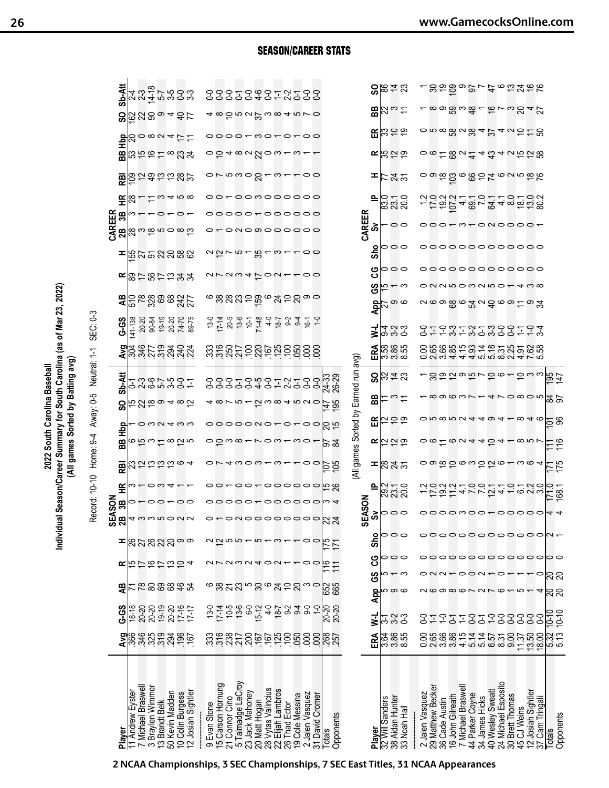2022 South Carolina Baseball<br>Individual Season/Career Summary for South Carolina (as of Mar 23, 2022)<br>(All games Sorted by Batting avg)<br>Record: 10-10 Home: 9-4 Away: 0-5 Neutral: 1-1 SEC: 0-3

|                                                                           |                          |                         |                                       |                             |                                       | Š<br>ທ∾                                                         | ŠON                        |                                                        |                           |                                    |                                                |                             |                                      |                                                                                                                     |                                                      |                                                 |                        |                                                  | <b>CAREM</b><br>EXA<br>CAR <sup>R</sup><br>CAR <sup>R</sup> |                |                       |                                   |                                                                                                   |                                                       |                              |  |
|---------------------------------------------------------------------------|--------------------------|-------------------------|---------------------------------------|-----------------------------|---------------------------------------|-----------------------------------------------------------------|----------------------------|--------------------------------------------------------|---------------------------|------------------------------------|------------------------------------------------|-----------------------------|--------------------------------------|---------------------------------------------------------------------------------------------------------------------|------------------------------------------------------|-------------------------------------------------|------------------------|--------------------------------------------------|-------------------------------------------------------------|----------------|-----------------------|-----------------------------------|---------------------------------------------------------------------------------------------------|-------------------------------------------------------|------------------------------|--|
| Player                                                                    |                          | <b>G-5</b>              | æ                                     | œ                           | ᆂ                                     |                                                                 | 38                         | 똪                                                      |                           | Фф<br>æ                            | င္တ                                            | ম-ম<br>৯                    |                                      |                                                                                                                     | G-S                                                  |                                                 |                        | ᆂ                                                |                                                             | 품险             |                       |                                   |                                                                                                   |                                                       | Sb-Att                       |  |
| 11 Andrew Eyster                                                          |                          | $18 - 18$               |                                       |                             |                                       |                                                                 | 0                          |                                                        |                           |                                    |                                                | 2                           |                                      |                                                                                                                     | $41 - 138$                                           |                                                 |                        |                                                  |                                                             |                |                       |                                   |                                                                                                   |                                                       |                              |  |
| 7 Michael Braswel                                                         | 2884822822               | 20-20<br>20-20          | <b>노동영영영경</b>                         | たたたたなちょ                     | $R$ $R$ ର୍ଯ୍ୟର୍ ଦି                    | $m$ <sub>4</sub> $\omega$ $\omega$ $\omega$ $\varphi$ $\varphi$ |                            | $\omega$ $\sim$ $\sim$ $\omega$ $\sim$                 | $\Xi_{\rm M}$ ದವದದ್ದಂ     | ဖဗ္ က = ထ သ္ ဟ                     | అనలం 4 ∞ రు<br>$\circ$ $\circ$ $\circ$ $\circ$ | いんていしい<br>こうこうしい            |                                      | 2845224                                                                                                             | 20-20<br>90-84                                       | <b>ဍ</b> င္ကြၕ႙္ကအအၾဌာ                          | ≃⊠는않는음≯쏘               | នៃកូននានិន                                       |                                                             |                | 圖高성                   | $B_0$ ក្រូងក្នុង                  | $\frac{1}{2}$ $\frac{1}{2}$ $\frac{1}{2}$ $\frac{1}{2}$ $\frac{1}{2}$ $\frac{1}{2}$ $\frac{1}{2}$ | $8\,$ $8\,$ $8\,$ $8\,$ $8\,$ $8\,$ $9\,$ $4\,$ $8\,$ | てんせいしゅうしょう しょうしょう            |  |
| 3 Braylen Wimmer                                                          |                          |                         |                                       |                             |                                       |                                                                 |                            |                                                        |                           |                                    |                                                |                             |                                      |                                                                                                                     |                                                      |                                                 |                        |                                                  |                                                             |                |                       |                                   |                                                                                                   |                                                       |                              |  |
|                                                                           |                          | 19-19                   |                                       |                             |                                       |                                                                 | $\circ$ $\circ$ $\sim$     |                                                        |                           |                                    |                                                |                             |                                      |                                                                                                                     | $19-19$                                              |                                                 |                        |                                                  |                                                             |                |                       |                                   |                                                                                                   |                                                       |                              |  |
| 13 Brandt Belk<br>50 Kevin Madden                                         |                          |                         |                                       |                             |                                       |                                                                 |                            |                                                        |                           |                                    |                                                |                             |                                      |                                                                                                                     |                                                      |                                                 |                        |                                                  |                                                             |                |                       |                                   |                                                                                                   |                                                       |                              |  |
|                                                                           |                          |                         |                                       |                             |                                       |                                                                 |                            |                                                        |                           |                                    |                                                |                             |                                      |                                                                                                                     | 20-20                                                |                                                 |                        |                                                  |                                                             |                |                       |                                   |                                                                                                   |                                                       |                              |  |
| 10 Colin Burgess<br>12 Josiah Sightler                                    |                          | 20-20<br>17-16<br>17-17 |                                       |                             |                                       |                                                                 | $\circ$                    |                                                        |                           |                                    |                                                |                             |                                      |                                                                                                                     | 74-70<br>89-75                                       |                                                 |                        |                                                  |                                                             |                | m 4 ro 00             |                                   |                                                                                                   |                                                       |                              |  |
|                                                                           |                          |                         |                                       |                             |                                       |                                                                 |                            |                                                        |                           |                                    |                                                |                             |                                      |                                                                                                                     |                                                      |                                                 |                        |                                                  |                                                             |                |                       |                                   |                                                                                                   |                                                       |                              |  |
|                                                                           |                          |                         |                                       |                             |                                       |                                                                 |                            |                                                        |                           |                                    |                                                |                             |                                      |                                                                                                                     |                                                      |                                                 |                        |                                                  |                                                             |                |                       |                                   |                                                                                                   |                                                       |                              |  |
| Evan Stone<br>တ                                                           |                          |                         |                                       |                             |                                       |                                                                 |                            |                                                        |                           |                                    |                                                |                             |                                      |                                                                                                                     |                                                      |                                                 |                        |                                                  |                                                             |                |                       |                                   |                                                                                                   |                                                       |                              |  |
| 15 Carson Hornung                                                         |                          | $13-0$<br>17-14         |                                       |                             |                                       |                                                                 |                            |                                                        |                           |                                    |                                                |                             |                                      |                                                                                                                     | $254$<br>$-253$                                      |                                                 |                        |                                                  |                                                             |                |                       |                                   |                                                                                                   |                                                       |                              |  |
|                                                                           |                          |                         |                                       |                             |                                       |                                                                 |                            |                                                        |                           |                                    |                                                |                             |                                      |                                                                                                                     |                                                      |                                                 |                        |                                                  |                                                             |                |                       |                                   |                                                                                                   |                                                       |                              |  |
| 21 Connor Cino                                                            | និងខ្លួន<br>និងខ្លួន     | $10.50$<br>$0.70$       | <b>జనని బొద్ద భర్</b> ద               | arawa40a                    | $\alpha \simeq 5$ 5 $\alpha \simeq 5$ |                                                                 |                            | 00000000000                                            | $O V 4 W O W - W -$       | ဝ <u>ဝ</u> ကထ—                     | 0000000-                                       | 22223437~223                |                                      |                                                                                                                     |                                                      | ຺຺ຌຌຌຌ຺                                         | $-$ <i>a</i> $-$ a $-$ | $\alpha \overline{\omega}$ r n $\overline{\tau}$ | o-onoのooooo                                                 | ooooo~oooooo   | gowa.<br>oo~oomoooooo | $4\omega\omega\omega\omega\omega$ | 0000-мо-о-оо                                                                                      | a <del>wa k</del> wa a mud                            | 22223437~~223                |  |
| 5 Talmadge LeCroy                                                         |                          |                         |                                       |                             |                                       |                                                                 |                            |                                                        |                           |                                    |                                                |                             |                                      |                                                                                                                     |                                                      |                                                 |                        |                                                  |                                                             |                |                       |                                   |                                                                                                   |                                                       |                              |  |
| 23 Jack Mahoney                                                           |                          |                         |                                       |                             |                                       |                                                                 |                            |                                                        |                           |                                    |                                                |                             |                                      |                                                                                                                     |                                                      |                                                 |                        |                                                  |                                                             |                |                       |                                   |                                                                                                   |                                                       |                              |  |
|                                                                           |                          |                         |                                       |                             |                                       |                                                                 |                            |                                                        |                           |                                    |                                                |                             |                                      |                                                                                                                     |                                                      |                                                 |                        |                                                  |                                                             |                |                       |                                   |                                                                                                   |                                                       |                              |  |
|                                                                           |                          |                         |                                       |                             |                                       |                                                                 |                            |                                                        |                           |                                    |                                                |                             |                                      |                                                                                                                     |                                                      |                                                 |                        | 'ನ –                                             |                                                             |                |                       |                                   |                                                                                                   |                                                       |                              |  |
|                                                                           |                          |                         |                                       |                             |                                       |                                                                 |                            |                                                        |                           |                                    |                                                |                             |                                      |                                                                                                                     |                                                      |                                                 |                        |                                                  |                                                             |                |                       |                                   |                                                                                                   |                                                       |                              |  |
| 20 Matt Hogan<br>28 Vytas Valincius<br>22 Elijah Lambros<br>26 Thad Ector | esses                    | $15-12$<br>4-0<br>18-7  |                                       |                             | $\infty$ $\leftarrow$                 |                                                                 |                            |                                                        |                           |                                    |                                                |                             |                                      |                                                                                                                     |                                                      |                                                 |                        | $\sim$ $-$                                       |                                                             |                |                       |                                   |                                                                                                   |                                                       |                              |  |
|                                                                           |                          |                         |                                       |                             |                                       |                                                                 |                            |                                                        |                           |                                    |                                                |                             |                                      |                                                                                                                     |                                                      |                                                 |                        |                                                  |                                                             |                |                       |                                   |                                                                                                   |                                                       |                              |  |
|                                                                           |                          | $3499 -$                |                                       |                             |                                       |                                                                 |                            |                                                        |                           | $\sim$ $\sim$ $\sim$ $\sim$ $\sim$ | $2000 + 000$<br>$\overline{\phantom{0}}$       |                             |                                      |                                                                                                                     | $65 + 48 + 69 + 74 + 76$<br>$65 + 48 + 69 + 74 + 76$ | ಅನ್ನಲ್ಲಿ ಎಂ                                     |                        |                                                  |                                                             |                |                       |                                   |                                                                                                   |                                                       |                              |  |
| 19 Cole Messina                                                           | 050                      |                         |                                       |                             |                                       |                                                                 |                            |                                                        | $\overline{C}$            |                                    |                                                |                             |                                      |                                                                                                                     |                                                      |                                                 | $\overline{C}$         |                                                  |                                                             |                |                       | ო                                 |                                                                                                   |                                                       |                              |  |
| 2 Jalen Vasquez                                                           | 8                        |                         |                                       |                             |                                       |                                                                 |                            |                                                        |                           |                                    | 00                                             |                             |                                      |                                                                                                                     |                                                      |                                                 |                        | 00                                               |                                                             |                |                       |                                   |                                                                                                   |                                                       |                              |  |
| 31 David Cromer                                                           | 8                        |                         |                                       |                             |                                       |                                                                 |                            |                                                        |                           |                                    |                                                |                             |                                      |                                                                                                                     |                                                      |                                                 |                        |                                                  |                                                             |                |                       |                                   |                                                                                                   |                                                       |                              |  |
|                                                                           |                          |                         |                                       |                             |                                       |                                                                 |                            |                                                        |                           |                                    |                                                |                             |                                      |                                                                                                                     |                                                      |                                                 |                        |                                                  |                                                             |                |                       |                                   |                                                                                                   |                                                       |                              |  |
| Totals                                                                    |                          |                         |                                       |                             |                                       | a – ouooooooooli 4                                              | 00000-000000 M4            | 9 2                                                    |                           |                                    |                                                |                             |                                      |                                                                                                                     |                                                      |                                                 |                        |                                                  |                                                             |                |                       |                                   |                                                                                                   |                                                       |                              |  |
| Opponents                                                                 | <b>RST</b>               | $\frac{20}{20}$         | 889<br>199                            | 주는                          | 직                                     |                                                                 |                            |                                                        | $\frac{107}{105}$         | 15 स्र                             | $rac{147}{195}$<br>ದ ಸ                         | 74-33<br>26-29              |                                      |                                                                                                                     |                                                      |                                                 |                        |                                                  |                                                             |                |                       |                                   |                                                                                                   |                                                       |                              |  |
|                                                                           |                          |                         |                                       |                             |                                       |                                                                 |                            |                                                        |                           |                                    |                                                |                             |                                      |                                                                                                                     |                                                      |                                                 |                        |                                                  |                                                             |                |                       |                                   |                                                                                                   |                                                       |                              |  |
|                                                                           |                          |                         |                                       |                             |                                       |                                                                 |                            |                                                        |                           |                                    |                                                |                             | (All games Sorted by Earned run avg) |                                                                                                                     |                                                      |                                                 |                        |                                                  |                                                             |                |                       |                                   |                                                                                                   |                                                       |                              |  |
|                                                                           |                          |                         |                                       |                             |                                       | ഗ                                                               |                            |                                                        |                           |                                    |                                                |                             |                                      |                                                                                                                     |                                                      |                                                 |                        |                                                  | CAREER                                                      |                |                       |                                   |                                                                                                   |                                                       |                              |  |
| Player                                                                    | ERA                      | ₹                       | App                                   | ပ္ပ<br>39                   | Sho                                   |                                                                 | <b>EASON</b><br>Sv         | ≞                                                      |                           |                                    |                                                |                             |                                      | ERA                                                                                                                 | ₹                                                    | ပ္ပိ                                            | ပ္ပ                    | Sho                                              | စိ                                                          |                | 으                     | œ                                 |                                                                                                   | 岊                                                     |                              |  |
|                                                                           |                          |                         |                                       |                             |                                       |                                                                 |                            |                                                        |                           |                                    |                                                |                             |                                      |                                                                                                                     |                                                      | $\frac{\text{AP}}{\text{SP}}$                   |                        |                                                  |                                                             |                |                       |                                   |                                                                                                   |                                                       |                              |  |
| 32 Will Sanders                                                           |                          |                         | မာ ထ                                  | ഥ — ന                       | 000                                   | 000                                                             | 000                        |                                                        |                           | 民位にも                               |                                                | ᄜᆠᆷᇦᅌ                       | $8$ ង្គ $\pm$ ន                      |                                                                                                                     |                                                      | ယ — က                                           | 000                    | 000                                              |                                                             |                |                       | 5519                              | $\mathbb{R} \mathbb{R}$ පක                                                                        | ひった                                                   |                              |  |
| 38 Aidan Hunter                                                           |                          |                         |                                       |                             |                                       |                                                                 |                            |                                                        |                           |                                    |                                                |                             |                                      |                                                                                                                     |                                                      |                                                 |                        |                                                  |                                                             |                |                       |                                   |                                                                                                   |                                                       |                              |  |
| 33 Noah Hal                                                               | ದ ಹಿದ್ದ<br>ಇ ಇ ಇ         | 449<br>449              |                                       |                             |                                       |                                                                 |                            | ನ್ನ – ೦<br>ನಿನನ                                        | ≖∣ಙನ್ನ                    |                                    | $E _{\widetilde{\omega}}$ ás                   |                             |                                      | 8<br>88<br>0 88<br>0 8                                                                                              | 9 9 9<br>4 9 9                                       | - တ ထ                                           |                        |                                                  | 00                                                          | ೦ = ೦<br>ಙ ನ ನ | 下ನಿನ                  |                                   |                                                                                                   |                                                       | $S\$ $\approx$ $\approx$ $S$ |  |
|                                                                           |                          |                         |                                       |                             |                                       |                                                                 |                            |                                                        |                           |                                    |                                                |                             |                                      |                                                                                                                     |                                                      |                                                 |                        |                                                  |                                                             |                |                       |                                   |                                                                                                   |                                                       |                              |  |
| 2 Jalen Vasquez                                                           |                          |                         |                                       |                             |                                       |                                                                 |                            |                                                        |                           |                                    |                                                |                             |                                      |                                                                                                                     |                                                      |                                                 |                        |                                                  |                                                             |                |                       |                                   |                                                                                                   |                                                       |                              |  |
|                                                                           |                          | 57                      |                                       |                             |                                       |                                                                 |                            |                                                        |                           |                                    |                                                |                             |                                      |                                                                                                                     |                                                      |                                                 |                        |                                                  |                                                             |                |                       |                                   |                                                                                                   |                                                       |                              |  |
|                                                                           |                          |                         |                                       |                             |                                       |                                                                 |                            |                                                        |                           |                                    |                                                |                             |                                      |                                                                                                                     |                                                      |                                                 |                        |                                                  |                                                             |                |                       |                                   |                                                                                                   |                                                       |                              |  |
| 29 Matthew Becker<br>36 Cade Austin                                       |                          | $\overline{C}$          |                                       |                             |                                       |                                                                 |                            |                                                        |                           |                                    |                                                |                             |                                      |                                                                                                                     |                                                      |                                                 |                        |                                                  | 000+                                                        |                |                       |                                   |                                                                                                   |                                                       |                              |  |
| 16 John Gilreath                                                          |                          | 21                      |                                       |                             |                                       |                                                                 |                            | $\simeq$ $\simeq$ $\simeq$                             |                           |                                    |                                                |                             | 292                                  |                                                                                                                     |                                                      |                                                 |                        |                                                  |                                                             |                |                       |                                   |                                                                                                   |                                                       |                              |  |
| 7 Michael Braswel                                                         |                          | $\overline{1}$          |                                       |                             |                                       |                                                                 |                            | $0.019 - 0.07$                                         |                           |                                    |                                                | $-\infty$ တ $\infty$ $\sim$ |                                      |                                                                                                                     |                                                      |                                                 |                        |                                                  | - ო —                                                       |                |                       | $-0.58$ u $-0.7$                  |                                                                                                   | ∞ တ ဣ က <u>ထ</u> ္ —                                  |                              |  |
| 44 Parker Coyne                                                           |                          |                         |                                       |                             |                                       |                                                                 |                            |                                                        |                           |                                    |                                                |                             |                                      |                                                                                                                     |                                                      |                                                 |                        |                                                  |                                                             |                |                       |                                   |                                                                                                   |                                                       |                              |  |
|                                                                           |                          | 오<br>오                  |                                       |                             |                                       |                                                                 |                            |                                                        |                           |                                    |                                                |                             |                                      |                                                                                                                     |                                                      |                                                 |                        |                                                  |                                                             |                |                       |                                   |                                                                                                   |                                                       |                              |  |
| 34 James Hicks                                                            |                          |                         |                                       |                             |                                       |                                                                 |                            |                                                        |                           |                                    |                                                |                             |                                      |                                                                                                                     |                                                      |                                                 |                        |                                                  |                                                             |                |                       |                                   |                                                                                                   |                                                       |                              |  |
| 40 Wesley Sweatt                                                          |                          |                         |                                       |                             |                                       |                                                                 |                            |                                                        |                           |                                    |                                                |                             |                                      |                                                                                                                     |                                                      |                                                 |                        |                                                  |                                                             |                |                       | 4 ವೆ                              |                                                                                                   |                                                       |                              |  |
| 24 Michael Esposito<br>30 Brett Thomas                                    | 0888544555<br>0888544555 |                         |                                       | $onn\text{-}con\text{-}con$ |                                       |                                                                 |                            |                                                        |                           |                                    |                                                |                             |                                      |                                                                                                                     |                                                      |                                                 |                        |                                                  |                                                             |                |                       |                                   |                                                                                                   |                                                       |                              |  |
|                                                                           |                          |                         |                                       |                             |                                       |                                                                 |                            | Q                                                      |                           |                                    |                                                |                             |                                      |                                                                                                                     |                                                      |                                                 |                        |                                                  |                                                             |                |                       |                                   |                                                                                                   |                                                       |                              |  |
| 45 CJ Weins                                                               |                          |                         | $\alpha$ coocch $\alpha$ rch $\alpha$ |                             |                                       |                                                                 |                            |                                                        |                           |                                    |                                                |                             |                                      |                                                                                                                     |                                                      |                                                 |                        |                                                  |                                                             |                |                       |                                   |                                                                                                   |                                                       |                              |  |
| 12 Josiah Sightler                                                        |                          |                         |                                       |                             |                                       |                                                                 |                            |                                                        |                           |                                    |                                                |                             |                                      |                                                                                                                     |                                                      |                                                 |                        |                                                  |                                                             |                |                       |                                   |                                                                                                   |                                                       |                              |  |
| 37 Cam Tringal                                                            | $\frac{11.37}{13.50}$    | -------<br>-------      |                                       |                             | ooooooooooooooo                       | 000000000000N+                                                  | oooomoo <del>-</del> ooooo | 9 P<br>$4\,$ r $\alpha$ $4$ $\alpha$ $\alpha$ $\alpha$ | o w m c m c m m m m m m m |                                    | $0.00004404 - 0.40$                            | 410805                      | 5 ധ ധ                                | O S G S G S T O T O T O T O G G G S T O T C O G G G<br>O G G G G T O T T C O G G G G<br>O N O T T T G G G O H T L D | 31531532332153                                       | 00000000000000<br><u>ᄭᄵ</u> ၜၜၟၜႜၒၟၐ႖ၟၜၜႜၟၜႜႜႜႜ | oooooooooooo           | oooooooooooo                                     | -onoooo                                                     | F5248-24 gadag | segezeongek           | 4 いたい 8                           | o n ∞ 8 u 8 4 2 4 u 5 ± 8                                                                         | $6 - 22$                                              | sagor-totate                 |  |
|                                                                           |                          |                         |                                       |                             |                                       |                                                                 |                            |                                                        |                           |                                    |                                                |                             |                                      |                                                                                                                     |                                                      |                                                 |                        |                                                  |                                                             |                |                       |                                   |                                                                                                   |                                                       |                              |  |
| <b>Totals</b>                                                             | 5.32<br>5.13             | $\frac{10-10}{10-10}$   | នន                                    | នីខ                         |                                       |                                                                 | 44                         | $\frac{170}{68.1}$                                     | $\frac{171}{175}$         | $\frac{11}{11}$                    | $\overline{5}$ $\overline{8}$                  | 요요                          | <u>15<br/>195</u>                    |                                                                                                                     |                                                      |                                                 |                        |                                                  |                                                             |                |                       |                                   |                                                                                                   |                                                       |                              |  |
| Opponents                                                                 |                          |                         |                                       |                             |                                       |                                                                 |                            |                                                        |                           |                                    |                                                |                             |                                      |                                                                                                                     |                                                      |                                                 |                        |                                                  |                                                             |                |                       |                                   |                                                                                                   |                                                       |                              |  |

SEASON/CAREER STATS

**2 NCAA Championships, 3 SEC Championships, 7 SEC East Titles, 31 NCAA Appearances**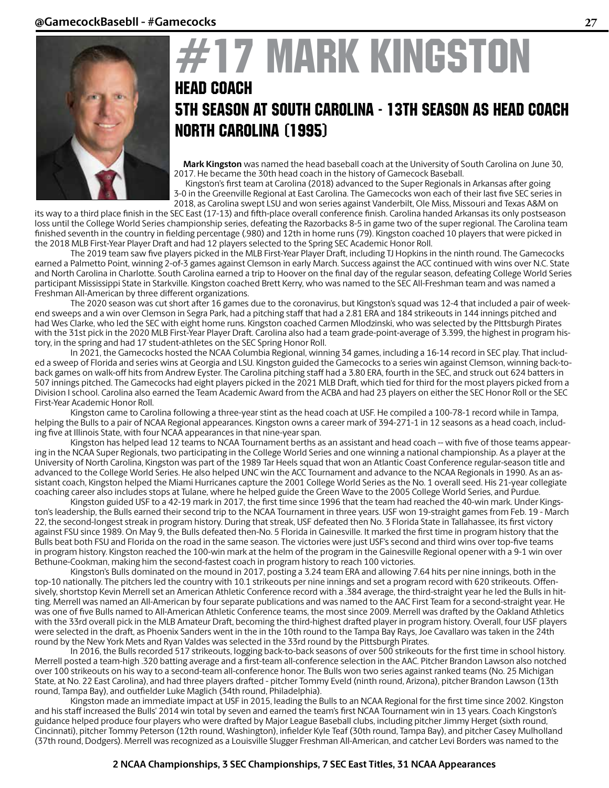

## **17 MARK KINGSTON** HEAD COACH 5TH SEASON AT SOUTH CAROLINA - 13th season as head coach NORTH CAROLINA (1995)

 **Mark Kingston** was named the head baseball coach at the University of South Carolina on June 30, 2017. He became the 30th head coach in the history of Gamecock Baseball.

 Kingston's first team at Carolina (2018) advanced to the Super Regionals in Arkansas after going 3-0 in the Greenville Regional at East Carolina. The Gamecocks won each of their last five SEC series in 2018, as Carolina swept LSU and won series against Vanderbilt, Ole Miss, Missouri and Texas A&M on

its way to a third place finish in the SEC East (17-13) and fifth-place overall conference finish. Carolina handed Arkansas its only postseason loss until the College World Series championship series, defeating the Razorbacks 8-5 in game two of the super regional. The Carolina team finished seventh in the country in fielding percentage (.980) and 12th in home runs (79). Kingston coached 10 players that were picked in the 2018 MLB First-Year Player Draft and had 12 players selected to the Spring SEC Academic Honor Roll.

 The 2019 team saw five players picked in the MLB First-Year Player Draft, including TJ Hopkins in the ninth round. The Gamecocks earned a Palmetto Point, winning 2-of-3 games against Clemson in early March. Success against the ACC continued with wins over N.C. State and North Carolina in Charlotte. South Carolina earned a trip to Hoover on the final day of the regular season, defeating College World Series participant Mississippi State in Starkville. Kingston coached Brett Kerry, who was named to the SEC All-Freshman team and was named a Freshman All-American by three different organizations.

The 2020 season was cut short after 16 games due to the coronavirus, but Kingston's squad was 12-4 that included a pair of weekend sweeps and a win over Clemson in Segra Park, had a pitching staff that had a 2.81 ERA and 184 strikeouts in 144 innings pitched and had Wes Clarke, who led the SEC with eight home runs. Kingston coached Carmen Mlodzinski, who was selected by the PIttsburgh Pirates with the 31st pick in the 2020 MLB First-Year Player Draft. Carolina also had a team grade-point-average of 3.399, the highest in program history, in the spring and had 17 student-athletes on the SEC Spring Honor Roll.

In 2021, the Gamecocks hosted the NCAA Columbia Regional, winning 34 games, including a 16-14 record in SEC play. That included a sweep of Florida and series wins at Georgia and LSU. Kingston guided the Gamecocks to a series win against Clemson, winning back-toback games on walk-off hits from Andrew Eyster. The Carolina pitching staff had a 3.80 ERA, fourth in the SEC, and struck out 624 batters in 507 innings pitched. The Gamecocks had eight players picked in the 2021 MLB Draft, which tied for third for the most players picked from a Division I school. Carolina also earned the Team Academic Award from the ACBA and had 23 players on either the SEC Honor Roll or the SEC First-Year Academic Honor Roll.

 Kingston came to Carolina following a three-year stint as the head coach at USF. He compiled a 100-78-1 record while in Tampa, helping the Bulls to a pair of NCAA Regional appearances. Kingston owns a career mark of 394-271-1 in 12 seasons as a head coach, including five at Illinois State, with four NCAA appearances in that nine-year span.

Kingston has helped lead 12 teams to NCAA Tournament berths as an assistant and head coach -- with five of those teams appearing in the NCAA Super Regionals, two participating in the College World Series and one winning a national championship. As a player at the University of North Carolina, Kingston was part of the 1989 Tar Heels squad that won an Atlantic Coast Conference regular-season title and advanced to the College World Series. He also helped UNC win the ACC Tournament and advance to the NCAA Regionals in 1990. As an assistant coach, Kingston helped the Miami Hurricanes capture the 2001 College World Series as the No. 1 overall seed. His 21-year collegiate coaching career also includes stops at Tulane, where he helped guide the Green Wave to the 2005 College World Series, and Purdue.

Kingston guided USF to a 42-19 mark in 2017, the first time since 1996 that the team had reached the 40-win mark. Under Kingston's leadership, the Bulls earned their second trip to the NCAA Tournament in three years. USF won 19-straight games from Feb. 19 - March 22, the second-longest streak in program history. During that streak, USF defeated then No. 3 Florida State in Tallahassee, its first victory against FSU since 1989. On May 9, the Bulls defeated then-No. 5 Florida in Gainesville. It marked the first time in program history that the Bulls beat both FSU and Florida on the road in the same season. The victories were just USF's second and third wins over top-five teams in program history. Kingston reached the 100-win mark at the helm of the program in the Gainesville Regional opener with a 9-1 win over Bethune-Cookman, making him the second-fastest coach in program history to reach 100 victories.

Kingston's Bulls dominated on the mound in 2017, posting a 3.24 team ERA and allowing 7.64 hits per nine innings, both in the top-10 nationally. The pitchers led the country with 10.1 strikeouts per nine innings and set a program record with 620 strikeouts. Offensively, shortstop Kevin Merrell set an American Athletic Conference record with a .384 average, the third-straight year he led the Bulls in hitting. Merrell was named an All-American by four separate publications and was named to the AAC First Team for a second-straight year. He was one of five Bulls named to All-American Athletic Conference teams, the most since 2009. Merrell was drafted by the Oakland Athletics with the 33rd overall pick in the MLB Amateur Draft, becoming the third-highest drafted player in program history. Overall, four USF players were selected in the draft, as Phoenix Sanders went in the in the 10th round to the Tampa Bay Rays, Joe Cavallaro was taken in the 24th round by the New York Mets and Ryan Valdes was selected in the 33rd round by the Pittsburgh Pirates.

In 2016, the Bulls recorded 517 strikeouts, logging back-to-back seasons of over 500 strikeouts for the first time in school history. Merrell posted a team-high .320 batting average and a first-team all-conference selection in the AAC. Pitcher Brandon Lawson also notched over 100 strikeouts on his way to a second-team all-conference honor. The Bulls won two series against ranked teams (No. 25 Michigan State, at No. 22 East Carolina), and had three players drafted - pitcher Tommy Eveld (ninth round, Arizona), pitcher Brandon Lawson (13th round, Tampa Bay), and outfielder Luke Maglich (34th round, Philadelphia).

Kingston made an immediate impact at USF in 2015, leading the Bulls to an NCAA Regional for the first time since 2002. Kingston and his staff increased the Bulls' 2014 win total by seven and earned the team's first NCAA Tournament win in 13 years. Coach Kingston's guidance helped produce four players who were drafted by Major League Baseball clubs, including pitcher Jimmy Herget (sixth round, Cincinnati), pitcher Tommy Peterson (12th round, Washington), infielder Kyle Teaf (30th round, Tampa Bay), and pitcher Casey Mulholland (37th round, Dodgers). Merrell was recognized as a Louisville Slugger Freshman All-American, and catcher Levi Borders was named to the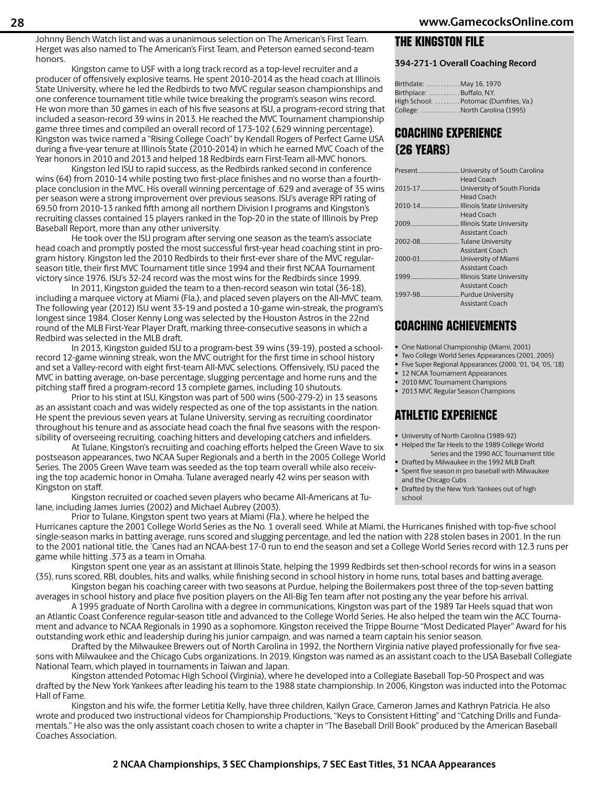Johnny Bench Watch list and was a unanimous selection on The American's First Team. Herget was also named to The American's First Team, and Peterson earned second-team honors.

Kingston came to USF with a long track record as a top-level recruiter and a producer of offensively explosive teams. He spent 2010-2014 as the head coach at Illinois State University, where he led the Redbirds to two MVC regular season championships and one conference tournament title while twice breaking the program's season wins record. He won more than 30 games in each of his five seasons at ISU, a program-record string that included a season-record 39 wins in 2013. He reached the MVC Tournament championship game three times and compiled an overall record of 173-102 (.629 winning percentage). Kingston was twice named a "Rising College Coach" by Kendall Rogers of Perfect Game USA during a five-year tenure at Illinois State (2010-2014) in which he earned MVC Coach of the Year honors in 2010 and 2013 and helped 18 Redbirds earn First-Team all-MVC honors.

Kingston led ISU to rapid success, as the Redbirds ranked second in conference wins (64) from 2010-14 while posting two first-place finishes and no worse than a fourthplace conclusion in the MVC. His overall winning percentage of .629 and average of 35 wins per season were a strong improvement over previous seasons. ISU's average RPI rating of 69.50 from 2010-13 ranked fifth among all northern Division I programs and Kingston's recruiting classes contained 15 players ranked in the Top-20 in the state of Illinois by Prep Baseball Report, more than any other university.

He took over the ISU program after serving one season as the team's associate head coach and promptly posted the most successful first-year head coaching stint in program history. Kingston led the 2010 Redbirds to their first-ever share of the MVC regularseason title, their first MVC Tournament title since 1994 and their first NCAA Tournament victory since 1976. ISU's 32-24 record was the most wins for the Redbirds since 1999.

In 2011, Kingston guided the team to a then-record season win total (36-18), including a marquee victory at Miami (Fla.), and placed seven players on the All-MVC team. The following year (2012) ISU went 33-19 and posted a 10-game win-streak, the program's longest since 1984. Closer Kenny Long was selected by the Houston Astros in the 22nd round of the MLB First-Year Player Draft, marking three-consecutive seasons in which a Redbird was selected in the MLB draft.

In 2013, Kingston guided ISU to a program-best 39 wins (39-19), posted a schoolrecord 12-game winning streak, won the MVC outright for the first time in school history and set a Valley-record with eight first-team All-MVC selections. Offensively, ISU paced the MVC in batting average, on-base percentage, slugging percentage and home runs and the pitching staff fired a program-record 13 complete games, including 10 shutouts.

Prior to his stint at ISU, Kingston was part of 500 wins (500-279-2) in 13 seasons as an assistant coach and was widely respected as one of the top assistants in the nation. He spent the previous seven years at Tulane University, serving as recruiting coordinator throughout his tenure and as associate head coach the final five seasons with the responsibility of overseeing recruiting, coaching hitters and developing catchers and infielders.

At Tulane, Kingston's recruiting and coaching efforts helped the Green Wave to six postseason appearances, two NCAA Super Regionals and a berth in the 2005 College World Series. The 2005 Green Wave team was seeded as the top team overall while also receiving the top academic honor in Omaha. Tulane averaged nearly 42 wins per season with Kingston on staff.

Kingston recruited or coached seven players who became All-Americans at Tulane, including James Jurries (2002) and Michael Aubrey (2003).

## THE KINGSTON FILE

#### **394-271-1 Overall Coaching Record**

| Birthdate: May 16, 1970   |                                      |
|---------------------------|--------------------------------------|
| Birthplace: Buffalo, N.Y. |                                      |
|                           | High School: Potomac (Dumfries, Va.) |
|                           | College: North Carolina (1995)       |

## COACHING EXPERIENCE (26 YEARS)

|                           | Head Coach      |
|---------------------------|-----------------|
|                           | Head Coach      |
|                           |                 |
|                           | Head Coach      |
|                           |                 |
|                           | Assistant Coach |
| 2002-08 Tulane University |                 |
|                           | Assistant Coach |
|                           |                 |
|                           | Assistant Coach |
|                           |                 |
|                           | Assistant Coach |
| 1997-98 Purdue University |                 |
|                           | Assistant Coach |

## COACHING ACHIEVEMENTS

- One National Championship (Miami, 2001)
- Two College World Series Appearances (2001, 2005)
- Five Super Regional Appearances (2000, '01, '04, '05, '18)
- 12 NCAA Tournament Appearances
- 2010 MVC Tournament Champions
- 2013 MVC Regular Season Champions

## ATHLETIC EXPERIENCE

- University of North Carolina (1989-92)
- Helped the Tar Heels to the 1989 College World Series and the 1990 ACC Tournament title
- Drafted by Milwaukee in the 1992 MLB Draft Spent five season in pro baseball with Milwaukee
- and the Chicago Cubs • Drafted by the New York Yankees out of high school

Prior to Tulane, Kingston spent two years at Miami (Fla.), where he helped the Hurricanes capture the 2001 College World Series as the No. 1 overall seed. While at Miami, the Hurricanes finished with top-five school single-season marks in batting average, runs scored and slugging percentage, and led the nation with 228 stolen bases in 2001. In the run to the 2001 national title, the `Canes had an NCAA-best 17-0 run to end the season and set a College World Series record with 12.3 runs per game while hitting .373 as a team in Omaha.

Kingston spent one year as an assistant at Illinois State, helping the 1999 Redbirds set then-school records for wins in a season (35), runs scored, RBI, doubles, hits and walks, while finishing second in school history in home runs, total bases and batting average.

Kingston began his coaching career with two seasons at Purdue, helping the Boilermakers post three of the top-seven batting averages in school history and place five position players on the All-Big Ten team after not posting any the year before his arrival.

A 1995 graduate of North Carolina with a degree in communications, Kingston was part of the 1989 Tar Heels squad that won an Atlantic Coast Conference regular-season title and advanced to the College World Series. He also helped the team win the ACC Tournament and advance to NCAA Regionals in 1990 as a sophomore. Kingston received the Trippe Bourne "Most Dedicated Player" Award for his outstanding work ethic and leadership during his junior campaign, and was named a team captain his senior season.

Drafted by the Milwaukee Brewers out of North Carolina in 1992, the Northern Virginia native played professionally for five seasons with Milwaukee and the Chicago Cubs organizations. In 2019, Kingston was named as an assistant coach to the USA Baseball Collegiate National Team, which played in tournaments in Taiwan and Japan.

Kingston attended Potomac High School (Virginia), where he developed into a Collegiate Baseball Top-50 Prospect and was drafted by the New York Yankees after leading his team to the 1988 state championship. In 2006, Kingston was inducted into the Potomac Hall of Fame.

Kingston and his wife, the former Letitia Kelly, have three children, Kailyn Grace, Cameron James and Kathryn Patricia. He also wrote and produced two instructional videos for Championship Productions, "Keys to Consistent Hitting" and "Catching Drills and Fundamentals." He also was the only assistant coach chosen to write a chapter in "The Baseball Drill Book" produced by the American Baseball Coaches Association.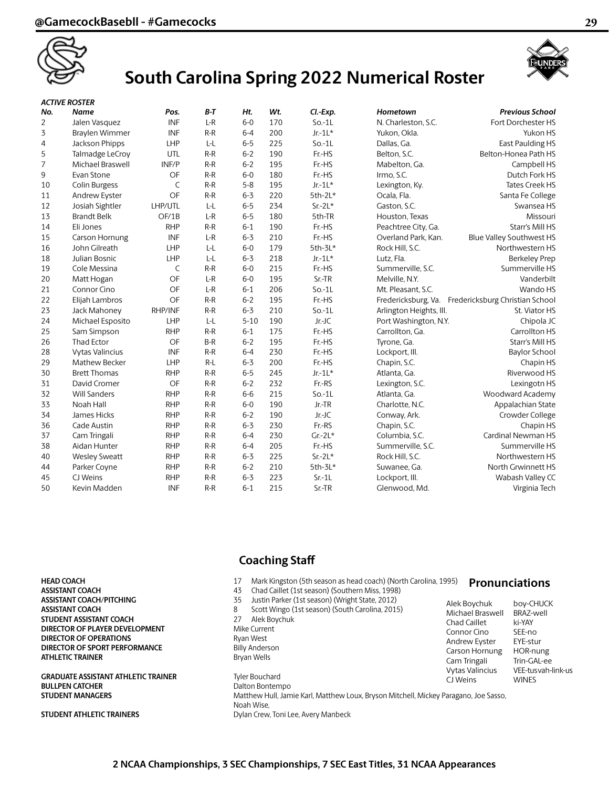

## **South Carolina Spring 2022 Numerical Roster**



#### *ACTIVE ROSTER*

| No.            | Name                   | Pos.         | B-T   | Ht.      | Wt. | Cl.-Exp. | Hometown                | <b>Previous School</b>          |
|----------------|------------------------|--------------|-------|----------|-----|----------|-------------------------|---------------------------------|
| $\overline{2}$ | Jalen Vasquez          | <b>INF</b>   | $L-R$ | $6 - 0$  | 170 | $So.-1L$ | N. Charleston, S.C.     | Fort Dorchester HS              |
| 3              | Braylen Wimmer         | <b>INF</b>   | $R-R$ | $6 - 4$  | 200 | $Jr-1L*$ | Yukon, Okla.            | Yukon HS                        |
| 4              | Jackson Phipps         | LHP          | $L-L$ | $6 - 5$  | 225 | $So.-1L$ | Dallas, Ga.             | East Paulding HS                |
| 5              | Talmadge LeCroy        | UTL          | $R-R$ | $6 - 2$  | 190 | Fr.-HS   | Belton, S.C.            | Belton-Honea Path HS            |
| 7              | Michael Braswell       | INF/P        | $R-R$ | $6 - 2$  | 195 | Fr.-HS   | Mabelton, Ga.           | Campbell HS                     |
| 9              | Evan Stone             | OF           | $R-R$ | $6 - 0$  | 180 | Fr.-HS   | Irmo, S.C.              | Dutch Fork HS                   |
| 10             | Colin Burgess          | C            | $R-R$ | $5 - 8$  | 195 | $Jr-1L*$ | Lexington, Ky.          | Tates Creek HS                  |
| 11             | Andrew Eyster          | OF           | $R-R$ | $6 - 3$  | 220 | 5th-2L*  | Ocala, Fla.             | Santa Fe College                |
| 12             | Josiah Sightler        | LHP/UTL      | L-L   | $6 - 5$  | 234 | $Sr-2L*$ | Gaston, S.C.            | Swansea HS                      |
| 13             | <b>Brandt Belk</b>     | OF/1B        | $L-R$ | $6 - 5$  | 180 | 5th-TR   | Houston, Texas          | Missouri                        |
| 14             | Eli Jones              | <b>RHP</b>   | $R-R$ | $6 - 1$  | 190 | Fr.-HS   | Peachtree City, Ga.     | Starr's Mill HS                 |
| 15             | Carson Hornung         | <b>INF</b>   | $L-R$ | $6 - 3$  | 210 | Fr.-HS   | Overland Park, Kan.     | Blue Valley Southwest HS        |
| 16             | John Gilreath          | LHP          | $L-L$ | $6-0$    | 179 | 5th-3L*  | Rock Hill, S.C.         | Northwestern HS                 |
| 18             | Julian Bosnic          | LHP          | $L-L$ | $6 - 3$  | 218 | $Jr-1L*$ | Lutz, Fla.              | Berkeley Prep                   |
| 19             | Cole Messina           | $\mathsf{C}$ | $R-R$ | $6-0$    | 215 | Fr.-HS   | Summerville, S.C.       | Summerville HS                  |
| 20             | Matt Hogan             | OF           | $L-R$ | $6 - 0$  | 195 | Sr.-TR   | Melville, N.Y.          | Vanderbilt                      |
| 21             | Connor Cino            | OF           | $L-R$ | $6 - 1$  | 206 | $So.-1L$ | Mt. Pleasant, S.C.      | Wando HS                        |
| 22             | Elijah Lambros         | OF           | $R-R$ | $6 - 2$  | 195 | Fr.-HS   | Fredericksburg, Va.     | Fredericksburg Christian School |
| 23             | Jack Mahoney           | RHP/INF      | $R-R$ | $6 - 3$  | 210 | $So.-1L$ | Arlington Heights, Ill. | St. Viator HS                   |
| 24             | Michael Esposito       | <b>LHP</b>   | L-L   | $5 - 10$ | 190 | $Jr-JC$  | Port Washington, N.Y.   | Chipola JC                      |
| 25             | Sam Simpson            | <b>RHP</b>   | $R-R$ | $6 - 1$  | 175 | Fr.-HS   | Carrollton, Ga.         | Carrollton HS                   |
| 26             | <b>Thad Ector</b>      | OF           | $B-R$ | $6 - 2$  | 195 | Fr.-HS   | Tyrone, Ga.             | Starr's Mill HS                 |
| 28             | <b>Vytas Valincius</b> | <b>INF</b>   | $R-R$ | $6 - 4$  | 230 | Fr.-HS   | Lockport, III.          | Baylor School                   |
| 29             | Mathew Becker          | <b>LHP</b>   | $R-L$ | $6 - 3$  | 200 | Fr.-HS   | Chapin, S.C.            | Chapin HS                       |
| 30             | <b>Brett Thomas</b>    | <b>RHP</b>   | $R-R$ | $6 - 5$  | 245 | $Jr-1L*$ | Atlanta, Ga.            | Riverwood HS                    |
| 31             | David Cromer           | OF           | $R-R$ | $6 - 2$  | 232 | Fr.-RS   | Lexington, S.C.         | Lexingotn HS                    |
| 32             | <b>Will Sanders</b>    | <b>RHP</b>   | $R-R$ | $6 - 6$  | 215 | $So.-1L$ | Atlanta, Ga.            | Woodward Academy                |
| 33             | Noah Hall              | <b>RHP</b>   | $R-R$ | $6-0$    | 190 | Jr.-TR   | Charlotte, N.C.         | Appalachian State               |
| 34             | James Hicks            | <b>RHP</b>   | $R-R$ | $6 - 2$  | 190 | Jr.-JC   | Conway, Ark.            | Crowder College                 |
| 36             | Cade Austin            | <b>RHP</b>   | $R-R$ | $6 - 3$  | 230 | Fr.-RS   | Chapin, S.C.            | Chapin HS                       |
| 37             | Cam Tringali           | <b>RHP</b>   | $R-R$ | $6 - 4$  | 230 | $Gr-2L*$ | Columbia, S.C.          | Cardinal Newman HS              |
| 38             | Aidan Hunter           | <b>RHP</b>   | $R-R$ | $6 - 4$  | 205 | Fr.-HS   | Summerville, S.C.       | Summerville HS                  |
| 40             | <b>Wesley Sweatt</b>   | <b>RHP</b>   | $R-R$ | $6 - 3$  | 225 | $Sr-2L*$ | Rock Hill, S.C.         | Northwestern HS                 |
| 44             | Parker Coyne           | <b>RHP</b>   | $R-R$ | $6 - 2$  | 210 | 5th-3L*  | Suwanee, Ga.            | North Grwinnett HS              |
| 45             | CJ Weins               | <b>RHP</b>   | $R-R$ | $6 - 3$  | 223 | $Sr-1L$  | Lockport, III.          | Wabash Valley CC                |
| 50             | Kevin Madden           | <b>INF</b>   | $R-R$ | $6 - 1$  | 215 | Sr.-TR   | Glenwood, Md.           | Virginia Tech                   |

**ASSISTANT COACH 43** Chad Caillet (1st season) (Southern Miss, 1998) **ASSISTANT COACH/PITCHING** 35 Justin Parker (1st season) (Wright State, 2012) **ASSISTANT COACH ASSISTANT COACH 8** Scott Wingo (1st season) (South Carolina, 2015) **STUDENT ASSISTANT COACH** 27 Alek Boychuk<br> **DIRECTOR OF PLAYER DEVELOPMENT** Mike Current **DIRECTOR OF PLAYER DEVELOPMENT DIRECTOR OF OPERATIONS** Ryan West **DIRECTOR OF SPORT PERFORMANCE** Billy Anderson **ATHLETIC TRAINER** Bryan Wells

GRADUATE ASSISTANT ATHLETIC TRAINER Tyler Bouchard **BULLPEN CATCHER** Dalton Bontempo

## **Coaching Staff**

- **HEAD COACH** 17 Mark Kingston (5th season as head coach) (North Carolina, 1995)
	-
	-
	-
	-
	-
	-

CJ Weins WINES **STUDENT MANAGERS** Matthew Hull, Jamie Karl, Matthew Loux, Bryson Mitchell, Mickey Paragano, Joe Sasso, Noah Wise, **STUDENT ATHLETIC TRAINERS** Dylan Crew, Toni Lee, Avery Manbeck

## **Pronunciations**

Alek Boychuk boy-CHUCK Michael Braswell BRAZ-well<br>Chad Caillet ki-YAY Chad Caillet Connor Cino SEE-no<br>Andrew Eyster EYE-stur Andrew Eyster Carson Hornung HOR-nung Cam Tringali Trin-GAL-ee<br>Vytas Valincius VEE-tusvah-l

VEE-tus vah-link-us